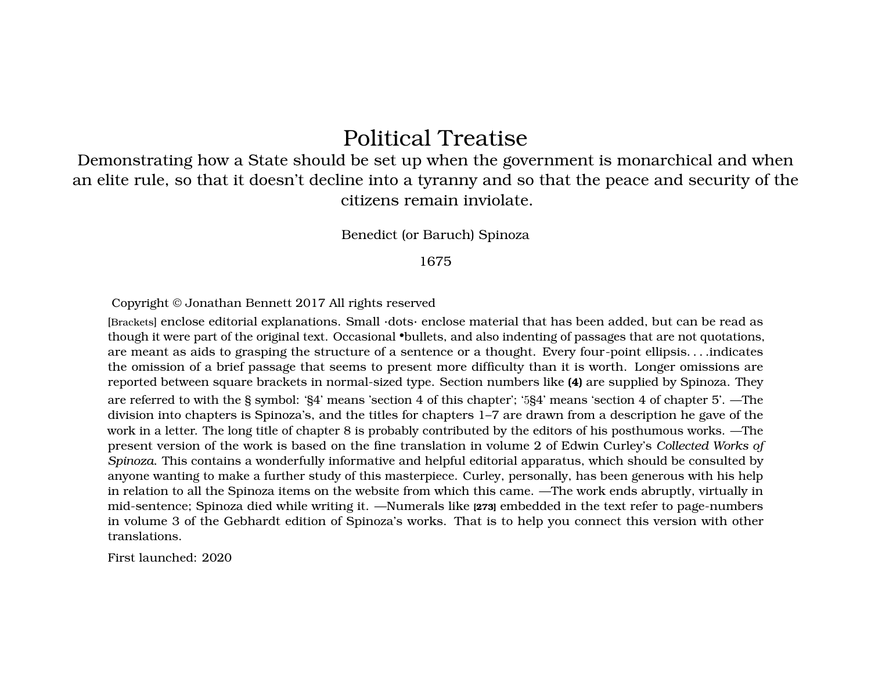# Political Treatise

Demonstrating how a State should be set up when the government is monarchical and when an elite rule, so that it doesn't decline into a tyranny and so that the peace and security of the citizens remain inviolate.

Benedict (or Baruch) Spinoza

#### 1675

Copyright © Jonathan Bennett 2017 All rights reserved

[Brackets] enclose editorial explanations. Small ·dots· enclose material that has been added, but can be read as though it were part of the original text. Occasional •bullets, and also indenting of passages that are not quotations, are meant as aids to grasping the structure of a sentence or a thought. Every four-point ellipsis. . . .indicates the omission of a brief passage that seems to present more difficulty than it is worth. Longer omissions are reported between square brackets in normal-sized type. Section numbers like **(4)** are supplied by Spinoza. They

are referred to with the § symbol: '§4' means 'section 4 of this chapter'; '5§4' means 'section 4 of chapter 5'. —The division into chapters is Spinoza's, and the titles for chapters 1–7 are drawn from a description he gave of the work in a letter. The long title of chapter 8 is probably contributed by the editors of his posthumous works. —The present version of the work is based on the fine translation in volume 2 of Edwin Curley's *Collected Works of Spinoza*. This contains a wonderfully informative and helpful editorial apparatus, which should be consulted by anyone wanting to make a further study of this masterpiece. Curley, personally, has been generous with his help in relation to all the Spinoza items on the website from which this came. —The work ends abruptly, virtually in mid-sentence; Spinoza died while writing it. —Numerals like **[273]** embedded in the text refer to page-numbers in volume 3 of the Gebhardt edition of Spinoza's works. That is to help you connect this version with other translations.

First launched: 2020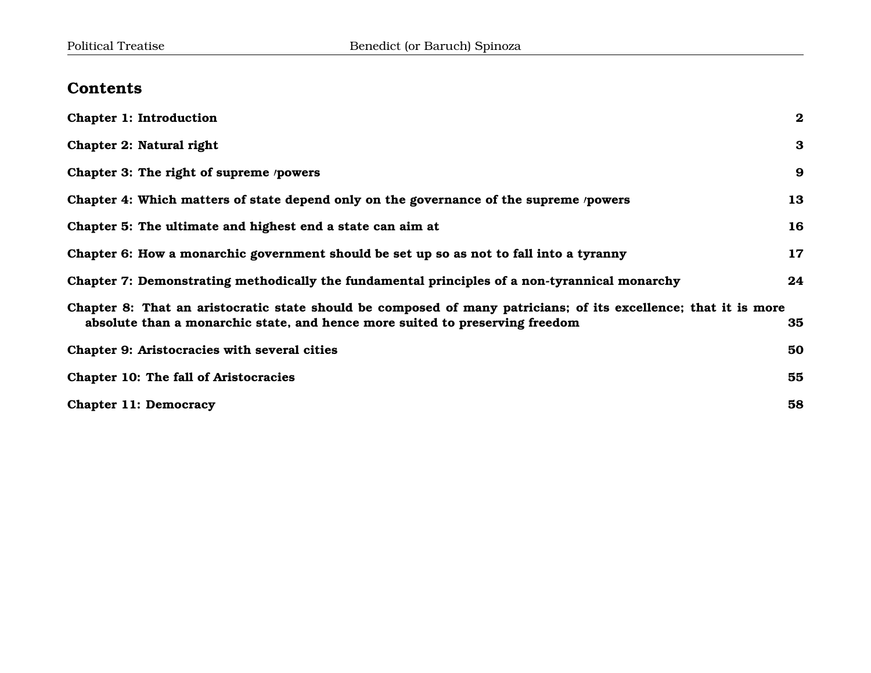# **Contents**

| <b>Chapter 1: Introduction</b>                                                                                                                                                                  | $\bf{2}$ |
|-------------------------------------------------------------------------------------------------------------------------------------------------------------------------------------------------|----------|
| Chapter 2: Natural right                                                                                                                                                                        | $\bf{3}$ |
| Chapter 3: The right of supreme /powers                                                                                                                                                         | 9        |
| Chapter 4: Which matters of state depend only on the governance of the supreme /powers                                                                                                          | 13       |
| Chapter 5: The ultimate and highest end a state can aim at                                                                                                                                      | 16       |
| Chapter 6: How a monarchic government should be set up so as not to fall into a tyranny                                                                                                         | 17       |
| Chapter 7: Demonstrating methodically the fundamental principles of a non-tyrannical monarchy                                                                                                   | 24       |
| Chapter 8: That an aristocratic state should be composed of many patricians; of its excellence; that it is more<br>absolute than a monarchic state, and hence more suited to preserving freedom | 35       |
| Chapter 9: Aristocracies with several cities                                                                                                                                                    | 50       |
| Chapter 10: The fall of Aristocracies                                                                                                                                                           | 55       |
| <b>Chapter 11: Democracy</b>                                                                                                                                                                    | 58       |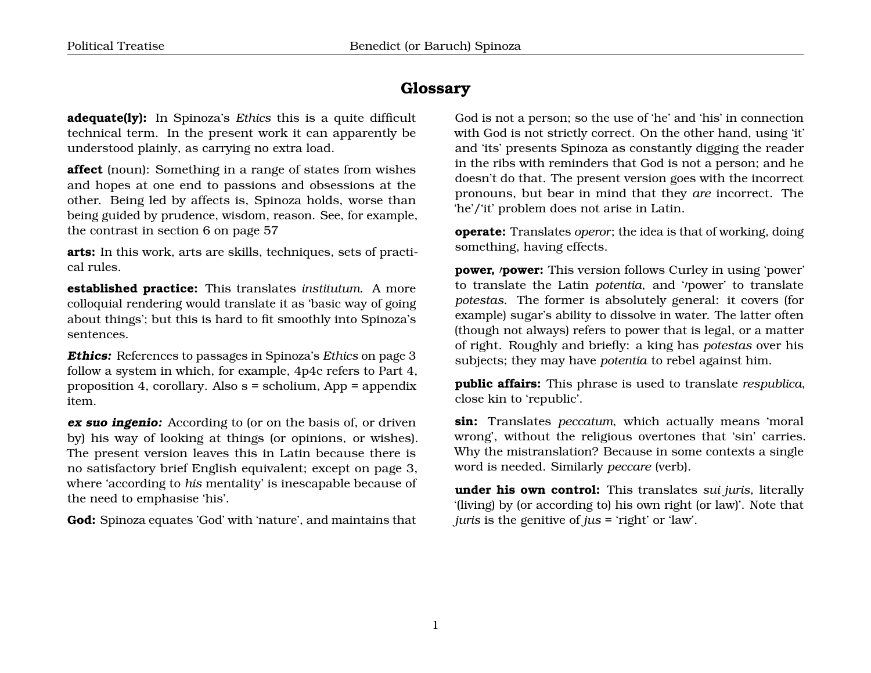#### **Glossary**

**adequate(ly):** In Spinoza's *Ethics* this is a quite difficult technical term. In the present work it can apparently be understood plainly, as carrying no extra load.

**affect** (noun): Something in a range of states from wishes and hopes at one end to passions and obsessions at the other. Being led by affects is, Spinoza holds, worse than being guided by prudence, wisdom, reason. See, for example, the contrast in section 6 on page [57](#page-56-0)

**arts:** In this work, arts are skills, techniques, sets of practical rules.

**established practice:** This translates *institutum*. A more colloquial rendering would translate it as 'basic way of going about things'; but this is hard to fit smoothly into Spinoza's sentences.

**Ethics:** References to passages in Spinoza's *Ethics* on page [3](#page-3-0) follow a system in which, for example, 4p4c refers to Part 4, proposition 4, corollary. Also s = scholium, App = appendix item.

**ex suo ingenio:** According to (or on the basis of, or driven by) his way of looking at things (or opinions, or wishes). The present version leaves this in Latin because there is no satisfactory brief English equivalent; except on page [3,](#page-3-0) where 'according to *his* mentality' is inescapable because of the need to emphasise 'his'.

**God:** Spinoza equates 'God' with 'nature', and maintains that

God is not a person; so the use of 'he' and 'his' in connection with God is not strictly correct. On the other hand, using 'it' and 'its' presents Spinoza as constantly digging the reader in the ribs with reminders that God is not a person; and he doesn't do that. The present version goes with the incorrect pronouns, but bear in mind that they *are* incorrect. The 'he'/'it' problem does not arise in Latin.

**operate:** Translates *operor*; the idea is that of working, doing something, having effects.

**power,** *'power*: This version follows Curley in using 'power' to translate the Latin *potentia*, and '*reducer'* to translate *potestas*. The former is absolutely general: it covers (for example) sugar's ability to dissolve in water. The latter often (though not always) refers to power that is legal, or a matter of right. Roughly and briefly: a king has *potestas* over his subjects; they may have *potentia* to rebel against him.

**public affairs:** This phrase is used to translate *respublica*, close kin to 'republic'.

**sin:** Translates *peccatum*, which actually means 'moral wrong', without the religious overtones that 'sin' carries. Why the mistranslation? Because in some contexts a single word is needed. Similarly *peccare* (verb).

**under his own control:** This translates *sui juris*, literally '(living) by (or according to) his own right (or law)'. Note that *juris* is the genitive of *jus* = 'right' or 'law'.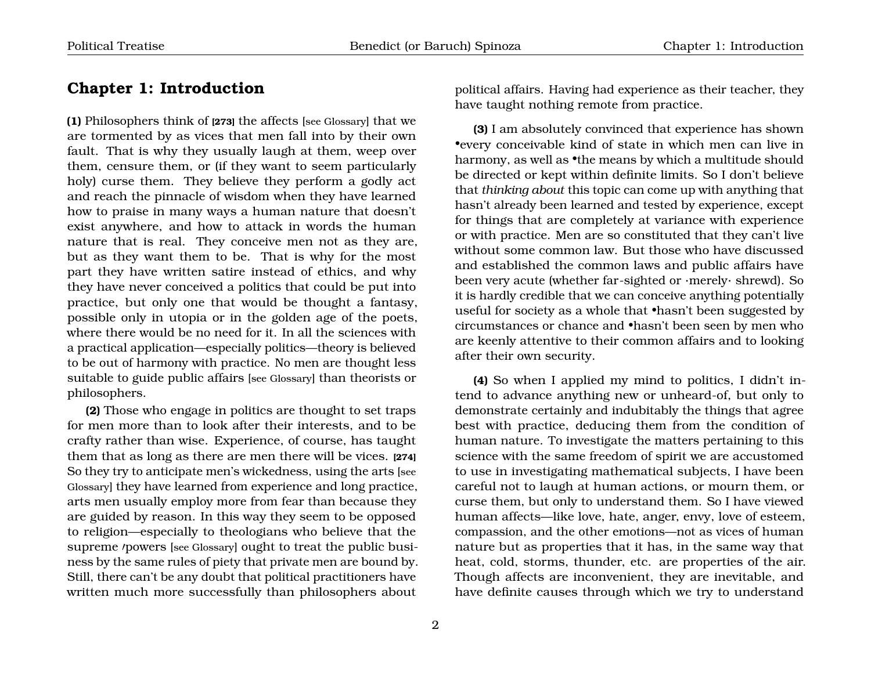#### <span id="page-3-0"></span>**Chapter 1: Introduction**

**(1)** Philosophers think of **[273]** the affects [see Glossary] that we are tormented by as vices that men fall into by their own fault. That is why they usually laugh at them, weep over them, censure them, or (if they want to seem particularly holy) curse them. They believe they perform a godly act and reach the pinnacle of wisdom when they have learned how to praise in many ways a human nature that doesn't exist anywhere, and how to attack in words the human nature that is real. They conceive men not as they are, but as they want them to be. That is why for the most part they have written satire instead of ethics, and why they have never conceived a politics that could be put into practice, but only one that would be thought a fantasy, possible only in utopia or in the golden age of the poets, where there would be no need for it. In all the sciences with a practical application—especially politics—theory is believed to be out of harmony with practice. No men are thought less suitable to guide public affairs [see Glossary] than theorists or philosophers.

**(2)** Those who engage in politics are thought to set traps for men more than to look after their interests, and to be crafty rather than wise. Experience, of course, has taught them that as long as there are men there will be vices. **[274]** So they try to anticipate men's wickedness, using the arts [see Glossary] they have learned from experience and long practice, arts men usually employ more from fear than because they are guided by reason. In this way they seem to be opposed to religion—especially to theologians who believe that the supreme /powers [see Glossary] ought to treat the public business by the same rules of piety that private men are bound by. Still, there can't be any doubt that political practitioners have written much more successfully than philosophers about

political affairs. Having had experience as their teacher, they have taught nothing remote from practice.

**(3)** I am absolutely convinced that experience has shown •every conceivable kind of state in which men can live in harmony, as well as •the means by which a multitude should be directed or kept within definite limits. So I don't believe that *thinking about* this topic can come up with anything that hasn't already been learned and tested by experience, except for things that are completely at variance with experience or with practice. Men are so constituted that they can't live without some common law. But those who have discussed and established the common laws and public affairs have been very acute (whether far-sighted or ·merely· shrewd). So it is hardly credible that we can conceive anything potentially useful for society as a whole that •hasn't been suggested by circumstances or chance and •hasn't been seen by men who are keenly attentive to their common affairs and to looking after their own security.

**(4)** So when I applied my mind to politics, I didn't intend to advance anything new or unheard-of, but only to demonstrate certainly and indubitably the things that agree best with practice, deducing them from the condition of human nature. To investigate the matters pertaining to this science with the same freedom of spirit we are accustomed to use in investigating mathematical subjects, I have been careful not to laugh at human actions, or mourn them, or curse them, but only to understand them. So I have viewed human affects—like love, hate, anger, envy, love of esteem, compassion, and the other emotions—not as vices of human nature but as properties that it has, in the same way that heat, cold, storms, thunder, etc. are properties of the air. Though affects are inconvenient, they are inevitable, and have definite causes through which we try to understand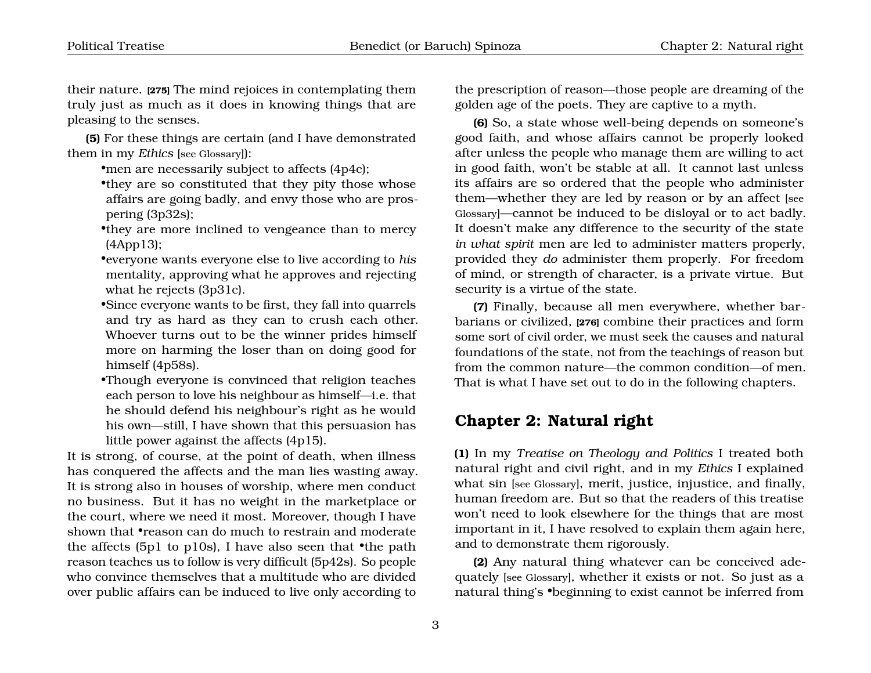their nature. **[275]** The mind rejoices in contemplating them truly just as much as it does in knowing things that are pleasing to the senses.

**(5)** For these things are certain (and I have demonstrated them in my *Ethics* [see Glossary]):

•men are necessarily subject to affects (4p4c);

•they are so constituted that they pity those whose affairs are going badly, and envy those who are prospering (3p32s);

•they are more inclined to vengeance than to mercy (4App13);

•everyone wants everyone else to live according to *his* mentality, approving what he approves and rejecting what he rejects (3p31c).

- •Since everyone wants to be first, they fall into quarrels and try as hard as they can to crush each other. Whoever turns out to be the winner prides himself more on harming the loser than on doing good for himself (4p58s).
- •Though everyone is convinced that religion teaches each person to love his neighbour as himself—i.e. that he should defend his neighbour's right as he would his own—still, I have shown that this persuasion has little power against the affects (4p15).

It is strong, of course, at the point of death, when illness has conquered the affects and the man lies wasting away. It is strong also in houses of worship, where men conduct no business. But it has no weight in the marketplace or the court, where we need it most. Moreover, though I have shown that **•reason can do much to restrain and moderate** the affects (5p1 to p10s), I have also seen that •the path reason teaches us to follow is very difficult (5p42s). So people who convince themselves that a multitude who are divided over public affairs can be induced to live only according to

the prescription of reason—those people are dreaming of the golden age of the poets. They are captive to a myth.

**(6)** So, a state whose well-being depends on someone's good faith, and whose affairs cannot be properly looked after unless the people who manage them are willing to act in good faith, won't be stable at all. It cannot last unless its affairs are so ordered that the people who administer them—whether they are led by reason or by an affect [see Glossary]—cannot be induced to be disloyal or to act badly. It doesn't make any difference to the security of the state *in what spirit* men are led to administer matters properly, provided they *do* administer them properly. For freedom of mind, or strength of character, is a private virtue. But security is a virtue of the state.

**(7)** Finally, because all men everywhere, whether barbarians or civilized, **[276]** combine their practices and form some sort of civil order, we must seek the causes and natural foundations of the state, not from the teachings of reason but from the common nature—the common condition—of men. That is what I have set out to do in the following chapters.

#### <span id="page-4-0"></span>**Chapter 2: Natural right**

**(1)** In my *Treatise on Theology and Politics* I treated both natural right and civil right, and in my *Ethics* I explained what sin [see Glossary], merit, justice, injustice, and finally, human freedom are. But so that the readers of this treatise won't need to look elsewhere for the things that are most important in it, I have resolved to explain them again here, and to demonstrate them rigorously.

**(2)** Any natural thing whatever can be conceived adequately [see Glossary], whether it exists or not. So just as a natural thing's •beginning to exist cannot be inferred from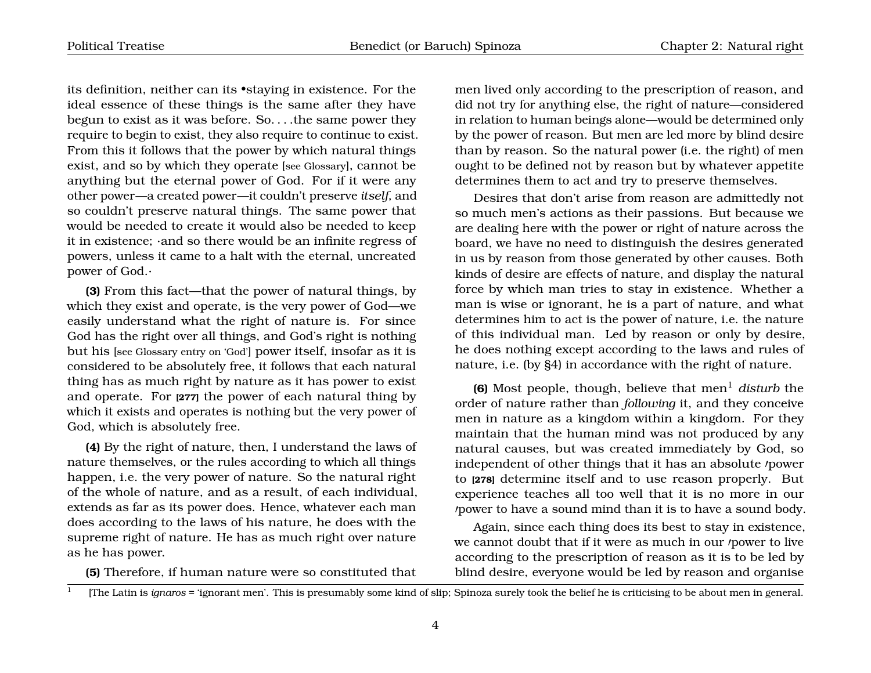its definition, neither can its •staying in existence. For the ideal essence of these things is the same after they have begun to exist as it was before. So. . . .the same power they require to begin to exist, they also require to continue to exist. From this it follows that the power by which natural things exist, and so by which they operate [see Glossary], cannot be anything but the eternal power of God. For if it were any other power—a created power—it couldn't preserve *itself*, and so couldn't preserve natural things. The same power that would be needed to create it would also be needed to keep it in existence; ·and so there would be an infinite regress of powers, unless it came to a halt with the eternal, uncreated power of God.·

**(3)** From this fact—that the power of natural things, by which they exist and operate, is the very power of God—we easily understand what the right of nature is. For since God has the right over all things, and God's right is nothing but his [see Glossary entry on 'God'] power itself, insofar as it is considered to be absolutely free, it follows that each natural thing has as much right by nature as it has power to exist and operate. For **[277]** the power of each natural thing by which it exists and operates is nothing but the very power of God, which is absolutely free.

**(4)** By the right of nature, then, I understand the laws of nature themselves, or the rules according to which all things happen, i.e. the very power of nature. So the natural right of the whole of nature, and as a result, of each individual, extends as far as its power does. Hence, whatever each man does according to the laws of his nature, he does with the supreme right of nature. He has as much right over nature as he has power.

<span id="page-5-0"></span>**(5)** Therefore, if human nature were so constituted that

men lived only according to the prescription of reason, and did not try for anything else, the right of nature—considered in relation to human beings alone—would be determined only by the power of reason. But men are led more by blind desire than by reason. So the natural power (i.e. the right) of men ought to be defined not by reason but by whatever appetite determines them to act and try to preserve themselves.

Desires that don't arise from reason are admittedly not so much men's actions as their passions. But because we are dealing here with the power or right of nature across the board, we have no need to distinguish the desires generated in us by reason from those generated by other causes. Both kinds of desire are effects of nature, and display the natural force by which man tries to stay in existence. Whether a man is wise or ignorant, he is a part of nature, and what determines him to act is the power of nature, i.e. the nature of this individual man. Led by reason or only by desire, he does nothing except according to the laws and rules of nature, i.e. (by §4) in accordance with the right of nature.

**(6)** Most people, though, believe that men<sup>[1](#page-5-0)</sup> disturb the order of nature rather than *following* it, and they conceive men in nature as a kingdom within a kingdom. For they maintain that the human mind was not produced by any natural causes, but was created immediately by God, so independent of other things that it has an absolute *power* to **[278]** determine itself and to use reason properly. But experience teaches all too well that it is no more in our power to have a sound mind than it is to have a sound body.

Again, since each thing does its best to stay in existence, we cannot doubt that if it were as much in our /power to live according to the prescription of reason as it is to be led by blind desire, everyone would be led by reason and organise

<sup>1</sup> [The Latin is *ignaros* = 'ignorant men'. This is presumably some kind of slip; Spinoza surely took the belief he is criticising to be about men in general.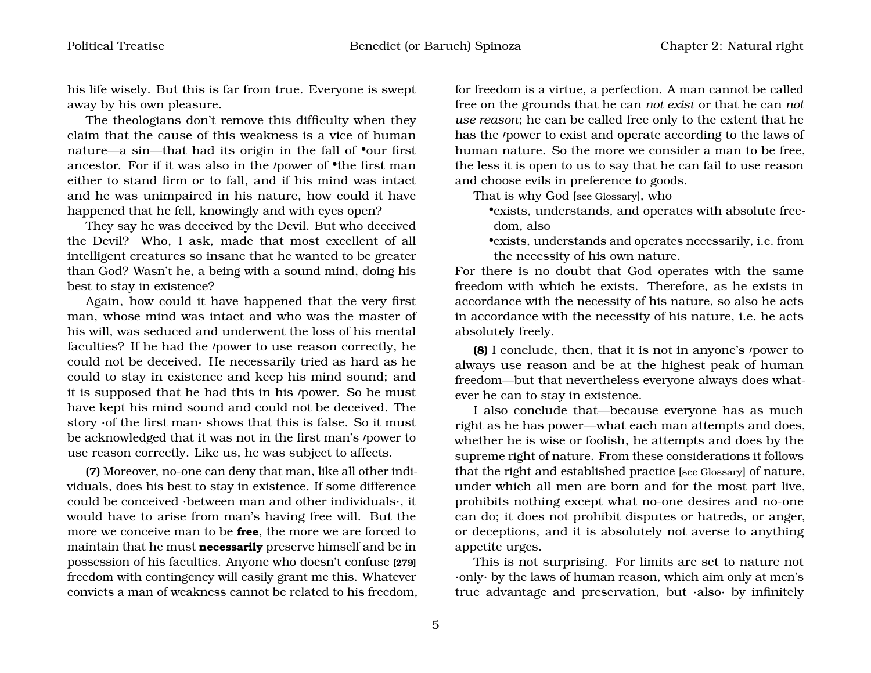his life wisely. But this is far from true. Everyone is swept away by his own pleasure.

The theologians don't remove this difficulty when they claim that the cause of this weakness is a vice of human nature—a sin—that had its origin in the fall of •our first ancestor. For if it was also in the  $\gamma$  power of  $\bullet$ the first man either to stand firm or to fall, and if his mind was intact and he was unimpaired in his nature, how could it have happened that he fell, knowingly and with eyes open?

They say he was deceived by the Devil. But who deceived the Devil? Who, I ask, made that most excellent of all intelligent creatures so insane that he wanted to be greater than God? Wasn't he, a being with a sound mind, doing his best to stay in existence?

Again, how could it have happened that the very first man, whose mind was intact and who was the master of his will, was seduced and underwent the loss of his mental faculties? If he had the /power to use reason correctly, he could not be deceived. He necessarily tried as hard as he could to stay in existence and keep his mind sound; and it is supposed that he had this in his /power. So he must have kept his mind sound and could not be deceived. The story ·of the first man· shows that this is false. So it must be acknowledged that it was not in the first man's *power* to use reason correctly. Like us, he was subject to affects.

**(7)** Moreover, no-one can deny that man, like all other individuals, does his best to stay in existence. If some difference could be conceived ·between man and other individuals·, it would have to arise from man's having free will. But the more we conceive man to be **free**, the more we are forced to maintain that he must **necessarily** preserve himself and be in possession of his faculties. Anyone who doesn't confuse **[279]** freedom with contingency will easily grant me this. Whatever convicts a man of weakness cannot be related to his freedom,

for freedom is a virtue, a perfection. A man cannot be called free on the grounds that he can *not exist* or that he can *not use reason*; he can be called free only to the extent that he has the *'power* to exist and operate according to the laws of human nature. So the more we consider a man to be free, the less it is open to us to say that he can fail to use reason and choose evils in preference to goods.

That is why God [see Glossary], who

•exists, understands, and operates with absolute freedom, also

•exists, understands and operates necessarily, i.e. from the necessity of his own nature.

For there is no doubt that God operates with the same freedom with which he exists. Therefore, as he exists in accordance with the necessity of his nature, so also he acts in accordance with the necessity of his nature, i.e. he acts absolutely freely.

**(8)** I conclude, then, that it is not in anyone's *power* to always use reason and be at the highest peak of human freedom—but that nevertheless everyone always does whatever he can to stay in existence.

I also conclude that—because everyone has as much right as he has power—what each man attempts and does, whether he is wise or foolish, he attempts and does by the supreme right of nature. From these considerations it follows that the right and established practice [see Glossary] of nature, under which all men are born and for the most part live, prohibits nothing except what no-one desires and no-one can do; it does not prohibit disputes or hatreds, or anger, or deceptions, and it is absolutely not averse to anything appetite urges.

This is not surprising. For limits are set to nature not ·only· by the laws of human reason, which aim only at men's true advantage and preservation, but ·also· by infinitely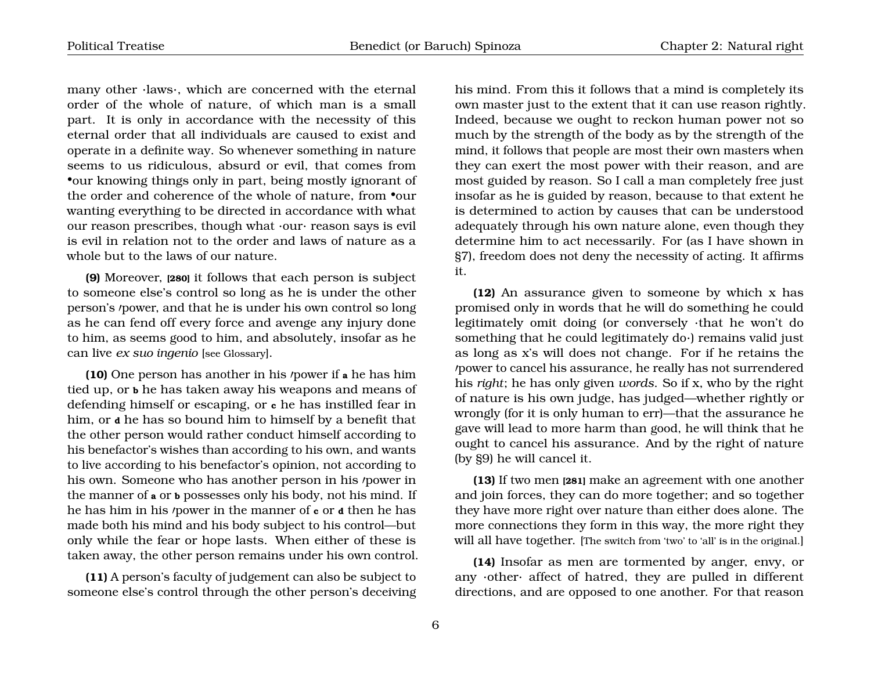many other ·laws·, which are concerned with the eternal order of the whole of nature, of which man is a small part. It is only in accordance with the necessity of this eternal order that all individuals are caused to exist and operate in a definite way. So whenever something in nature seems to us ridiculous, absurd or evil, that comes from •our knowing things only in part, being mostly ignorant of the order and coherence of the whole of nature, from  $\bullet$ our wanting everything to be directed in accordance with what our reason prescribes, though what ·our· reason says is evil is evil in relation not to the order and laws of nature as a whole but to the laws of our nature.

**(9)** Moreover, **[280]** it follows that each person is subject to someone else's control so long as he is under the other person's *'power*, and that he is under his own control so long as he can fend off every force and avenge any injury done to him, as seems good to him, and absolutely, insofar as he can live *ex suo ingenio* [see Glossary].

**(10)** One person has another in his *power* if a he has him tied up, or **b** he has taken away his weapons and means of defending himself or escaping, or **c** he has instilled fear in him, or **d** he has so bound him to himself by a benefit that the other person would rather conduct himself according to his benefactor's wishes than according to his own, and wants to live according to his benefactor's opinion, not according to his own. Someone who has another person in his *power* in the manner of **a** or **b** possesses only his body, not his mind. If he has him in his 0power in the manner of **c** or **d** then he has made both his mind and his body subject to his control—but only while the fear or hope lasts. When either of these is taken away, the other person remains under his own control.

**(11)** A person's faculty of judgement can also be subject to someone else's control through the other person's deceiving his mind. From this it follows that a mind is completely its own master just to the extent that it can use reason rightly. Indeed, because we ought to reckon human power not so much by the strength of the body as by the strength of the mind, it follows that people are most their own masters when they can exert the most power with their reason, and are most guided by reason. So I call a man completely free just insofar as he is guided by reason, because to that extent he is determined to action by causes that can be understood adequately through his own nature alone, even though they determine him to act necessarily. For (as I have shown in §7), freedom does not deny the necessity of acting. It affirms it.

**(12)** An assurance given to someone by which x has promised only in words that he will do something he could legitimately omit doing (or conversely ·that he won't do something that he could legitimately do·) remains valid just as long as x's will does not change. For if he retains the 0power to cancel his assurance, he really has not surrendered his *right*; he has only given *words*. So if x, who by the right of nature is his own judge, has judged—whether rightly or wrongly (for it is only human to err)—that the assurance he gave will lead to more harm than good, he will think that he ought to cancel his assurance. And by the right of nature (by §9) he will cancel it.

**(13)** If two men **[281]** make an agreement with one another and join forces, they can do more together; and so together they have more right over nature than either does alone. The more connections they form in this way, the more right they will all have together. [The switch from 'two' to 'all' is in the original.]

**(14)** Insofar as men are tormented by anger, envy, or any ·other· affect of hatred, they are pulled in different directions, and are opposed to one another. For that reason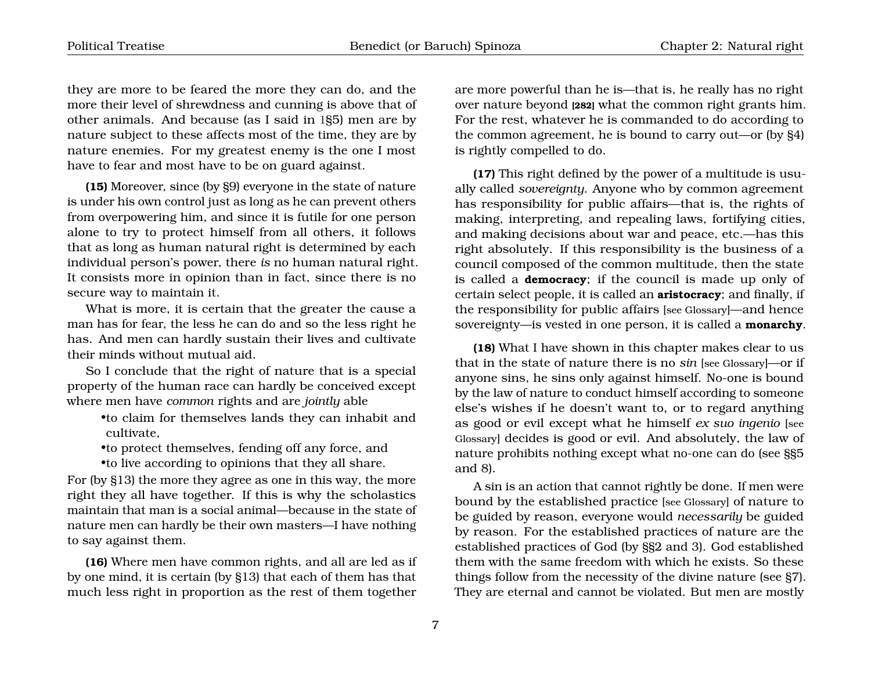they are more to be feared the more they can do, and the more their level of shrewdness and cunning is above that of other animals. And because (as I said in 1§5) men are by nature subject to these affects most of the time, they are by nature enemies. For my greatest enemy is the one I most have to fear and most have to be on guard against.

**(15)** Moreover, since (by §9) everyone in the state of nature is under his own control just as long as he can prevent others from overpowering him, and since it is futile for one person alone to try to protect himself from all others, it follows that as long as human natural right is determined by each individual person's power, there *is* no human natural right. It consists more in opinion than in fact, since there is no secure way to maintain it.

What is more, it is certain that the greater the cause a man has for fear, the less he can do and so the less right he has. And men can hardly sustain their lives and cultivate their minds without mutual aid.

So I conclude that the right of nature that is a special property of the human race can hardly be conceived except where men have *common* rights and are *jointly* able

- •to claim for themselves lands they can inhabit and cultivate,
- •to protect themselves, fending off any force, and •to live according to opinions that they all share.

For (by §13) the more they agree as one in this way, the more right they all have together. If this is why the scholastics maintain that man is a social animal—because in the state of nature men can hardly be their own masters—I have nothing to say against them.

**(16)** Where men have common rights, and all are led as if by one mind, it is certain (by §13) that each of them has that much less right in proportion as the rest of them together

are more powerful than he is—that is, he really has no right over nature beyond **[282]** what the common right grants him. For the rest, whatever he is commanded to do according to the common agreement, he is bound to carry out—or (by §4) is rightly compelled to do.

**(17)** This right defined by the power of a multitude is usually called *sovereignty*. Anyone who by common agreement has responsibility for public affairs—that is, the rights of making, interpreting, and repealing laws, fortifying cities, and making decisions about war and peace, etc.—has this right absolutely. If this responsibility is the business of a council composed of the common multitude, then the state is called a **democracy**; if the council is made up only of certain select people, it is called an **aristocracy**; and finally, if the responsibility for public affairs [see Glossary]—and hence sovereignty—is vested in one person, it is called a **monarchy**.

**(18)** What I have shown in this chapter makes clear to us that in the state of nature there is no *sin* [see Glossary]—or if anyone sins, he sins only against himself. No-one is bound by the law of nature to conduct himself according to someone else's wishes if he doesn't want to, or to regard anything as good or evil except what he himself *ex suo ingenio* [see Glossary] decides is good or evil. And absolutely, the law of nature prohibits nothing except what no-one can do (see §§5 and 8).

A sin is an action that cannot rightly be done. If men were bound by the established practice [see Glossary] of nature to be guided by reason, everyone would *necessarily* be guided by reason. For the established practices of nature are the established practices of God (by §§2 and 3). God established them with the same freedom with which he exists. So these things follow from the necessity of the divine nature (see §7). They are eternal and cannot be violated. But men are mostly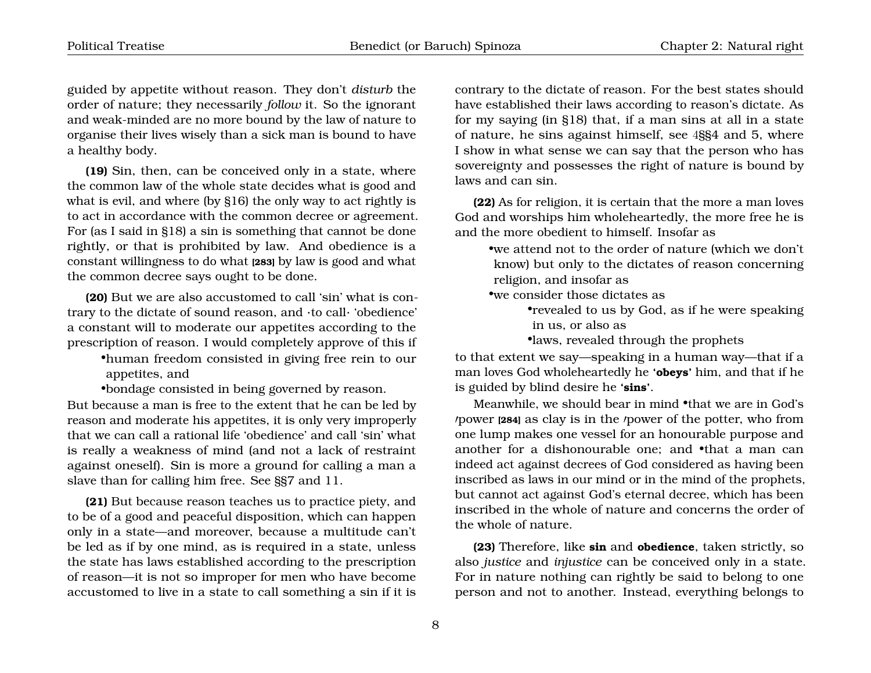guided by appetite without reason. They don't *disturb* the order of nature; they necessarily *follow* it. So the ignorant and weak-minded are no more bound by the law of nature to organise their lives wisely than a sick man is bound to have a healthy body.

**(19)** Sin, then, can be conceived only in a state, where the common law of the whole state decides what is good and what is evil, and where (by §16) the only way to act rightly is to act in accordance with the common decree or agreement. For (as I said in §18) a sin is something that cannot be done rightly, or that is prohibited by law. And obedience is a constant willingness to do what **[283]** by law is good and what the common decree says ought to be done.

**(20)** But we are also accustomed to call 'sin' what is contrary to the dictate of sound reason, and ·to call· 'obedience' a constant will to moderate our appetites according to the prescription of reason. I would completely approve of this if

•human freedom consisted in giving free rein to our appetites, and

•bondage consisted in being governed by reason.

But because a man is free to the extent that he can be led by reason and moderate his appetites, it is only very improperly that we can call a rational life 'obedience' and call 'sin' what is really a weakness of mind (and not a lack of restraint against oneself). Sin is more a ground for calling a man a slave than for calling him free. See §§7 and 11.

**(21)** But because reason teaches us to practice piety, and to be of a good and peaceful disposition, which can happen only in a state—and moreover, because a multitude can't be led as if by one mind, as is required in a state, unless the state has laws established according to the prescription of reason—it is not so improper for men who have become accustomed to live in a state to call something a sin if it is

contrary to the dictate of reason. For the best states should have established their laws according to reason's dictate. As for my saying (in §18) that, if a man sins at all in a state of nature, he sins against himself, see 4§§4 and 5, where I show in what sense we can say that the person who has sovereignty and possesses the right of nature is bound by laws and can sin.

**(22)** As for religion, it is certain that the more a man loves God and worships him wholeheartedly, the more free he is and the more obedient to himself. Insofar as

•we attend not to the order of nature (which we don't know) but only to the dictates of reason concerning religion, and insofar as

•we consider those dictates as

•revealed to us by God, as if he were speaking in us, or also as

•laws, revealed through the prophets

to that extent we say—speaking in a human way—that if a man loves God wholeheartedly he **'obeys'** him, and that if he is guided by blind desire he **'sins'**.

Meanwhile, we should bear in mind •that we are in God's /power [284] as clay is in the /power of the potter, who from one lump makes one vessel for an honourable purpose and another for a dishonourable one; and •that a man can indeed act against decrees of God considered as having been inscribed as laws in our mind or in the mind of the prophets, but cannot act against God's eternal decree, which has been inscribed in the whole of nature and concerns the order of the whole of nature.

**(23)** Therefore, like **sin** and **obedience**, taken strictly, so also *justice* and *injustice* can be conceived only in a state. For in nature nothing can rightly be said to belong to one person and not to another. Instead, everything belongs to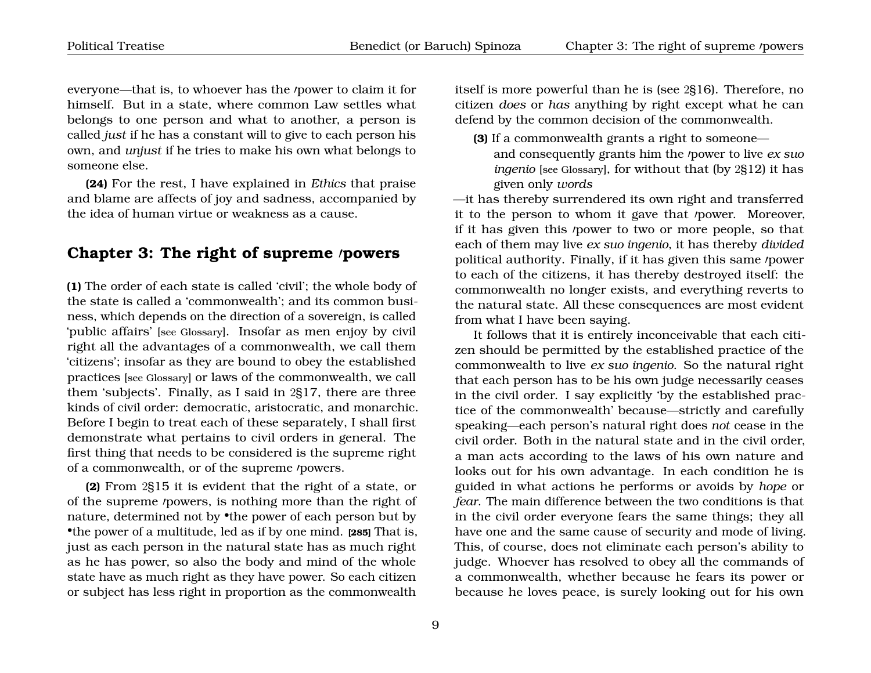everyone—that is, to whoever has the *power* to claim it for himself. But in a state, where common Law settles what belongs to one person and what to another, a person is called *just* if he has a constant will to give to each person his own, and *unjust* if he tries to make his own what belongs to someone else.

**(24)** For the rest, I have explained in *Ethics* that praise and blame are affects of joy and sadness, accompanied by the idea of human virtue or weakness as a cause.

#### <span id="page-10-0"></span>**Chapter 3: The right of supreme /powers**

**(1)** The order of each state is called 'civil'; the whole body of the state is called a 'commonwealth'; and its common business, which depends on the direction of a sovereign, is called 'public affairs' [see Glossary]. Insofar as men enjoy by civil right all the advantages of a commonwealth, we call them 'citizens'; insofar as they are bound to obey the established practices [see Glossary] or laws of the commonwealth, we call them 'subjects'. Finally, as I said in 2§17, there are three kinds of civil order: democratic, aristocratic, and monarchic. Before I begin to treat each of these separately, I shall first demonstrate what pertains to civil orders in general. The first thing that needs to be considered is the supreme right of a commonwealth, or of the supreme /powers.

**(2)** From 2§15 it is evident that the right of a state, or of the supreme *powers*, is nothing more than the right of nature, determined not by •the power of each person but by •the power of a multitude, led as if by one mind. **[285]** That is, just as each person in the natural state has as much right as he has power, so also the body and mind of the whole state have as much right as they have power. So each citizen or subject has less right in proportion as the commonwealth

itself is more powerful than he is (see 2§16). Therefore, no citizen *does* or *has* anything by right except what he can defend by the common decision of the commonwealth.

**(3)** If a commonwealth grants a right to someone and consequently grants him the *power* to live *ex suo ingenio* [see Glossary], for without that (by 2§12) it has given only *words*

—it has thereby surrendered its own right and transferred it to the person to whom it gave that *'power*. Moreover, if it has given this *power* to two or more people, so that each of them may live *ex suo ingenio*, it has thereby *divided* political authority. Finally, if it has given this same /power to each of the citizens, it has thereby destroyed itself: the commonwealth no longer exists, and everything reverts to the natural state. All these consequences are most evident from what I have been saying.

It follows that it is entirely inconceivable that each citizen should be permitted by the established practice of the commonwealth to live *ex suo ingenio*. So the natural right that each person has to be his own judge necessarily ceases in the civil order. I say explicitly 'by the established practice of the commonwealth' because—strictly and carefully speaking—each person's natural right does *not* cease in the civil order. Both in the natural state and in the civil order, a man acts according to the laws of his own nature and looks out for his own advantage. In each condition he is guided in what actions he performs or avoids by *hope* or *fear*. The main difference between the two conditions is that in the civil order everyone fears the same things; they all have one and the same cause of security and mode of living. This, of course, does not eliminate each person's ability to judge. Whoever has resolved to obey all the commands of a commonwealth, whether because he fears its power or because he loves peace, is surely looking out for his own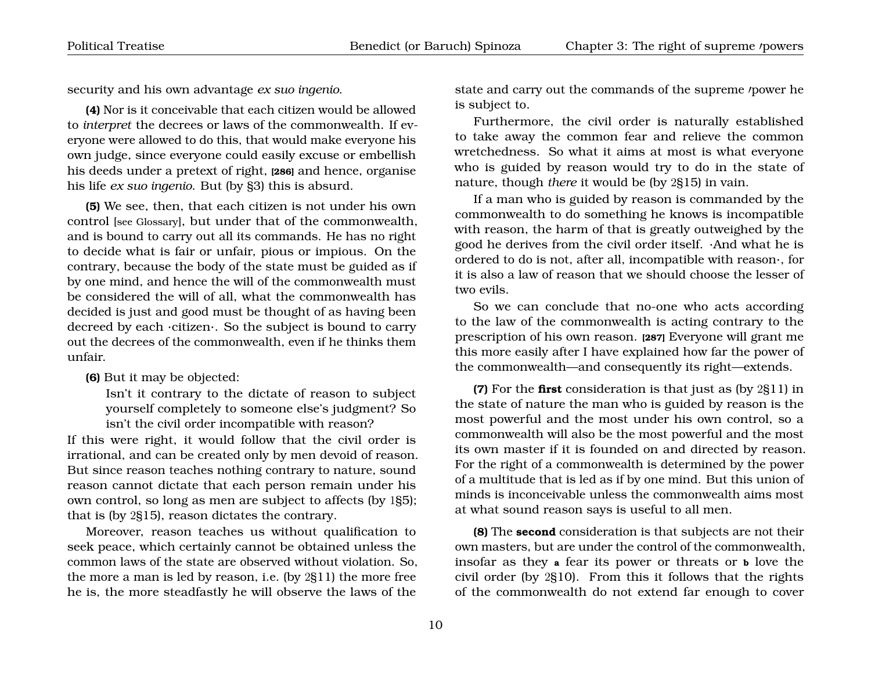security and his own advantage *ex suo ingenio*.

**(4)** Nor is it conceivable that each citizen would be allowed to *interpret* the decrees or laws of the commonwealth. If everyone were allowed to do this, that would make everyone his own judge, since everyone could easily excuse or embellish his deeds under a pretext of right, **[286]** and hence, organise his life *ex suo ingenio*. But (by §3) this is absurd.

**(5)** We see, then, that each citizen is not under his own control [see Glossary], but under that of the commonwealth, and is bound to carry out all its commands. He has no right to decide what is fair or unfair, pious or impious. On the contrary, because the body of the state must be guided as if by one mind, and hence the will of the commonwealth must be considered the will of all, what the commonwealth has decided is just and good must be thought of as having been decreed by each ·citizen·. So the subject is bound to carry out the decrees of the commonwealth, even if he thinks them unfair.

**(6)** But it may be objected:

Isn't it contrary to the dictate of reason to subject yourself completely to someone else's judgment? So isn't the civil order incompatible with reason?

If this were right, it would follow that the civil order is irrational, and can be created only by men devoid of reason. But since reason teaches nothing contrary to nature, sound reason cannot dictate that each person remain under his own control, so long as men are subject to affects (by 1§5); that is (by 2§15), reason dictates the contrary.

Moreover, reason teaches us without qualification to seek peace, which certainly cannot be obtained unless the common laws of the state are observed without violation. So, the more a man is led by reason, i.e. (by 2§11) the more free he is, the more steadfastly he will observe the laws of the

state and carry out the commands of the supreme /power he is subject to.

Furthermore, the civil order is naturally established to take away the common fear and relieve the common wretchedness. So what it aims at most is what everyone who is guided by reason would try to do in the state of nature, though *there* it would be (by 2§15) in vain.

If a man who is guided by reason is commanded by the commonwealth to do something he knows is incompatible with reason, the harm of that is greatly outweighed by the good he derives from the civil order itself. ·And what he is ordered to do is not, after all, incompatible with reason·, for it is also a law of reason that we should choose the lesser of two evils.

So we can conclude that no-one who acts according to the law of the commonwealth is acting contrary to the prescription of his own reason. **[287]** Everyone will grant me this more easily after I have explained how far the power of the commonwealth—and consequently its right—extends.

**(7)** For the **first** consideration is that just as (by 2§11) in the state of nature the man who is guided by reason is the most powerful and the most under his own control, so a commonwealth will also be the most powerful and the most its own master if it is founded on and directed by reason. For the right of a commonwealth is determined by the power of a multitude that is led as if by one mind. But this union of minds is inconceivable unless the commonwealth aims most at what sound reason says is useful to all men.

**(8)** The **second** consideration is that subjects are not their own masters, but are under the control of the commonwealth, insofar as they **a** fear its power or threats or **b** love the civil order (by 2§10). From this it follows that the rights of the commonwealth do not extend far enough to cover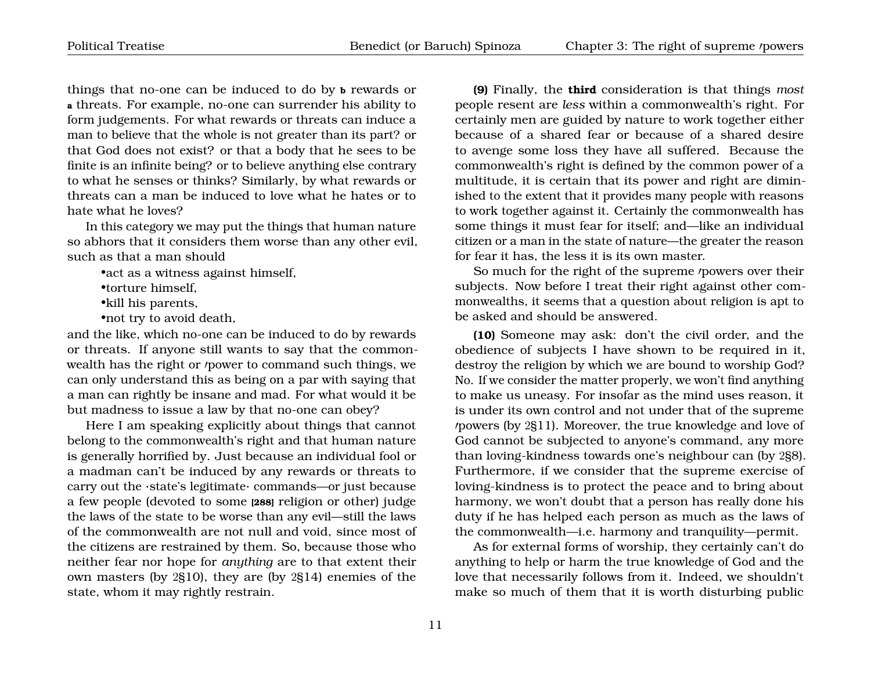things that no-one can be induced to do by **b** rewards or **a** threats. For example, no-one can surrender his ability to form judgements. For what rewards or threats can induce a man to believe that the whole is not greater than its part? or that God does not exist? or that a body that he sees to be finite is an infinite being? or to believe anything else contrary to what he senses or thinks? Similarly, by what rewards or threats can a man be induced to love what he hates or to hate what he loves?

In this category we may put the things that human nature so abhors that it considers them worse than any other evil, such as that a man should

•act as a witness against himself,

•torture himself,

•kill his parents,

•not try to avoid death,

and the like, which no-one can be induced to do by rewards or threats. If anyone still wants to say that the commonwealth has the right or *'*power to command such things, we can only understand this as being on a par with saying that a man can rightly be insane and mad. For what would it be but madness to issue a law by that no-one can obey?

Here I am speaking explicitly about things that cannot belong to the commonwealth's right and that human nature is generally horrified by. Just because an individual fool or a madman can't be induced by any rewards or threats to carry out the ·state's legitimate· commands—or just because a few people (devoted to some **[288]** religion or other) judge the laws of the state to be worse than any evil—still the laws of the commonwealth are not null and void, since most of the citizens are restrained by them. So, because those who neither fear nor hope for *anything* are to that extent their own masters (by 2§10), they are (by 2§14) enemies of the state, whom it may rightly restrain.

**(9)** Finally, the **third** consideration is that things *most* people resent are *less* within a commonwealth's right. For certainly men are guided by nature to work together either because of a shared fear or because of a shared desire to avenge some loss they have all suffered. Because the commonwealth's right is defined by the common power of a multitude, it is certain that its power and right are diminished to the extent that it provides many people with reasons to work together against it. Certainly the commonwealth has some things it must fear for itself; and—like an individual citizen or a man in the state of nature—the greater the reason for fear it has, the less it is its own master.

So much for the right of the supreme *powers* over their subjects. Now before I treat their right against other commonwealths, it seems that a question about religion is apt to be asked and should be answered.

**(10)** Someone may ask: don't the civil order, and the obedience of subjects I have shown to be required in it, destroy the religion by which we are bound to worship God? No. If we consider the matter properly, we won't find anything to make us uneasy. For insofar as the mind uses reason, it is under its own control and not under that of the supreme  $\nu$  /powers (by 2§11). Moreover, the true knowledge and love of God cannot be subjected to anyone's command, any more than loving-kindness towards one's neighbour can (by 2§8). Furthermore, if we consider that the supreme exercise of loving-kindness is to protect the peace and to bring about harmony, we won't doubt that a person has really done his duty if he has helped each person as much as the laws of the commonwealth—i.e. harmony and tranquility—permit.

As for external forms of worship, they certainly can't do anything to help or harm the true knowledge of God and the love that necessarily follows from it. Indeed, we shouldn't make so much of them that it is worth disturbing public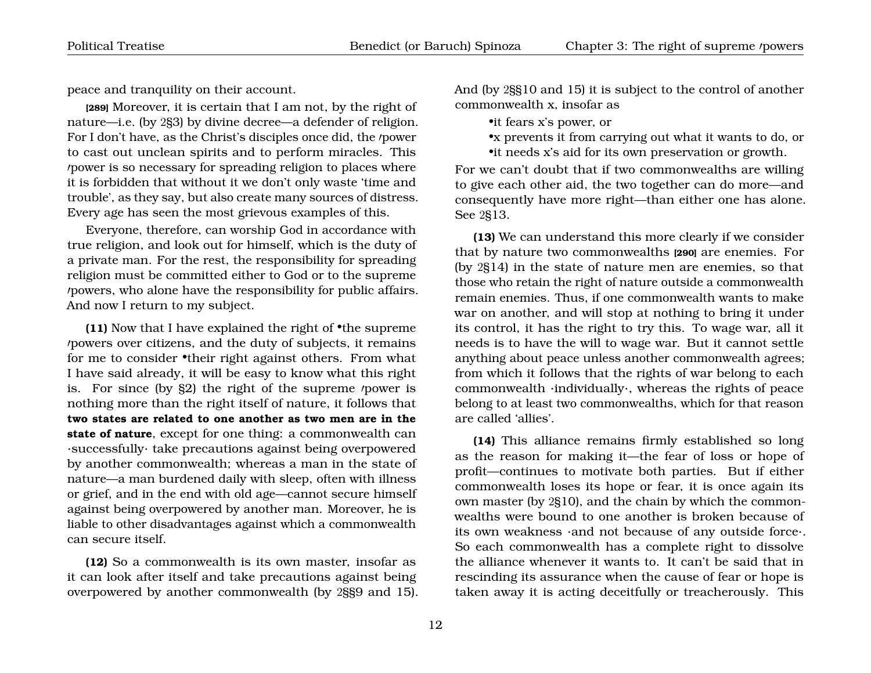peace and tranquility on their account.

**[289]** Moreover, it is certain that I am not, by the right of nature—i.e. (by 2§3) by divine decree—a defender of religion. For I don't have, as the Christ's disciples once did, the *power* to cast out unclean spirits and to perform miracles. This power is so necessary for spreading religion to places where it is forbidden that without it we don't only waste 'time and trouble', as they say, but also create many sources of distress. Every age has seen the most grievous examples of this.

Everyone, therefore, can worship God in accordance with true religion, and look out for himself, which is the duty of a private man. For the rest, the responsibility for spreading religion must be committed either to God or to the supreme powers, who alone have the responsibility for public affairs. And now I return to my subject.

**(11)** Now that I have explained the right of •the supreme powers over citizens, and the duty of subjects, it remains for me to consider •their right against others. From what I have said already, it will be easy to know what this right is. For since (by  $\S2$ ) the right of the supreme *power* is nothing more than the right itself of nature, it follows that **two states are related to one another as two men are in the state of nature**, except for one thing: a commonwealth can ·successfully· take precautions against being overpowered by another commonwealth; whereas a man in the state of nature—a man burdened daily with sleep, often with illness or grief, and in the end with old age—cannot secure himself against being overpowered by another man. Moreover, he is liable to other disadvantages against which a commonwealth can secure itself.

**(12)** So a commonwealth is its own master, insofar as it can look after itself and take precautions against being overpowered by another commonwealth (by 2§§9 and 15). And (by 2§§10 and 15) it is subject to the control of another commonwealth x, insofar as

•it fears x's power, or

•x prevents it from carrying out what it wants to do, or •it needs x's aid for its own preservation or growth.

For we can't doubt that if two commonwealths are willing to give each other aid, the two together can do more—and consequently have more right—than either one has alone. See 2§13.

**(13)** We can understand this more clearly if we consider that by nature two commonwealths **[290]** are enemies. For (by 2§14) in the state of nature men are enemies, so that those who retain the right of nature outside a commonwealth remain enemies. Thus, if one commonwealth wants to make war on another, and will stop at nothing to bring it under its control, it has the right to try this. To wage war, all it needs is to have the will to wage war. But it cannot settle anything about peace unless another commonwealth agrees; from which it follows that the rights of war belong to each commonwealth ·individually·, whereas the rights of peace belong to at least two commonwealths, which for that reason are called 'allies'.

**(14)** This alliance remains firmly established so long as the reason for making it—the fear of loss or hope of profit—continues to motivate both parties. But if either commonwealth loses its hope or fear, it is once again its own master (by 2§10), and the chain by which the commonwealths were bound to one another is broken because of its own weakness ·and not because of any outside force·. So each commonwealth has a complete right to dissolve the alliance whenever it wants to. It can't be said that in rescinding its assurance when the cause of fear or hope is taken away it is acting deceitfully or treacherously. This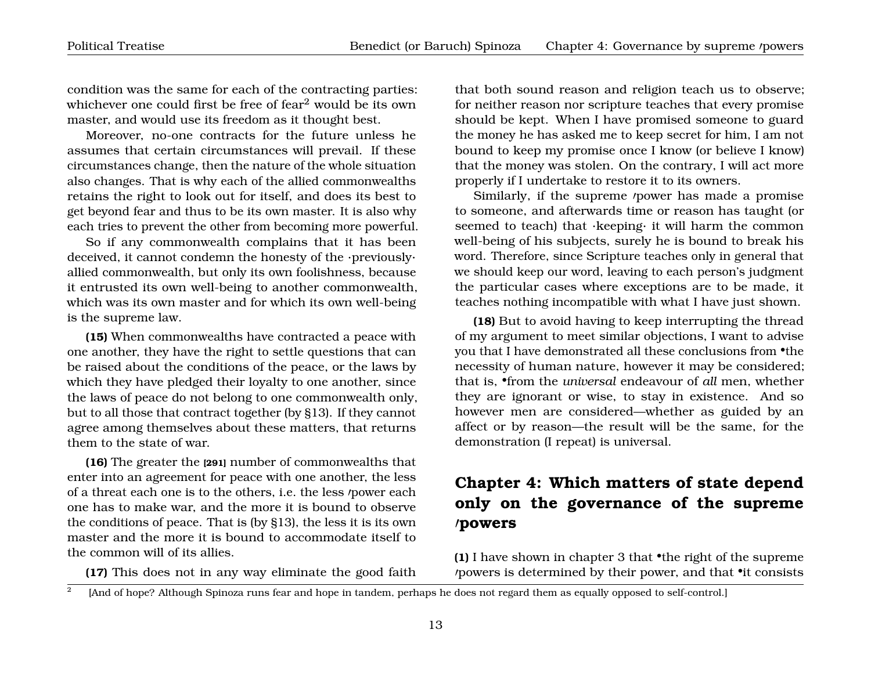condition was the same for each of the contracting parties: whichever one could first be free of fear<sup>[2](#page-14-1)</sup> would be its own master, and would use its freedom as it thought best.

Moreover, no-one contracts for the future unless he assumes that certain circumstances will prevail. If these circumstances change, then the nature of the whole situation also changes. That is why each of the allied commonwealths retains the right to look out for itself, and does its best to get beyond fear and thus to be its own master. It is also why each tries to prevent the other from becoming more powerful.

So if any commonwealth complains that it has been deceived, it cannot condemn the honesty of the ·previously· allied commonwealth, but only its own foolishness, because it entrusted its own well-being to another commonwealth, which was its own master and for which its own well-being is the supreme law.

**(15)** When commonwealths have contracted a peace with one another, they have the right to settle questions that can be raised about the conditions of the peace, or the laws by which they have pledged their loyalty to one another, since the laws of peace do not belong to one commonwealth only, but to all those that contract together (by §13). If they cannot agree among themselves about these matters, that returns them to the state of war.

**(16)** The greater the **[291]** number of commonwealths that enter into an agreement for peace with one another, the less of a threat each one is to the others, *i.e.* the less *'power each* one has to make war, and the more it is bound to observe the conditions of peace. That is (by §13), the less it is its own master and the more it is bound to accommodate itself to the common will of its allies.

<span id="page-14-1"></span>**(17)** This does not in any way eliminate the good faith

that both sound reason and religion teach us to observe; for neither reason nor scripture teaches that every promise should be kept. When I have promised someone to guard the money he has asked me to keep secret for him, I am not bound to keep my promise once I know (or believe I know) that the money was stolen. On the contrary, I will act more properly if I undertake to restore it to its owners.

Similarly, if the supreme *power* has made a promise to someone, and afterwards time or reason has taught (or seemed to teach) that ·keeping· it will harm the common well-being of his subjects, surely he is bound to break his word. Therefore, since Scripture teaches only in general that we should keep our word, leaving to each person's judgment the particular cases where exceptions are to be made, it teaches nothing incompatible with what I have just shown.

**(18)** But to avoid having to keep interrupting the thread of my argument to meet similar objections, I want to advise you that I have demonstrated all these conclusions from •the necessity of human nature, however it may be considered; that is, •from the *universal* endeavour of *all* men, whether they are ignorant or wise, to stay in existence. And so however men are considered—whether as guided by an affect or by reason—the result will be the same, for the demonstration (I repeat) is universal.

# <span id="page-14-0"></span>**Chapter 4: Which matters of state depend only on the governance of the supreme** 0**powers**

**(1)** I have shown in chapter 3 that •the right of the supreme 0powers is determined by their power, and that •it consists

 $\overline{2}$ [And of hope? Although Spinoza runs fear and hope in tandem, perhaps he does not regard them as equally opposed to self-control.]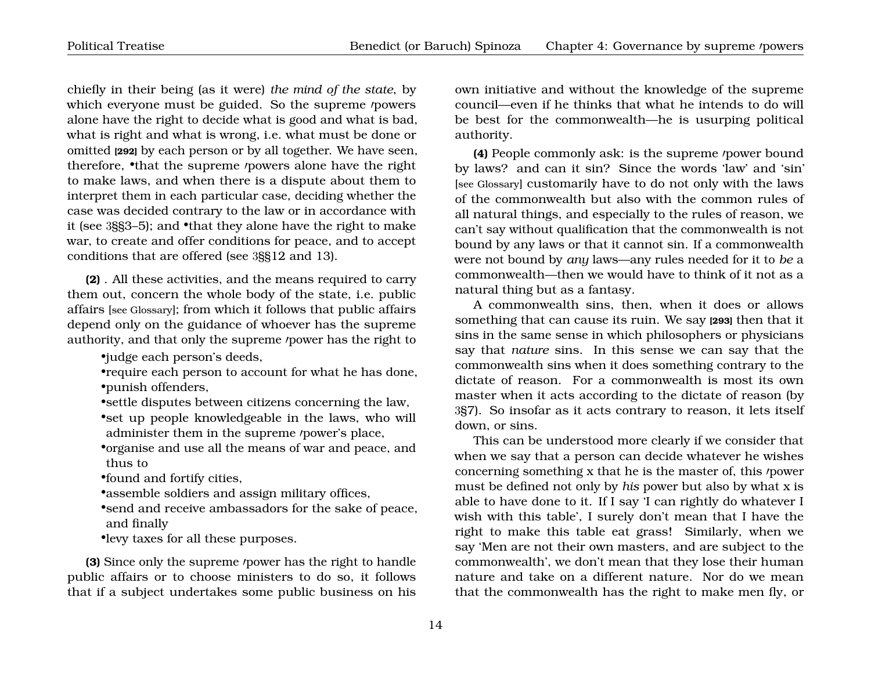chiefly in their being (as it were) *the mind of the state*, by which everyone must be guided. So the supreme *powers* alone have the right to decide what is good and what is bad, what is right and what is wrong, i.e. what must be done or omitted **[292]** by each person or by all together. We have seen, therefore, •that the supreme *powers* alone have the right to make laws, and when there is a dispute about them to interpret them in each particular case, deciding whether the case was decided contrary to the law or in accordance with it (see 3§§3–5); and •that they alone have the right to make war, to create and offer conditions for peace, and to accept conditions that are offered (see 3§§12 and 13).

**(2)** . All these activities, and the means required to carry them out, concern the whole body of the state, i.e. public affairs [see Glossary]; from which it follows that public affairs depend only on the guidance of whoever has the supreme authority, and that only the supreme *power* has the right to

•judge each person's deeds,

•require each person to account for what he has done, •punish offenders,

•settle disputes between citizens concerning the law, •set up people knowledgeable in the laws, who will administer them in the supreme /power's place,

•organise and use all the means of war and peace, and thus to

•found and fortify cities,

•assemble soldiers and assign military offices,

•send and receive ambassadors for the sake of peace, and finally

•levy taxes for all these purposes.

**(3)** Since only the supreme *power* has the right to handle public affairs or to choose ministers to do so, it follows that if a subject undertakes some public business on his

own initiative and without the knowledge of the supreme council—even if he thinks that what he intends to do will be best for the commonwealth—he is usurping political authority.

**(4)** People commonly ask: is the supreme *power bound* by laws? and can it sin? Since the words 'law' and 'sin' [see Glossary] customarily have to do not only with the laws of the commonwealth but also with the common rules of all natural things, and especially to the rules of reason, we can't say without qualification that the commonwealth is not bound by any laws or that it cannot sin. If a commonwealth were not bound by *any* laws—any rules needed for it to *be* a commonwealth—then we would have to think of it not as a natural thing but as a fantasy.

A commonwealth sins, then, when it does or allows something that can cause its ruin. We say **[293]** then that it sins in the same sense in which philosophers or physicians say that *nature* sins. In this sense we can say that the commonwealth sins when it does something contrary to the dictate of reason. For a commonwealth is most its own master when it acts according to the dictate of reason (by 3§7). So insofar as it acts contrary to reason, it lets itself down, or sins.

This can be understood more clearly if we consider that when we say that a person can decide whatever he wishes concerning something x that he is the master of, this *power* must be defined not only by *his* power but also by what x is able to have done to it. If I say 'I can rightly do whatever I wish with this table', I surely don't mean that I have the right to make this table eat grass! Similarly, when we say 'Men are not their own masters, and are subject to the commonwealth', we don't mean that they lose their human nature and take on a different nature. Nor do we mean that the commonwealth has the right to make men fly, or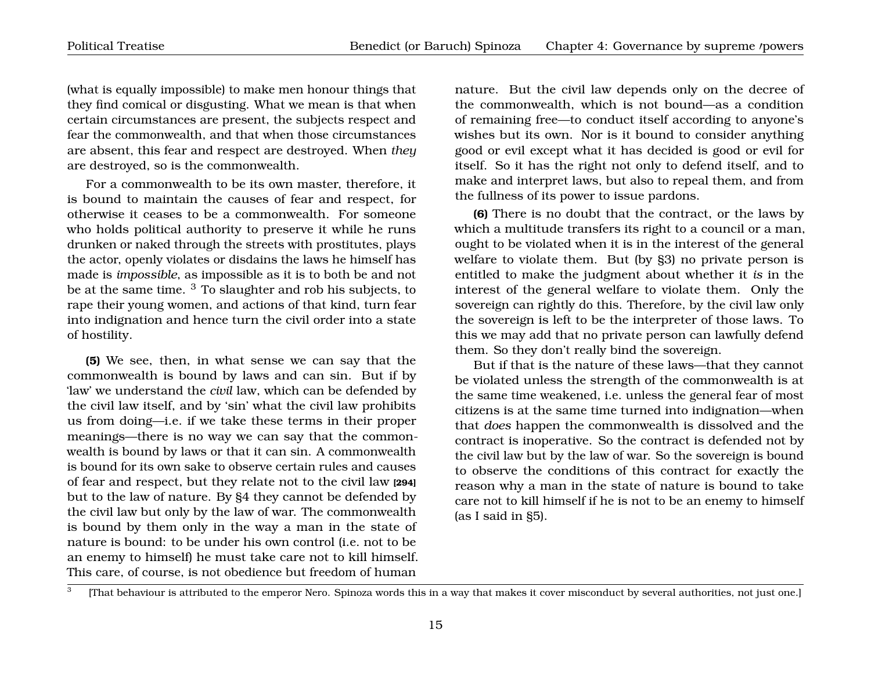(what is equally impossible) to make men honour things that they find comical or disgusting. What we mean is that when certain circumstances are present, the subjects respect and fear the commonwealth, and that when those circumstances are absent, this fear and respect are destroyed. When *they* are destroyed, so is the commonwealth.

For a commonwealth to be its own master, therefore, it is bound to maintain the causes of fear and respect, for otherwise it ceases to be a commonwealth. For someone who holds political authority to preserve it while he runs drunken or naked through the streets with prostitutes, plays the actor, openly violates or disdains the laws he himself has made is *impossible*, as impossible as it is to both be and not be at the same time. [3](#page-16-0) To slaughter and rob his subjects, to rape their young women, and actions of that kind, turn fear into indignation and hence turn the civil order into a state of hostility.

**(5)** We see, then, in what sense we can say that the commonwealth is bound by laws and can sin. But if by 'law' we understand the *civil* law, which can be defended by the civil law itself, and by 'sin' what the civil law prohibits us from doing—i.e. if we take these terms in their proper meanings—there is no way we can say that the commonwealth is bound by laws or that it can sin. A commonwealth is bound for its own sake to observe certain rules and causes of fear and respect, but they relate not to the civil law **[294]** but to the law of nature. By §4 they cannot be defended by the civil law but only by the law of war. The commonwealth is bound by them only in the way a man in the state of nature is bound: to be under his own control (i.e. not to be an enemy to himself) he must take care not to kill himself. This care, of course, is not obedience but freedom of human

nature. But the civil law depends only on the decree of the commonwealth, which is not bound—as a condition of remaining free—to conduct itself according to anyone's wishes but its own. Nor is it bound to consider anything good or evil except what it has decided is good or evil for itself. So it has the right not only to defend itself, and to make and interpret laws, but also to repeal them, and from the fullness of its power to issue pardons.

**(6)** There is no doubt that the contract, or the laws by which a multitude transfers its right to a council or a man, ought to be violated when it is in the interest of the general welfare to violate them. But (by §3) no private person is entitled to make the judgment about whether it *is* in the interest of the general welfare to violate them. Only the sovereign can rightly do this. Therefore, by the civil law only the sovereign is left to be the interpreter of those laws. To this we may add that no private person can lawfully defend them. So they don't really bind the sovereign.

But if that is the nature of these laws—that they cannot be violated unless the strength of the commonwealth is at the same time weakened, i.e. unless the general fear of most citizens is at the same time turned into indignation—when that *does* happen the commonwealth is dissolved and the contract is inoperative. So the contract is defended not by the civil law but by the law of war. So the sovereign is bound to observe the conditions of this contract for exactly the reason why a man in the state of nature is bound to take care not to kill himself if he is not to be an enemy to himself (as I said in §5).

<span id="page-16-0"></span><sup>3</sup> [That behaviour is attributed to the emperor Nero. Spinoza words this in a way that makes it cover misconduct by several authorities, not just one.]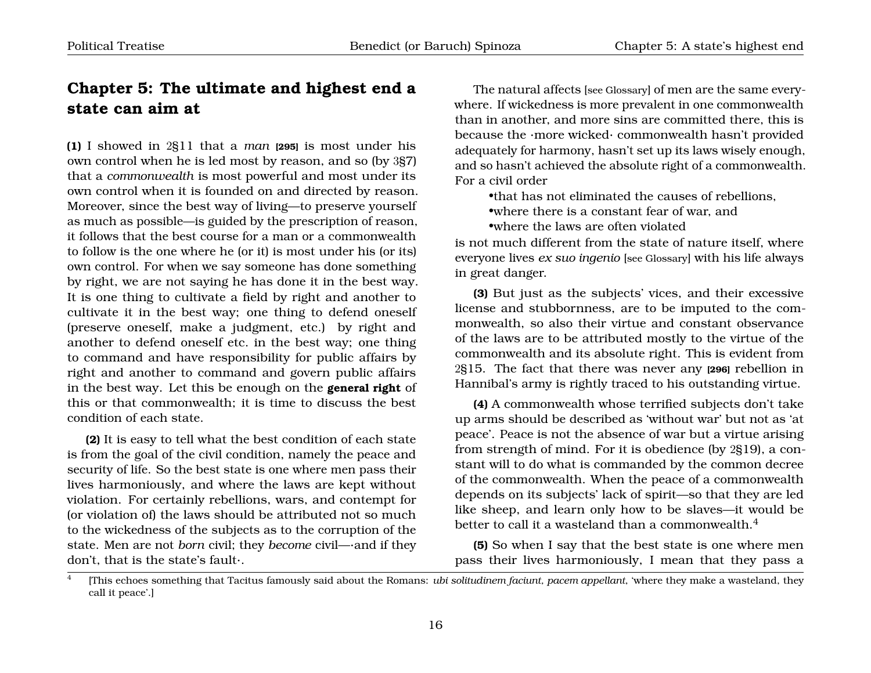## <span id="page-17-0"></span>**Chapter 5: The ultimate and highest end a state can aim at**

**(1)** I showed in 2§11 that a *man* **[295]** is most under his own control when he is led most by reason, and so (by 3§7) that a *commonwealth* is most powerful and most under its own control when it is founded on and directed by reason. Moreover, since the best way of living—to preserve yourself as much as possible—is guided by the prescription of reason, it follows that the best course for a man or a commonwealth to follow is the one where he (or it) is most under his (or its) own control. For when we say someone has done something by right, we are not saying he has done it in the best way. It is one thing to cultivate a field by right and another to cultivate it in the best way; one thing to defend oneself (preserve oneself, make a judgment, etc.) by right and another to defend oneself etc. in the best way; one thing to command and have responsibility for public affairs by right and another to command and govern public affairs in the best way. Let this be enough on the **general right** of this or that commonwealth; it is time to discuss the best condition of each state.

**(2)** It is easy to tell what the best condition of each state is from the goal of the civil condition, namely the peace and security of life. So the best state is one where men pass their lives harmoniously, and where the laws are kept without violation. For certainly rebellions, wars, and contempt for (or violation of) the laws should be attributed not so much to the wickedness of the subjects as to the corruption of the state. Men are not *born* civil; they *become* civil—·and if they don't, that is the state's fault·.

The natural affects [see Glossary] of men are the same everywhere. If wickedness is more prevalent in one commonwealth than in another, and more sins are committed there, this is because the ·more wicked· commonwealth hasn't provided adequately for harmony, hasn't set up its laws wisely enough, and so hasn't achieved the absolute right of a commonwealth. For a civil order

•that has not eliminated the causes of rebellions,

•where there is a constant fear of war, and

•where the laws are often violated

is not much different from the state of nature itself, where everyone lives *ex suo ingenio* [see Glossary] with his life always in great danger.

**(3)** But just as the subjects' vices, and their excessive license and stubbornness, are to be imputed to the commonwealth, so also their virtue and constant observance of the laws are to be attributed mostly to the virtue of the commonwealth and its absolute right. This is evident from 2§15. The fact that there was never any **[296]** rebellion in Hannibal's army is rightly traced to his outstanding virtue.

**(4)** A commonwealth whose terrified subjects don't take up arms should be described as 'without war' but not as 'at peace'. Peace is not the absence of war but a virtue arising from strength of mind. For it is obedience (by 2§19), a constant will to do what is commanded by the common decree of the commonwealth. When the peace of a commonwealth depends on its subjects' lack of spirit—so that they are led like sheep, and learn only how to be slaves—it would be better to call it a wasteland than a commonwealth.<sup>[4](#page-17-1)</sup>

**(5)** So when I say that the best state is one where men pass their lives harmoniously, I mean that they pass a

<span id="page-17-1"></span><sup>4</sup> [This echoes something that Tacitus famously said about the Romans: *ubi solitudinem faciunt, pacem appellant*, 'where they make a wasteland, they call it peace'.]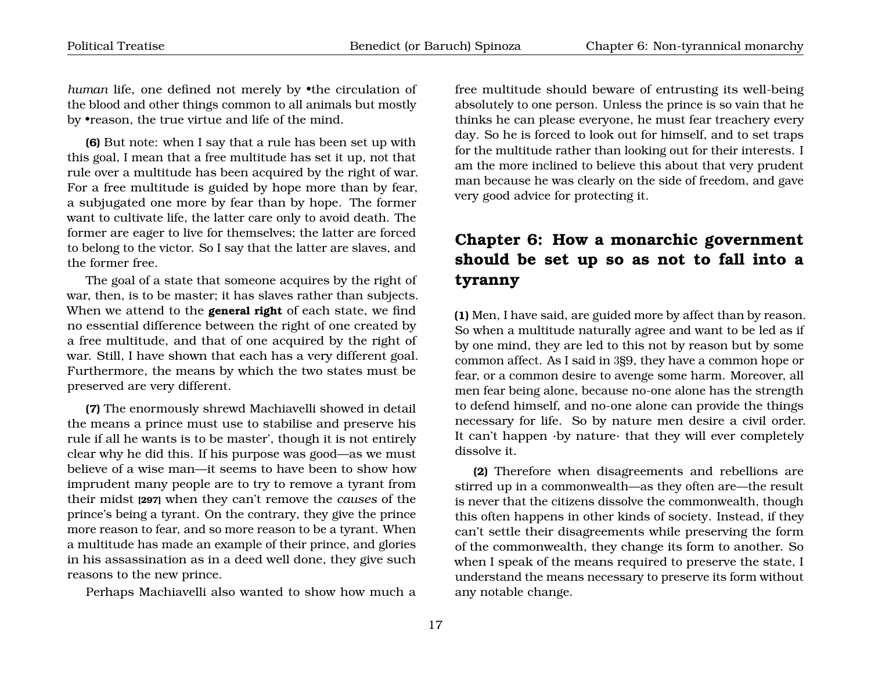*human* life, one defined not merely by •the circulation of the blood and other things common to all animals but mostly by •reason, the true virtue and life of the mind.

**(6)** But note: when I say that a rule has been set up with this goal, I mean that a free multitude has set it up, not that rule over a multitude has been acquired by the right of war. For a free multitude is guided by hope more than by fear, a subjugated one more by fear than by hope. The former want to cultivate life, the latter care only to avoid death. The former are eager to live for themselves; the latter are forced to belong to the victor. So I say that the latter are slaves, and the former free.

The goal of a state that someone acquires by the right of war, then, is to be master; it has slaves rather than subjects. When we attend to the **general right** of each state, we find no essential difference between the right of one created by a free multitude, and that of one acquired by the right of war. Still, I have shown that each has a very different goal. Furthermore, the means by which the two states must be preserved are very different.

**(7)** The enormously shrewd Machiavelli showed in detail the means a prince must use to stabilise and preserve his rule if all he wants is to be master', though it is not entirely clear why he did this. If his purpose was good—as we must believe of a wise man—it seems to have been to show how imprudent many people are to try to remove a tyrant from their midst **[297]** when they can't remove the *causes* of the prince's being a tyrant. On the contrary, they give the prince more reason to fear, and so more reason to be a tyrant. When a multitude has made an example of their prince, and glories in his assassination as in a deed well done, they give such reasons to the new prince.

Perhaps Machiavelli also wanted to show how much a

free multitude should beware of entrusting its well-being absolutely to one person. Unless the prince is so vain that he thinks he can please everyone, he must fear treachery every day. So he is forced to look out for himself, and to set traps for the multitude rather than looking out for their interests. I am the more inclined to believe this about that very prudent man because he was clearly on the side of freedom, and gave very good advice for protecting it.

# <span id="page-18-0"></span>**Chapter 6: How a monarchic government should be set up so as not to fall into a tyranny**

**(1)** Men, I have said, are guided more by affect than by reason. So when a multitude naturally agree and want to be led as if by one mind, they are led to this not by reason but by some common affect. As I said in 3§9, they have a common hope or fear, or a common desire to avenge some harm. Moreover, all men fear being alone, because no-one alone has the strength to defend himself, and no-one alone can provide the things necessary for life. So by nature men desire a civil order. It can't happen ·by nature· that they will ever completely dissolve it.

**(2)** Therefore when disagreements and rebellions are stirred up in a commonwealth—as they often are—the result is never that the citizens dissolve the commonwealth, though this often happens in other kinds of society. Instead, if they can't settle their disagreements while preserving the form of the commonwealth, they change its form to another. So when I speak of the means required to preserve the state, I understand the means necessary to preserve its form without any notable change.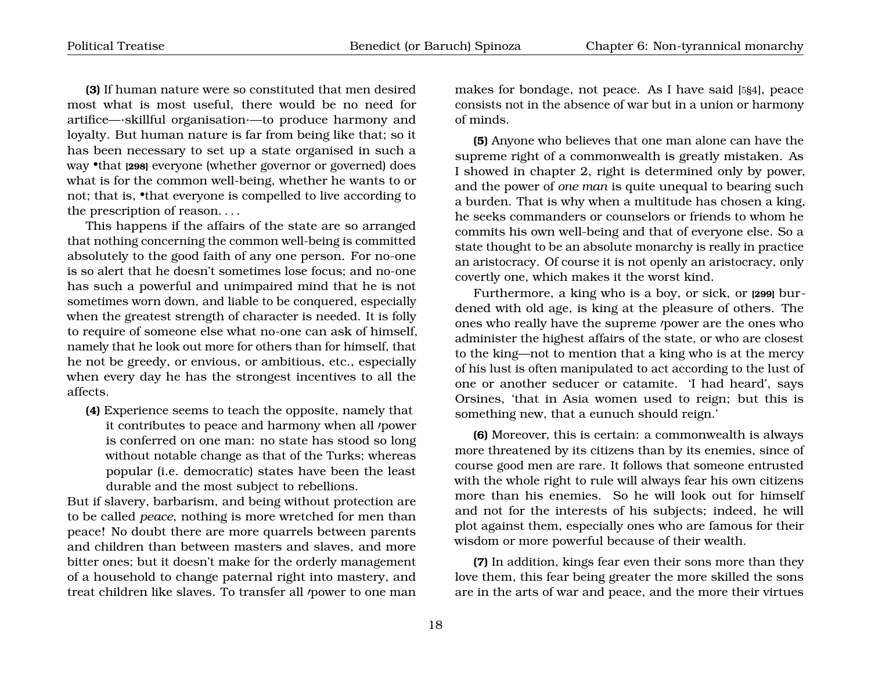**(3)** If human nature were so constituted that men desired most what is most useful, there would be no need for artifice—·skillful organisation·—to produce harmony and loyalty. But human nature is far from being like that; so it has been necessary to set up a state organised in such a way •that **[298]** everyone (whether governor or governed) does what is for the common well-being, whether he wants to or not; that is, •that everyone is compelled to live according to the prescription of reason. . . .

This happens if the affairs of the state are so arranged that nothing concerning the common well-being is committed absolutely to the good faith of any one person. For no-one is so alert that he doesn't sometimes lose focus; and no-one has such a powerful and unimpaired mind that he is not sometimes worn down, and liable to be conquered, especially when the greatest strength of character is needed. It is folly to require of someone else what no-one can ask of himself, namely that he look out more for others than for himself, that he not be greedy, or envious, or ambitious, etc., especially when every day he has the strongest incentives to all the affects.

**(4)** Experience seems to teach the opposite, namely that it contributes to peace and harmony when all /power is conferred on one man: no state has stood so long without notable change as that of the Turks; whereas popular (i.e. democratic) states have been the least durable and the most subject to rebellions.

But if slavery, barbarism, and being without protection are to be called *peace*, nothing is more wretched for men than peace! No doubt there are more quarrels between parents and children than between masters and slaves, and more bitter ones; but it doesn't make for the orderly management of a household to change paternal right into mastery, and treat children like slaves. To transfer all /power to one man

makes for bondage, not peace. As I have said [5§4], peace consists not in the absence of war but in a union or harmony of minds.

**(5)** Anyone who believes that one man alone can have the supreme right of a commonwealth is greatly mistaken. As I showed in chapter 2, right is determined only by power, and the power of *one man* is quite unequal to bearing such a burden. That is why when a multitude has chosen a king, he seeks commanders or counselors or friends to whom he commits his own well-being and that of everyone else. So a state thought to be an absolute monarchy is really in practice an aristocracy. Of course it is not openly an aristocracy, only covertly one, which makes it the worst kind.

Furthermore, a king who is a boy, or sick, or **[299]** burdened with old age, is king at the pleasure of others. The ones who really have the supreme *power* are the ones who administer the highest affairs of the state, or who are closest to the king—not to mention that a king who is at the mercy of his lust is often manipulated to act according to the lust of one or another seducer or catamite. 'I had heard', says Orsines, 'that in Asia women used to reign; but this is something new, that a eunuch should reign.'

**(6)** Moreover, this is certain: a commonwealth is always more threatened by its citizens than by its enemies, since of course good men are rare. It follows that someone entrusted with the whole right to rule will always fear his own citizens more than his enemies. So he will look out for himself and not for the interests of his subjects; indeed, he will plot against them, especially ones who are famous for their wisdom or more powerful because of their wealth.

**(7)** In addition, kings fear even their sons more than they love them, this fear being greater the more skilled the sons are in the arts of war and peace, and the more their virtues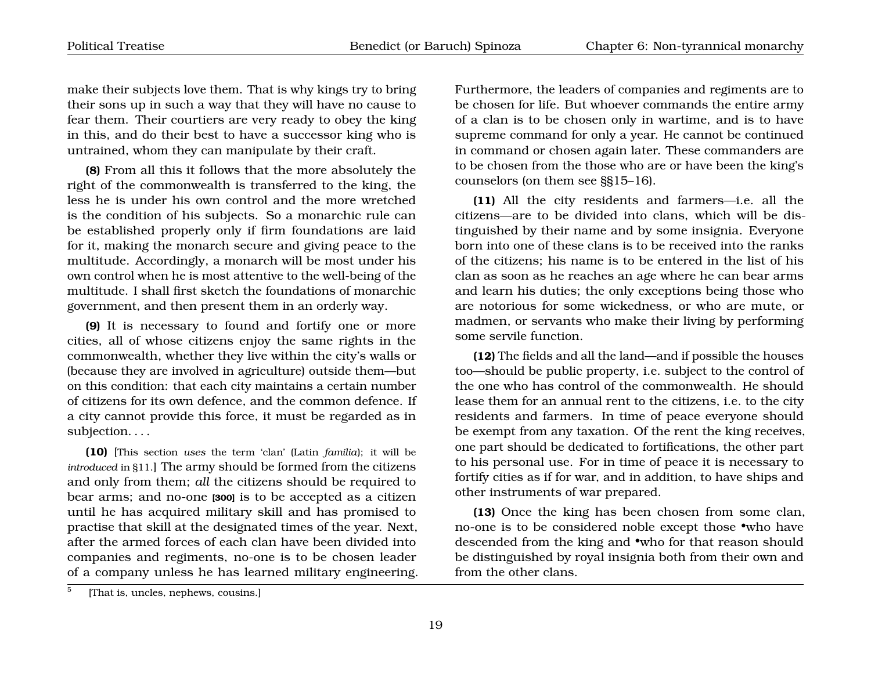make their subjects love them. That is why kings try to bring their sons up in such a way that they will have no cause to fear them. Their courtiers are very ready to obey the king in this, and do their best to have a successor king who is untrained, whom they can manipulate by their craft.

**(8)** From all this it follows that the more absolutely the right of the commonwealth is transferred to the king, the less he is under his own control and the more wretched is the condition of his subjects. So a monarchic rule can be established properly only if firm foundations are laid for it, making the monarch secure and giving peace to the multitude. Accordingly, a monarch will be most under his own control when he is most attentive to the well-being of the multitude. I shall first sketch the foundations of monarchic government, and then present them in an orderly way.

**(9)** It is necessary to found and fortify one or more cities, all of whose citizens enjoy the same rights in the commonwealth, whether they live within the city's walls or (because they are involved in agriculture) outside them—but on this condition: that each city maintains a certain number of citizens for its own defence, and the common defence. If a city cannot provide this force, it must be regarded as in subjection. . . .

**(10)** [This section *uses* the term 'clan' (Latin *familia*); it will be *introduced* in §11.] The army should be formed from the citizens and only from them; *all* the citizens should be required to bear arms; and no-one **[300]** is to be accepted as a citizen until he has acquired military skill and has promised to practise that skill at the designated times of the year. Next, after the armed forces of each clan have been divided into companies and regiments, no-one is to be chosen leader of a company unless he has learned military engineering. Furthermore, the leaders of companies and regiments are to be chosen for life. But whoever commands the entire army of a clan is to be chosen only in wartime, and is to have supreme command for only a year. He cannot be continued in command or chosen again later. These commanders are to be chosen from the those who are or have been the king's counselors (on them see §§15–16).

**(11)** All the city residents and farmers—i.e. all the citizens—are to be divided into clans, which will be distinguished by their name and by some insignia. Everyone born into one of these clans is to be received into the ranks of the citizens; his name is to be entered in the list of his clan as soon as he reaches an age where he can bear arms and learn his duties; the only exceptions being those who are notorious for some wickedness, or who are mute, or madmen, or servants who make their living by performing some servile function.

**(12)** The fields and all the land—and if possible the houses too—should be public property, i.e. subject to the control of the one who has control of the commonwealth. He should lease them for an annual rent to the citizens, i.e. to the city residents and farmers. In time of peace everyone should be exempt from any taxation. Of the rent the king receives, one part should be dedicated to fortifications, the other part to his personal use. For in time of peace it is necessary to fortify cities as if for war, and in addition, to have ships and other instruments of war prepared.

**(13)** Once the king has been chosen from some clan, no-one is to be considered noble except those •who have descended from the king and •who for that reason should be distinguished by royal insignia both from their own and from the other clans.

<span id="page-20-0"></span><sup>5</sup> [That is, uncles, nephews, cousins.]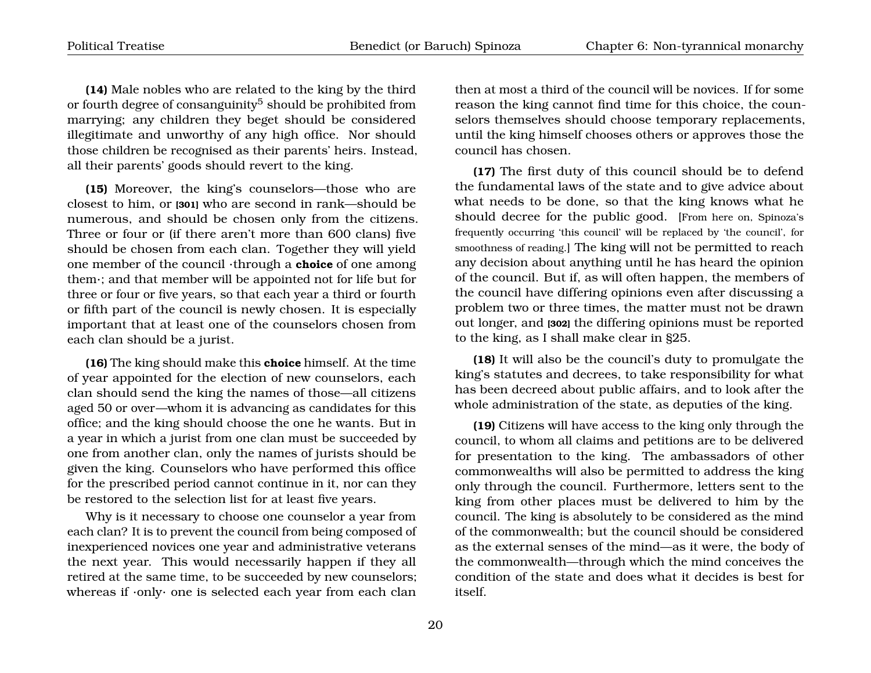**(14)** Male nobles who are related to the king by the third or fourth degree of consanguinity<sup>[5](#page-20-0)</sup> should be prohibited from marrying; any children they beget should be considered illegitimate and unworthy of any high office. Nor should those children be recognised as their parents' heirs. Instead, all their parents' goods should revert to the king.

**(15)** Moreover, the king's counselors—those who are closest to him, or **[301]** who are second in rank—should be numerous, and should be chosen only from the citizens. Three or four or (if there aren't more than 600 clans) five should be chosen from each clan. Together they will yield one member of the council ·through a **choice** of one among them·; and that member will be appointed not for life but for three or four or five years, so that each year a third or fourth or fifth part of the council is newly chosen. It is especially important that at least one of the counselors chosen from each clan should be a jurist.

**(16)** The king should make this **choice** himself. At the time of year appointed for the election of new counselors, each clan should send the king the names of those—all citizens aged 50 or over—whom it is advancing as candidates for this office; and the king should choose the one he wants. But in a year in which a jurist from one clan must be succeeded by one from another clan, only the names of jurists should be given the king. Counselors who have performed this office for the prescribed period cannot continue in it, nor can they be restored to the selection list for at least five years.

Why is it necessary to choose one counselor a year from each clan? It is to prevent the council from being composed of inexperienced novices one year and administrative veterans the next year. This would necessarily happen if they all retired at the same time, to be succeeded by new counselors; whereas if ·only· one is selected each year from each clan

then at most a third of the council will be novices. If for some reason the king cannot find time for this choice, the counselors themselves should choose temporary replacements, until the king himself chooses others or approves those the council has chosen.

**(17)** The first duty of this council should be to defend the fundamental laws of the state and to give advice about what needs to be done, so that the king knows what he should decree for the public good. [From here on, Spinoza's frequently occurring 'this council' will be replaced by 'the council', for smoothness of reading.] The king will not be permitted to reach any decision about anything until he has heard the opinion of the council. But if, as will often happen, the members of the council have differing opinions even after discussing a problem two or three times, the matter must not be drawn out longer, and **[302]** the differing opinions must be reported to the king, as I shall make clear in §25.

**(18)** It will also be the council's duty to promulgate the king's statutes and decrees, to take responsibility for what has been decreed about public affairs, and to look after the whole administration of the state, as deputies of the king.

**(19)** Citizens will have access to the king only through the council, to whom all claims and petitions are to be delivered for presentation to the king. The ambassadors of other commonwealths will also be permitted to address the king only through the council. Furthermore, letters sent to the king from other places must be delivered to him by the council. The king is absolutely to be considered as the mind of the commonwealth; but the council should be considered as the external senses of the mind—as it were, the body of the commonwealth—through which the mind conceives the condition of the state and does what it decides is best for itself.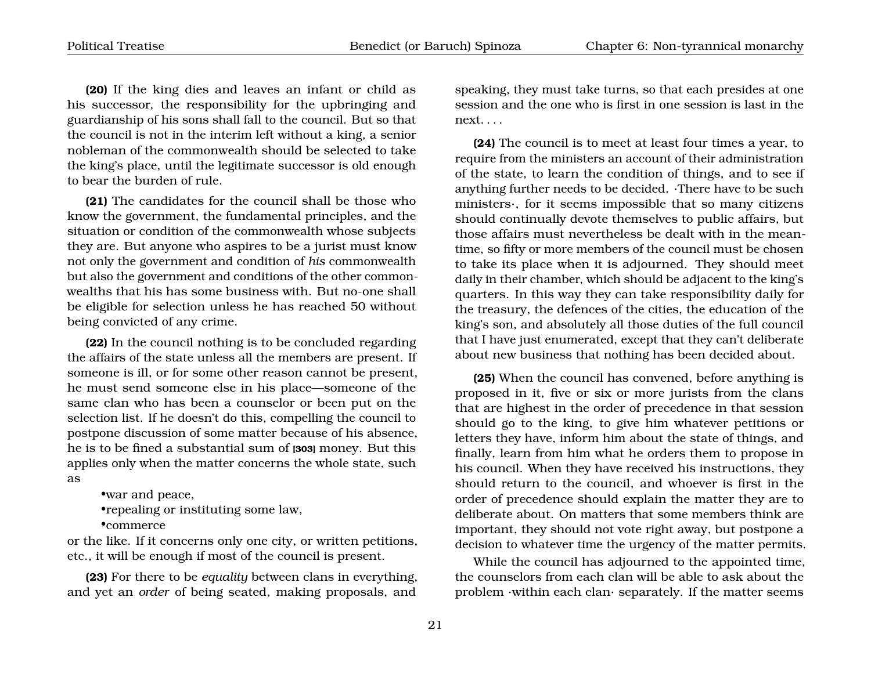**(20)** If the king dies and leaves an infant or child as his successor, the responsibility for the upbringing and guardianship of his sons shall fall to the council. But so that the council is not in the interim left without a king, a senior nobleman of the commonwealth should be selected to take the king's place, until the legitimate successor is old enough to bear the burden of rule.

**(21)** The candidates for the council shall be those who know the government, the fundamental principles, and the situation or condition of the commonwealth whose subjects they are. But anyone who aspires to be a jurist must know not only the government and condition of *his* commonwealth but also the government and conditions of the other commonwealths that his has some business with. But no-one shall be eligible for selection unless he has reached 50 without being convicted of any crime.

**(22)** In the council nothing is to be concluded regarding the affairs of the state unless all the members are present. If someone is ill, or for some other reason cannot be present, he must send someone else in his place—someone of the same clan who has been a counselor or been put on the selection list. If he doesn't do this, compelling the council to postpone discussion of some matter because of his absence, he is to be fined a substantial sum of **[303]** money. But this applies only when the matter concerns the whole state, such as

•war and peace, •repealing or instituting some law, •commerce

or the like. If it concerns only one city, or written petitions, etc., it will be enough if most of the council is present.

**(23)** For there to be *equality* between clans in everything, and yet an *order* of being seated, making proposals, and speaking, they must take turns, so that each presides at one session and the one who is first in one session is last in the next. . . .

**(24)** The council is to meet at least four times a year, to require from the ministers an account of their administration of the state, to learn the condition of things, and to see if anything further needs to be decided. ·There have to be such ministers·, for it seems impossible that so many citizens should continually devote themselves to public affairs, but those affairs must nevertheless be dealt with in the meantime, so fifty or more members of the council must be chosen to take its place when it is adjourned. They should meet daily in their chamber, which should be adjacent to the king's quarters. In this way they can take responsibility daily for the treasury, the defences of the cities, the education of the king's son, and absolutely all those duties of the full council that I have just enumerated, except that they can't deliberate about new business that nothing has been decided about.

**(25)** When the council has convened, before anything is proposed in it, five or six or more jurists from the clans that are highest in the order of precedence in that session should go to the king, to give him whatever petitions or letters they have, inform him about the state of things, and finally, learn from him what he orders them to propose in his council. When they have received his instructions, they should return to the council, and whoever is first in the order of precedence should explain the matter they are to deliberate about. On matters that some members think are important, they should not vote right away, but postpone a decision to whatever time the urgency of the matter permits.

While the council has adjourned to the appointed time, the counselors from each clan will be able to ask about the problem ·within each clan· separately. If the matter seems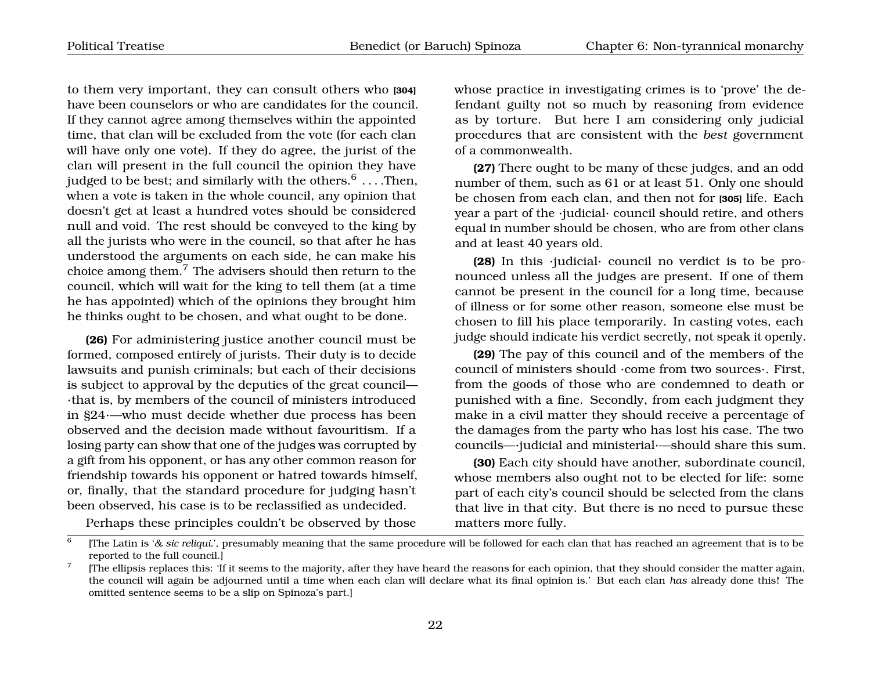to them very important, they can consult others who **[304]** have been counselors or who are candidates for the council. If they cannot agree among themselves within the appointed time, that clan will be excluded from the vote (for each clan will have only one vote). If they do agree, the jurist of the clan will present in the full council the opinion they have judged to be best; and similarly with the others. $^6$  $^6$   $\ldots$  .Then, when a vote is taken in the whole council, any opinion that doesn't get at least a hundred votes should be considered null and void. The rest should be conveyed to the king by all the jurists who were in the council, so that after he has understood the arguments on each side, he can make his choice among them.[7](#page-23-1) The advisers should then return to the council, which will wait for the king to tell them (at a time he has appointed) which of the opinions they brought him he thinks ought to be chosen, and what ought to be done.

**(26)** For administering justice another council must be formed, composed entirely of jurists. Their duty is to decide lawsuits and punish criminals; but each of their decisions is subject to approval by the deputies of the great council— ·that is, by members of the council of ministers introduced in §24·—who must decide whether due process has been observed and the decision made without favouritism. If a losing party can show that one of the judges was corrupted by a gift from his opponent, or has any other common reason for friendship towards his opponent or hatred towards himself, or, finally, that the standard procedure for judging hasn't been observed, his case is to be reclassified as undecided.

whose practice in investigating crimes is to 'prove' the defendant guilty not so much by reasoning from evidence as by torture. But here I am considering only judicial procedures that are consistent with the *best* government of a commonwealth.

**(27)** There ought to be many of these judges, and an odd number of them, such as 61 or at least 51. Only one should be chosen from each clan, and then not for **[305]** life. Each year a part of the ·judicial· council should retire, and others equal in number should be chosen, who are from other clans and at least 40 years old.

**(28)** In this ·judicial· council no verdict is to be pronounced unless all the judges are present. If one of them cannot be present in the council for a long time, because of illness or for some other reason, someone else must be chosen to fill his place temporarily. In casting votes, each judge should indicate his verdict secretly, not speak it openly.

**(29)** The pay of this council and of the members of the council of ministers should ·come from two sources·. First, from the goods of those who are condemned to death or punished with a fine. Secondly, from each judgment they make in a civil matter they should receive a percentage of the damages from the party who has lost his case. The two councils—·judicial and ministerial·—should share this sum.

**(30)** Each city should have another, subordinate council, whose members also ought not to be elected for life: some part of each city's council should be selected from the clans that live in that city. But there is no need to pursue these matters more fully.

<span id="page-23-0"></span>Perhaps these principles couldn't be observed by those

<sup>6</sup> [The Latin is '*& sic reliqui.*', presumably meaning that the same procedure will be followed for each clan that has reached an agreement that is to be reported to the full council.]

<span id="page-23-1"></span><sup>7</sup> [The ellipsis replaces this: 'If it seems to the majority, after they have heard the reasons for each opinion, that they should consider the matter again, the council will again be adjourned until a time when each clan will declare what its final opinion is.' But each clan *has* already done this! The omitted sentence seems to be a slip on Spinoza's part.]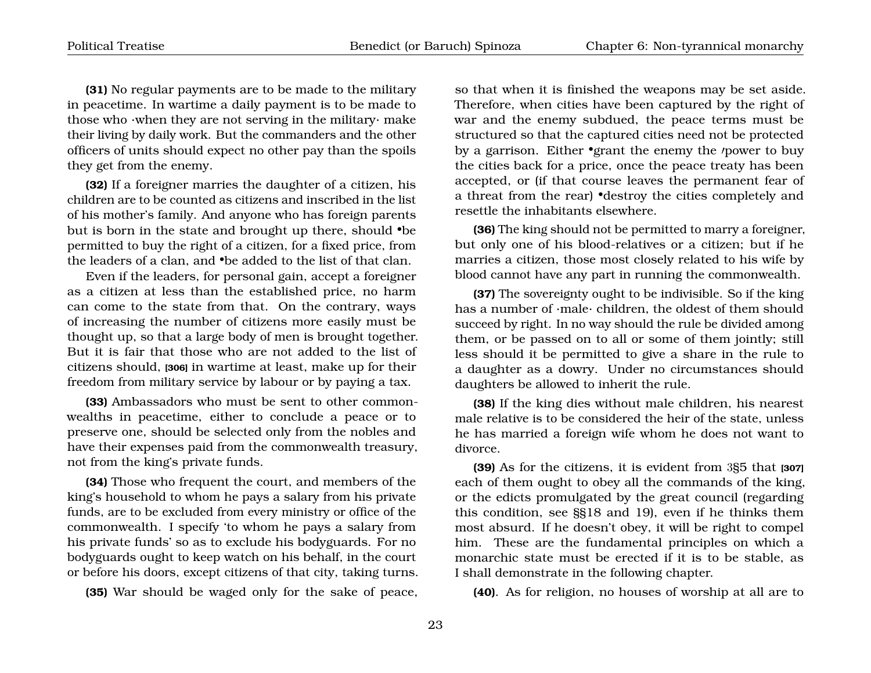**(31)** No regular payments are to be made to the military in peacetime. In wartime a daily payment is to be made to those who ·when they are not serving in the military· make their living by daily work. But the commanders and the other officers of units should expect no other pay than the spoils they get from the enemy.

**(32)** If a foreigner marries the daughter of a citizen, his children are to be counted as citizens and inscribed in the list of his mother's family. And anyone who has foreign parents but is born in the state and brought up there, should •be permitted to buy the right of a citizen, for a fixed price, from the leaders of a clan, and •be added to the list of that clan.

Even if the leaders, for personal gain, accept a foreigner as a citizen at less than the established price, no harm can come to the state from that. On the contrary, ways of increasing the number of citizens more easily must be thought up, so that a large body of men is brought together. But it is fair that those who are not added to the list of citizens should, **[306]** in wartime at least, make up for their freedom from military service by labour or by paying a tax.

**(33)** Ambassadors who must be sent to other commonwealths in peacetime, either to conclude a peace or to preserve one, should be selected only from the nobles and have their expenses paid from the commonwealth treasury, not from the king's private funds.

**(34)** Those who frequent the court, and members of the king's household to whom he pays a salary from his private funds, are to be excluded from every ministry or office of the commonwealth. I specify 'to whom he pays a salary from his private funds' so as to exclude his bodyguards. For no bodyguards ought to keep watch on his behalf, in the court or before his doors, except citizens of that city, taking turns.

**(35)** War should be waged only for the sake of peace,

so that when it is finished the weapons may be set aside. Therefore, when cities have been captured by the right of war and the enemy subdued, the peace terms must be structured so that the captured cities need not be protected by a garrison. Either •grant the enemy the *power* to buy the cities back for a price, once the peace treaty has been accepted, or (if that course leaves the permanent fear of a threat from the rear) •destroy the cities completely and resettle the inhabitants elsewhere.

**(36)** The king should not be permitted to marry a foreigner, but only one of his blood-relatives or a citizen; but if he marries a citizen, those most closely related to his wife by blood cannot have any part in running the commonwealth.

**(37)** The sovereignty ought to be indivisible. So if the king has a number of ·male· children, the oldest of them should succeed by right. In no way should the rule be divided among them, or be passed on to all or some of them jointly; still less should it be permitted to give a share in the rule to a daughter as a dowry. Under no circumstances should daughters be allowed to inherit the rule.

**(38)** If the king dies without male children, his nearest male relative is to be considered the heir of the state, unless he has married a foreign wife whom he does not want to divorce.

**(39)** As for the citizens, it is evident from 3§5 that **[307]** each of them ought to obey all the commands of the king, or the edicts promulgated by the great council (regarding this condition, see §§18 and 19), even if he thinks them most absurd. If he doesn't obey, it will be right to compel him. These are the fundamental principles on which a monarchic state must be erected if it is to be stable, as I shall demonstrate in the following chapter.

**(40)**. As for religion, no houses of worship at all are to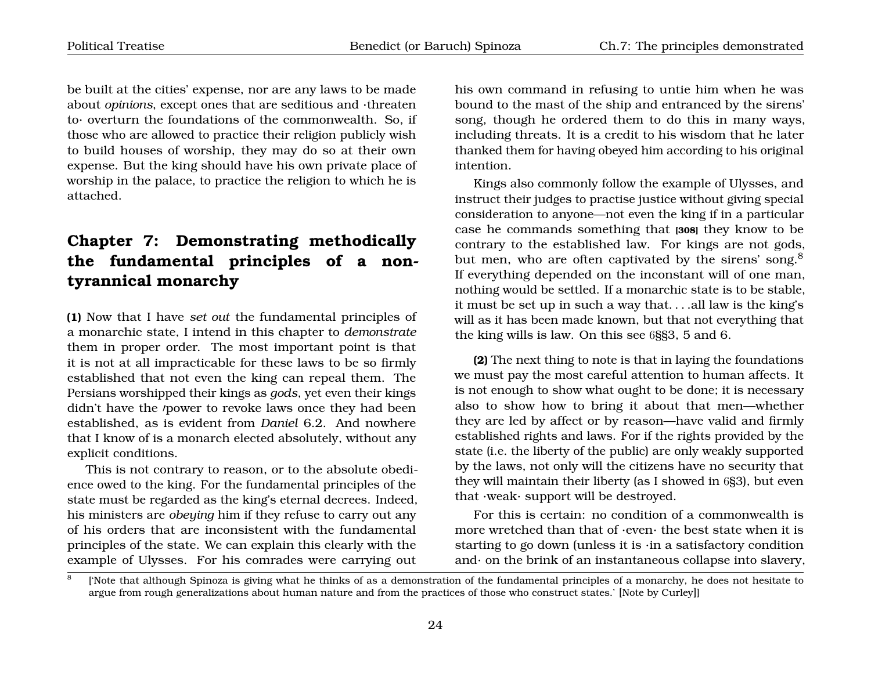be built at the cities' expense, nor are any laws to be made about *opinions*, except ones that are seditious and ·threaten to· overturn the foundations of the commonwealth. So, if those who are allowed to practice their religion publicly wish to build houses of worship, they may do so at their own expense. But the king should have his own private place of worship in the palace, to practice the religion to which he is attached.

# <span id="page-25-0"></span>**Chapter 7: Demonstrating methodically the fundamental principles of a nontyrannical monarchy**

**(1)** Now that I have *set out* the fundamental principles of a monarchic state, I intend in this chapter to *demonstrate* them in proper order. The most important point is that it is not at all impracticable for these laws to be so firmly established that not even the king can repeal them. The Persians worshipped their kings as *gods*, yet even their kings didn't have the /power to revoke laws once they had been established, as is evident from *Daniel* 6.2. And nowhere that I know of is a monarch elected absolutely, without any explicit conditions.

This is not contrary to reason, or to the absolute obedience owed to the king. For the fundamental principles of the state must be regarded as the king's eternal decrees. Indeed, his ministers are *obeying* him if they refuse to carry out any of his orders that are inconsistent with the fundamental principles of the state. We can explain this clearly with the example of Ulysses. For his comrades were carrying out his own command in refusing to untie him when he was bound to the mast of the ship and entranced by the sirens' song, though he ordered them to do this in many ways, including threats. It is a credit to his wisdom that he later thanked them for having obeyed him according to his original intention.

Kings also commonly follow the example of Ulysses, and instruct their judges to practise justice without giving special consideration to anyone—not even the king if in a particular case he commands something that **[308]** they know to be contrary to the established law. For kings are not gods, but men, who are often captivated by the sirens' song.<sup>[8](#page-25-1)</sup> If everything depended on the inconstant will of one man, nothing would be settled. If a monarchic state is to be stable, it must be set up in such a way that. . . .all law is the king's will as it has been made known, but that not everything that the king wills is law. On this see 6§§3, 5 and 6.

**(2)** The next thing to note is that in laying the foundations we must pay the most careful attention to human affects. It is not enough to show what ought to be done; it is necessary also to show how to bring it about that men—whether they are led by affect or by reason—have valid and firmly established rights and laws. For if the rights provided by the state (i.e. the liberty of the public) are only weakly supported by the laws, not only will the citizens have no security that they will maintain their liberty (as I showed in 6§3), but even that ·weak· support will be destroyed.

For this is certain: no condition of a commonwealth is more wretched than that of ·even· the best state when it is starting to go down (unless it is ·in a satisfactory condition and $\cdot$  on the brink of an instantaneous collapse into slavery,

<span id="page-25-1"></span><sup>8</sup> ['Note that although Spinoza is giving what he thinks of as a demonstration of the fundamental principles of a monarchy, he does not hesitate to argue from rough generalizations about human nature and from the practices of those who construct states.' [Note by Curley]]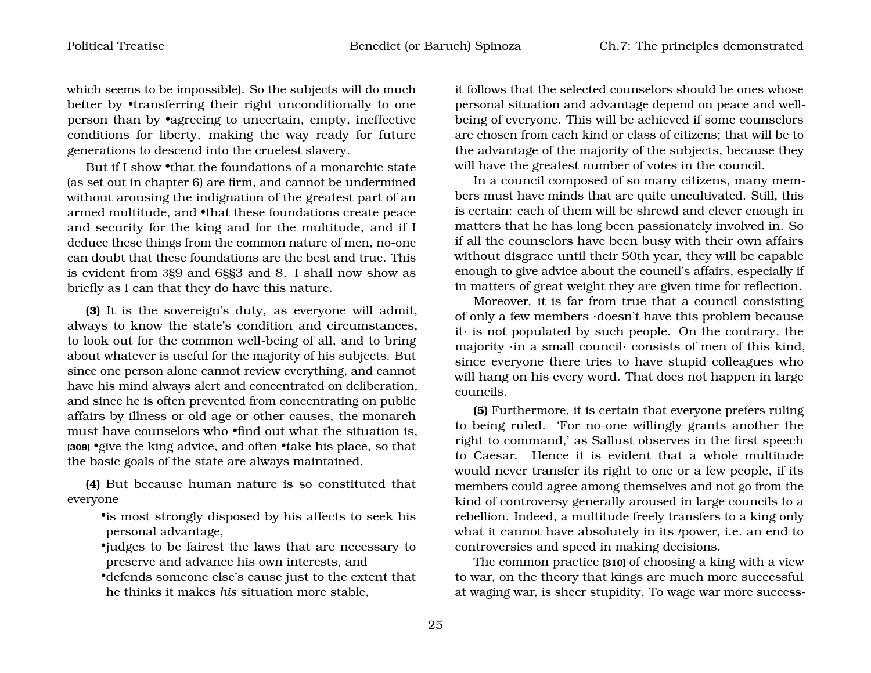which seems to be impossible). So the subjects will do much better by **•**transferring their right unconditionally to one person than by •agreeing to uncertain, empty, ineffective conditions for liberty, making the way ready for future generations to descend into the cruelest slavery.

But if I show •that the foundations of a monarchic state (as set out in chapter 6) are firm, and cannot be undermined without arousing the indignation of the greatest part of an armed multitude, and •that these foundations create peace and security for the king and for the multitude, and if I deduce these things from the common nature of men, no-one can doubt that these foundations are the best and true. This is evident from 3§9 and 6§§3 and 8. I shall now show as briefly as I can that they do have this nature.

**(3)** It is the sovereign's duty, as everyone will admit, always to know the state's condition and circumstances, to look out for the common well-being of all, and to bring about whatever is useful for the majority of his subjects. But since one person alone cannot review everything, and cannot have his mind always alert and concentrated on deliberation, and since he is often prevented from concentrating on public affairs by illness or old age or other causes, the monarch must have counselors who •find out what the situation is, **[309]** •give the king advice, and often •take his place, so that the basic goals of the state are always maintained.

**(4)** But because human nature is so constituted that everyone

•is most strongly disposed by his affects to seek his personal advantage,

•judges to be fairest the laws that are necessary to preserve and advance his own interests, and

•defends someone else's cause just to the extent that he thinks it makes *his* situation more stable,

it follows that the selected counselors should be ones whose personal situation and advantage depend on peace and wellbeing of everyone. This will be achieved if some counselors are chosen from each kind or class of citizens; that will be to the advantage of the majority of the subjects, because they will have the greatest number of votes in the council.

In a council composed of so many citizens, many members must have minds that are quite uncultivated. Still, this is certain: each of them will be shrewd and clever enough in matters that he has long been passionately involved in. So if all the counselors have been busy with their own affairs without disgrace until their 50th year, they will be capable enough to give advice about the council's affairs, especially if in matters of great weight they are given time for reflection.

Moreover, it is far from true that a council consisting of only a few members ·doesn't have this problem because it· is not populated by such people. On the contrary, the majority ·in a small council· consists of men of this kind, since everyone there tries to have stupid colleagues who will hang on his every word. That does not happen in large councils.

**(5)** Furthermore, it is certain that everyone prefers ruling to being ruled. 'For no-one willingly grants another the right to command,' as Sallust observes in the first speech to Caesar. Hence it is evident that a whole multitude would never transfer its right to one or a few people, if its members could agree among themselves and not go from the kind of controversy generally aroused in large councils to a rebellion. Indeed, a multitude freely transfers to a king only what it cannot have absolutely in its /power, i.e. an end to controversies and speed in making decisions.

The common practice **[310]** of choosing a king with a view to war, on the theory that kings are much more successful at waging war, is sheer stupidity. To wage war more success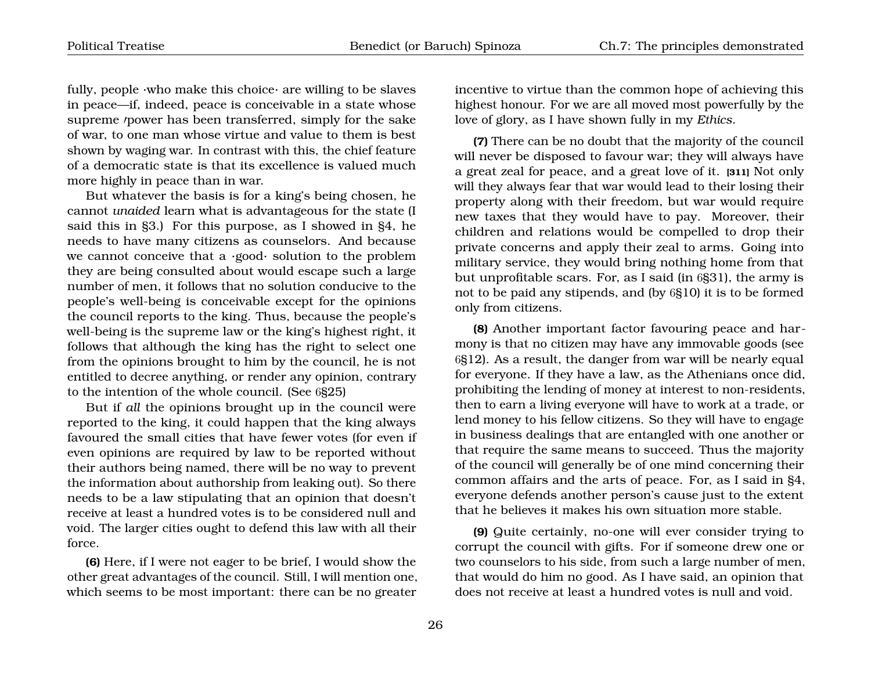fully, people  $\cdot$ who make this choice $\cdot$  are willing to be slaves in peace—if, indeed, peace is conceivable in a state whose supreme *power* has been transferred, simply for the sake of war, to one man whose virtue and value to them is best shown by waging war. In contrast with this, the chief feature of a democratic state is that its excellence is valued much more highly in peace than in war.

But whatever the basis is for a king's being chosen, he cannot *unaided* learn what is advantageous for the state (I said this in §3.) For this purpose, as I showed in §4, he needs to have many citizens as counselors. And because we cannot conceive that a ·good· solution to the problem they are being consulted about would escape such a large number of men, it follows that no solution conducive to the people's well-being is conceivable except for the opinions the council reports to the king. Thus, because the people's well-being is the supreme law or the king's highest right, it follows that although the king has the right to select one from the opinions brought to him by the council, he is not entitled to decree anything, or render any opinion, contrary to the intention of the whole council. (See 6§25)

But if *all* the opinions brought up in the council were reported to the king, it could happen that the king always favoured the small cities that have fewer votes (for even if even opinions are required by law to be reported without their authors being named, there will be no way to prevent the information about authorship from leaking out). So there needs to be a law stipulating that an opinion that doesn't receive at least a hundred votes is to be considered null and void. The larger cities ought to defend this law with all their force.

**(6)** Here, if I were not eager to be brief, I would show the other great advantages of the council. Still, I will mention one, which seems to be most important: there can be no greater incentive to virtue than the common hope of achieving this highest honour. For we are all moved most powerfully by the love of glory, as I have shown fully in my *Ethics*.

**(7)** There can be no doubt that the majority of the council will never be disposed to favour war; they will always have a great zeal for peace, and a great love of it. **[311]** Not only will they always fear that war would lead to their losing their property along with their freedom, but war would require new taxes that they would have to pay. Moreover, their children and relations would be compelled to drop their private concerns and apply their zeal to arms. Going into military service, they would bring nothing home from that but unprofitable scars. For, as I said (in 6§31), the army is not to be paid any stipends, and (by 6§10) it is to be formed only from citizens.

**(8)** Another important factor favouring peace and harmony is that no citizen may have any immovable goods (see 6§12). As a result, the danger from war will be nearly equal for everyone. If they have a law, as the Athenians once did, prohibiting the lending of money at interest to non-residents, then to earn a living everyone will have to work at a trade, or lend money to his fellow citizens. So they will have to engage in business dealings that are entangled with one another or that require the same means to succeed. Thus the majority of the council will generally be of one mind concerning their common affairs and the arts of peace. For, as I said in §4, everyone defends another person's cause just to the extent that he believes it makes his own situation more stable.

**(9)** Quite certainly, no-one will ever consider trying to corrupt the council with gifts. For if someone drew one or two counselors to his side, from such a large number of men, that would do him no good. As I have said, an opinion that does not receive at least a hundred votes is null and void.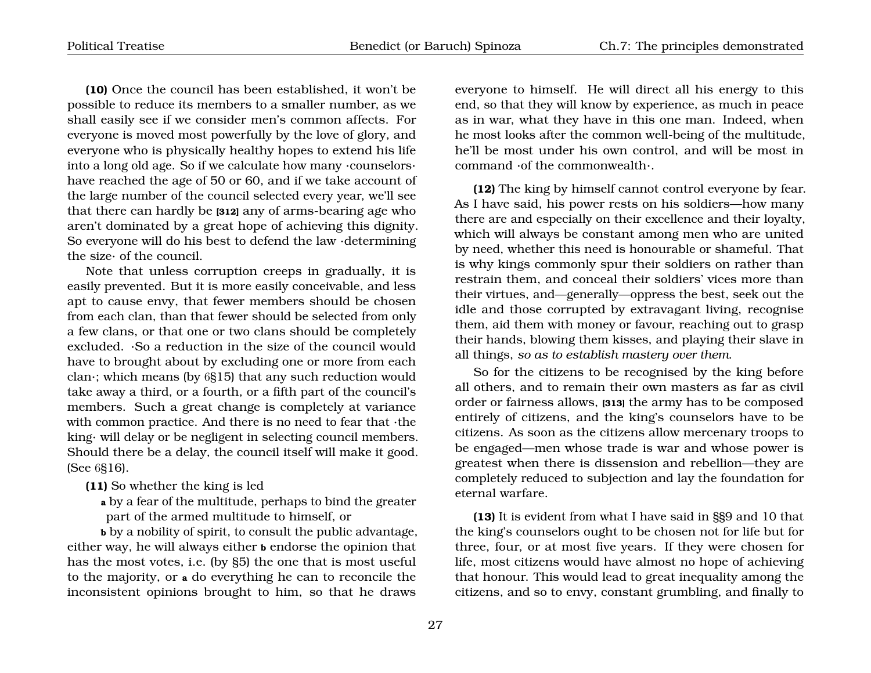**(10)** Once the council has been established, it won't be possible to reduce its members to a smaller number, as we shall easily see if we consider men's common affects. For everyone is moved most powerfully by the love of glory, and everyone who is physically healthy hopes to extend his life into a long old age. So if we calculate how many ·counselors· have reached the age of 50 or 60, and if we take account of the large number of the council selected every year, we'll see that there can hardly be **[312]** any of arms-bearing age who aren't dominated by a great hope of achieving this dignity. So everyone will do his best to defend the law ·determining the size· of the council.

Note that unless corruption creeps in gradually, it is easily prevented. But it is more easily conceivable, and less apt to cause envy, that fewer members should be chosen from each clan, than that fewer should be selected from only a few clans, or that one or two clans should be completely excluded. ·So a reduction in the size of the council would have to brought about by excluding one or more from each clan·; which means (by 6§15) that any such reduction would take away a third, or a fourth, or a fifth part of the council's members. Such a great change is completely at variance with common practice. And there is no need to fear that ·the king· will delay or be negligent in selecting council members. Should there be a delay, the council itself will make it good. (See 6§16).

**(11)** So whether the king is led

**a** by a fear of the multitude, perhaps to bind the greater part of the armed multitude to himself, or

**b** by a nobility of spirit, to consult the public advantage, either way, he will always either **b** endorse the opinion that has the most votes, i.e. (by §5) the one that is most useful to the majority, or **a** do everything he can to reconcile the inconsistent opinions brought to him, so that he draws

everyone to himself. He will direct all his energy to this end, so that they will know by experience, as much in peace as in war, what they have in this one man. Indeed, when he most looks after the common well-being of the multitude, he'll be most under his own control, and will be most in command ·of the commonwealth·.

**(12)** The king by himself cannot control everyone by fear. As I have said, his power rests on his soldiers—how many there are and especially on their excellence and their loyalty, which will always be constant among men who are united by need, whether this need is honourable or shameful. That is why kings commonly spur their soldiers on rather than restrain them, and conceal their soldiers' vices more than their virtues, and—generally—oppress the best, seek out the idle and those corrupted by extravagant living, recognise them, aid them with money or favour, reaching out to grasp their hands, blowing them kisses, and playing their slave in all things, *so as to establish mastery over them*.

So for the citizens to be recognised by the king before all others, and to remain their own masters as far as civil order or fairness allows, **[313]** the army has to be composed entirely of citizens, and the king's counselors have to be citizens. As soon as the citizens allow mercenary troops to be engaged—men whose trade is war and whose power is greatest when there is dissension and rebellion—they are completely reduced to subjection and lay the foundation for eternal warfare.

**(13)** It is evident from what I have said in §§9 and 10 that the king's counselors ought to be chosen not for life but for three, four, or at most five years. If they were chosen for life, most citizens would have almost no hope of achieving that honour. This would lead to great inequality among the citizens, and so to envy, constant grumbling, and finally to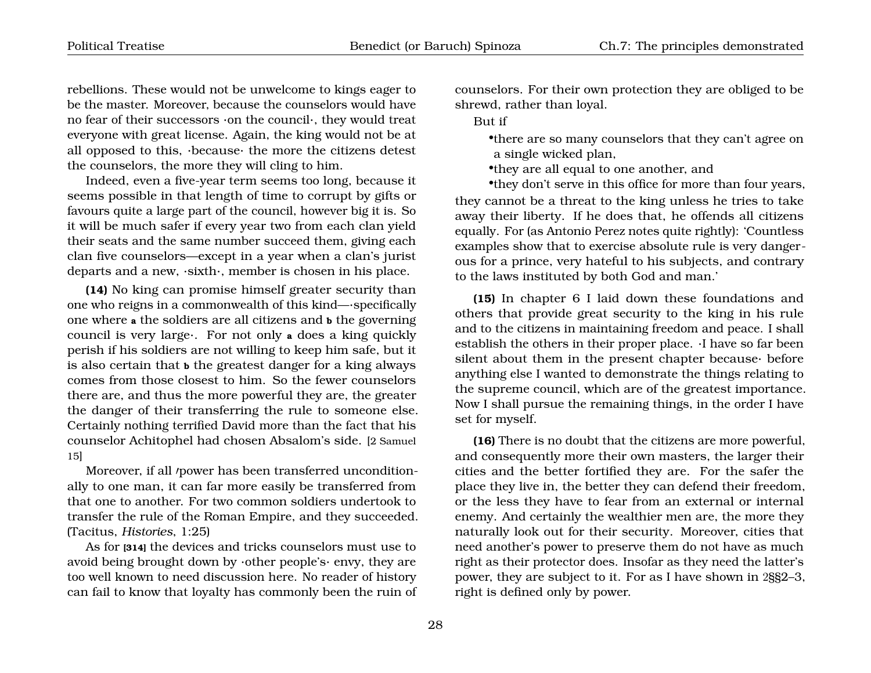rebellions. These would not be unwelcome to kings eager to be the master. Moreover, because the counselors would have no fear of their successors ·on the council·, they would treat everyone with great license. Again, the king would not be at all opposed to this, ·because· the more the citizens detest the counselors, the more they will cling to him.

Indeed, even a five-year term seems too long, because it seems possible in that length of time to corrupt by gifts or favours quite a large part of the council, however big it is. So it will be much safer if every year two from each clan yield their seats and the same number succeed them, giving each clan five counselors—except in a year when a clan's jurist departs and a new, ·sixth·, member is chosen in his place.

**(14)** No king can promise himself greater security than one who reigns in a commonwealth of this kind—·specifically one where **a** the soldiers are all citizens and **b** the governing council is very large·. For not only **<sup>a</sup>** does a king quickly perish if his soldiers are not willing to keep him safe, but it is also certain that **b** the greatest danger for a king always comes from those closest to him. So the fewer counselors there are, and thus the more powerful they are, the greater the danger of their transferring the rule to someone else. Certainly nothing terrified David more than the fact that his counselor Achitophel had chosen Absalom's side. [2 Samuel 15]

Moreover, if all *power* has been transferred unconditionally to one man, it can far more easily be transferred from that one to another. For two common soldiers undertook to transfer the rule of the Roman Empire, and they succeeded. (Tacitus, *Histories*, 1:25)

As for **[314]** the devices and tricks counselors must use to avoid being brought down by  $\cdot$ other people's $\cdot$  envy, they are too well known to need discussion here. No reader of history can fail to know that loyalty has commonly been the ruin of counselors. For their own protection they are obliged to be shrewd, rather than loyal.

But if

•there are so many counselors that they can't agree on a single wicked plan,

•they are all equal to one another, and

•they don't serve in this office for more than four years, they cannot be a threat to the king unless he tries to take away their liberty. If he does that, he offends all citizens equally. For (as Antonio Perez notes quite rightly): 'Countless examples show that to exercise absolute rule is very dangerous for a prince, very hateful to his subjects, and contrary to the laws instituted by both God and man.'

**(15)** In chapter 6 I laid down these foundations and others that provide great security to the king in his rule and to the citizens in maintaining freedom and peace. I shall establish the others in their proper place. ·I have so far been silent about them in the present chapter because· before anything else I wanted to demonstrate the things relating to the supreme council, which are of the greatest importance. Now I shall pursue the remaining things, in the order I have set for myself.

**(16)** There is no doubt that the citizens are more powerful, and consequently more their own masters, the larger their cities and the better fortified they are. For the safer the place they live in, the better they can defend their freedom, or the less they have to fear from an external or internal enemy. And certainly the wealthier men are, the more they naturally look out for their security. Moreover, cities that need another's power to preserve them do not have as much right as their protector does. Insofar as they need the latter's power, they are subject to it. For as I have shown in 2§§2–3, right is defined only by power.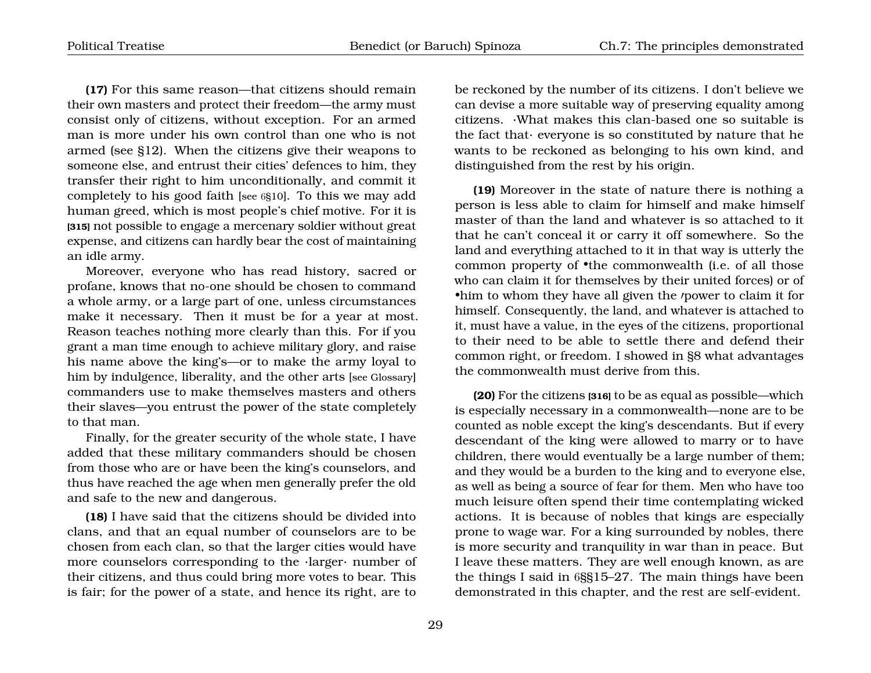**(17)** For this same reason—that citizens should remain their own masters and protect their freedom—the army must consist only of citizens, without exception. For an armed man is more under his own control than one who is not armed (see §12). When the citizens give their weapons to someone else, and entrust their cities' defences to him, they transfer their right to him unconditionally, and commit it completely to his good faith [see 6§10]. To this we may add human greed, which is most people's chief motive. For it is **[315]** not possible to engage a mercenary soldier without great expense, and citizens can hardly bear the cost of maintaining an idle army.

Moreover, everyone who has read history, sacred or profane, knows that no-one should be chosen to command a whole army, or a large part of one, unless circumstances make it necessary. Then it must be for a year at most. Reason teaches nothing more clearly than this. For if you grant a man time enough to achieve military glory, and raise his name above the king's—or to make the army loyal to him by indulgence, liberality, and the other arts [see Glossary] commanders use to make themselves masters and others their slaves—you entrust the power of the state completely to that man.

Finally, for the greater security of the whole state, I have added that these military commanders should be chosen from those who are or have been the king's counselors, and thus have reached the age when men generally prefer the old and safe to the new and dangerous.

**(18)** I have said that the citizens should be divided into clans, and that an equal number of counselors are to be chosen from each clan, so that the larger cities would have more counselors corresponding to the ·larger· number of their citizens, and thus could bring more votes to bear. This is fair; for the power of a state, and hence its right, are to

be reckoned by the number of its citizens. I don't believe we can devise a more suitable way of preserving equality among citizens. ·What makes this clan-based one so suitable is the fact that· everyone is so constituted by nature that he wants to be reckoned as belonging to his own kind, and distinguished from the rest by his origin.

**(19)** Moreover in the state of nature there is nothing a person is less able to claim for himself and make himself master of than the land and whatever is so attached to it that he can't conceal it or carry it off somewhere. So the land and everything attached to it in that way is utterly the common property of  $\bullet$ the commonwealth (i.e. of all those who can claim it for themselves by their united forces) or of •him to whom they have all given the *power* to claim it for himself. Consequently, the land, and whatever is attached to it, must have a value, in the eyes of the citizens, proportional to their need to be able to settle there and defend their common right, or freedom. I showed in §8 what advantages the commonwealth must derive from this.

**(20)** For the citizens **[316]** to be as equal as possible—which is especially necessary in a commonwealth—none are to be counted as noble except the king's descendants. But if every descendant of the king were allowed to marry or to have children, there would eventually be a large number of them; and they would be a burden to the king and to everyone else, as well as being a source of fear for them. Men who have too much leisure often spend their time contemplating wicked actions. It is because of nobles that kings are especially prone to wage war. For a king surrounded by nobles, there is more security and tranquility in war than in peace. But I leave these matters. They are well enough known, as are the things I said in 6§§15–27. The main things have been demonstrated in this chapter, and the rest are self-evident.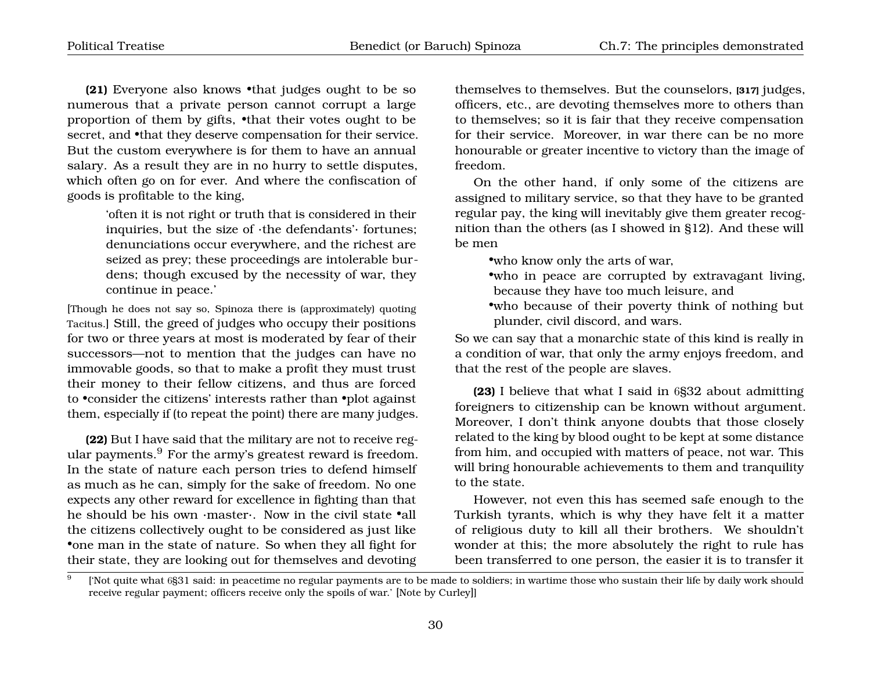**(21)** Everyone also knows •that judges ought to be so numerous that a private person cannot corrupt a large proportion of them by gifts, •that their votes ought to be secret, and •that they deserve compensation for their service. But the custom everywhere is for them to have an annual salary. As a result they are in no hurry to settle disputes, which often go on for ever. And where the confiscation of goods is profitable to the king,

> 'often it is not right or truth that is considered in their inquiries, but the size of ·the defendants'· fortunes; denunciations occur everywhere, and the richest are seized as prey; these proceedings are intolerable burdens; though excused by the necessity of war, they continue in peace.'

[Though he does not say so, Spinoza there is (approximately) quoting Tacitus.] Still, the greed of judges who occupy their positions for two or three years at most is moderated by fear of their successors—not to mention that the judges can have no immovable goods, so that to make a profit they must trust their money to their fellow citizens, and thus are forced to •consider the citizens' interests rather than •plot against them, especially if (to repeat the point) there are many judges.

**(22)** But I have said that the military are not to receive regular payments.[9](#page-31-0) For the army's greatest reward is freedom. In the state of nature each person tries to defend himself as much as he can, simply for the sake of freedom. No one expects any other reward for excellence in fighting than that he should be his own ·master·. Now in the civil state •all the citizens collectively ought to be considered as just like •one man in the state of nature. So when they all fight for their state, they are looking out for themselves and devoting

themselves to themselves. But the counselors, **[317]** judges, officers, etc., are devoting themselves more to others than to themselves; so it is fair that they receive compensation for their service. Moreover, in war there can be no more honourable or greater incentive to victory than the image of freedom.

On the other hand, if only some of the citizens are assigned to military service, so that they have to be granted regular pay, the king will inevitably give them greater recognition than the others (as I showed in §12). And these will be men

•who know only the arts of war,

- •who in peace are corrupted by extravagant living, because they have too much leisure, and
- •who because of their poverty think of nothing but plunder, civil discord, and wars.

So we can say that a monarchic state of this kind is really in a condition of war, that only the army enjoys freedom, and that the rest of the people are slaves.

**(23)** I believe that what I said in 6§32 about admitting foreigners to citizenship can be known without argument. Moreover, I don't think anyone doubts that those closely related to the king by blood ought to be kept at some distance from him, and occupied with matters of peace, not war. This will bring honourable achievements to them and tranquility to the state.

However, not even this has seemed safe enough to the Turkish tyrants, which is why they have felt it a matter of religious duty to kill all their brothers. We shouldn't wonder at this; the more absolutely the right to rule has been transferred to one person, the easier it is to transfer it

<span id="page-31-0"></span> $\overline{9}$ ['Not quite what 6§31 said: in peacetime no regular payments are to be made to soldiers; in wartime those who sustain their life by daily work should receive regular payment; officers receive only the spoils of war.' [Note by Curley]]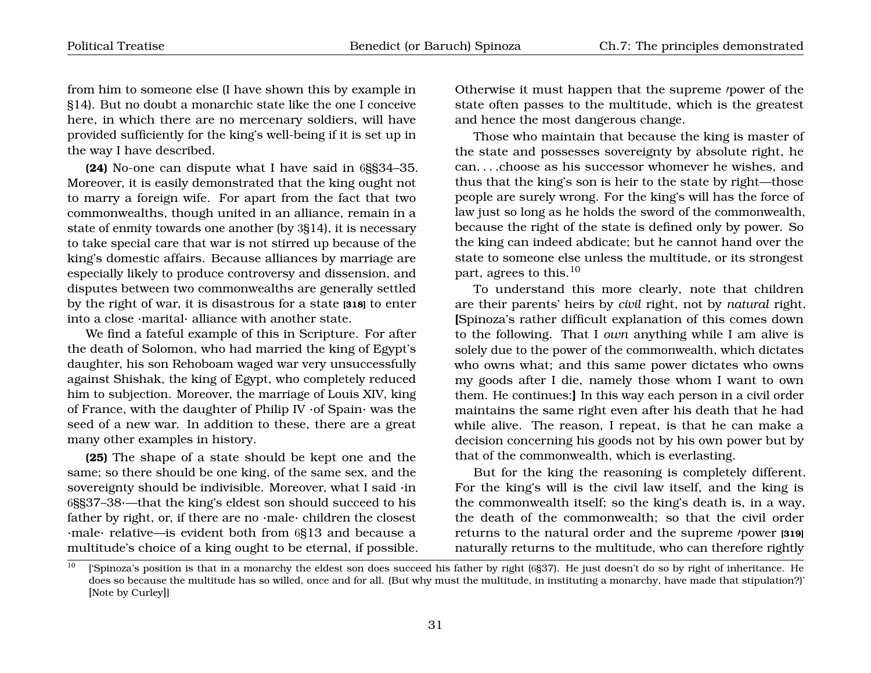from him to someone else (I have shown this by example in §14). But no doubt a monarchic state like the one I conceive here, in which there are no mercenary soldiers, will have provided sufficiently for the king's well-being if it is set up in the way I have described.

**(24)** No-one can dispute what I have said in 6§§34–35. Moreover, it is easily demonstrated that the king ought not to marry a foreign wife. For apart from the fact that two commonwealths, though united in an alliance, remain in a state of enmity towards one another (by 3§14), it is necessary to take special care that war is not stirred up because of the king's domestic affairs. Because alliances by marriage are especially likely to produce controversy and dissension, and disputes between two commonwealths are generally settled by the right of war, it is disastrous for a state **[318]** to enter into a close ·marital· alliance with another state.

We find a fateful example of this in Scripture. For after the death of Solomon, who had married the king of Egypt's daughter, his son Rehoboam waged war very unsuccessfully against Shishak, the king of Egypt, who completely reduced him to subjection. Moreover, the marriage of Louis XIV, king of France, with the daughter of Philip IV ·of Spain· was the seed of a new war. In addition to these, there are a great many other examples in history.

**(25)** The shape of a state should be kept one and the same; so there should be one king, of the same sex, and the sovereignty should be indivisible. Moreover, what I said ·in 6§§37–38·—that the king's eldest son should succeed to his father by right, or, if there are no  $\cdot$ male $\cdot$  children the closest ·male· relative—is evident both from 6§13 and because a multitude's choice of a king ought to be eternal, if possible. Otherwise it must happen that the supreme *power* of the state often passes to the multitude, which is the greatest and hence the most dangerous change.

Those who maintain that because the king is master of the state and possesses sovereignty by absolute right, he can. . . .choose as his successor whomever he wishes, and thus that the king's son is heir to the state by right—those people are surely wrong. For the king's will has the force of law just so long as he holds the sword of the commonwealth, because the right of the state is defined only by power. So the king can indeed abdicate; but he cannot hand over the state to someone else unless the multitude, or its strongest part, agrees to this.[10](#page-32-0)

To understand this more clearly, note that children are their parents' heirs by *civil* right, not by *natural* right. **[**Spinoza's rather difficult explanation of this comes down to the following. That I *own* anything while I am alive is solely due to the power of the commonwealth, which dictates who owns what; and this same power dictates who owns my goods after I die, namely those whom I want to own them. He continues:**]** In this way each person in a civil order maintains the same right even after his death that he had while alive. The reason, I repeat, is that he can make a decision concerning his goods not by his own power but by that of the commonwealth, which is everlasting.

But for the king the reasoning is completely different. For the king's will is the civil law itself, and the king is the commonwealth itself; so the king's death is, in a way, the death of the commonwealth; so that the civil order returns to the natural order and the supreme *power* [319] naturally returns to the multitude, who can therefore rightly

<span id="page-32-0"></span> $10$  ['Spinoza's position is that in a monarchy the eldest son does succeed his father by right (6§37). He just doesn't do so by right of inheritance. He does so because the multitude has so willed, once and for all. (But why must the multitude, in instituting a monarchy, have made that stipulation?)' [Note by Curley]]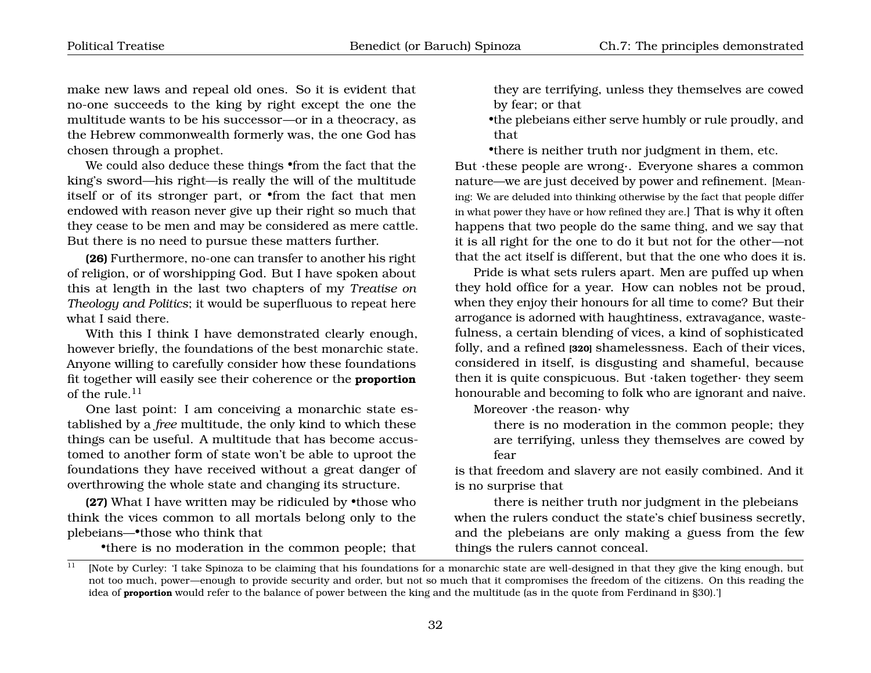make new laws and repeal old ones. So it is evident that no-one succeeds to the king by right except the one the multitude wants to be his successor—or in a theocracy, as the Hebrew commonwealth formerly was, the one God has chosen through a prophet.

We could also deduce these things •from the fact that the king's sword—his right—is really the will of the multitude itself or of its stronger part, or •from the fact that men endowed with reason never give up their right so much that they cease to be men and may be considered as mere cattle. But there is no need to pursue these matters further.

**(26)** Furthermore, no-one can transfer to another his right of religion, or of worshipping God. But I have spoken about this at length in the last two chapters of my *Treatise on Theology and Politics*; it would be superfluous to repeat here what I said there.

With this I think I have demonstrated clearly enough, however briefly, the foundations of the best monarchic state. Anyone willing to carefully consider how these foundations fit together will easily see their coherence or the **proportion** of the rule. $11$ 

One last point: I am conceiving a monarchic state established by a *free* multitude, the only kind to which these things can be useful. A multitude that has become accustomed to another form of state won't be able to uproot the foundations they have received without a great danger of overthrowing the whole state and changing its structure.

**(27)** What I have written may be ridiculed by •those who think the vices common to all mortals belong only to the plebeians—•those who think that

<span id="page-33-0"></span>•there is no moderation in the common people; that

they are terrifying, unless they themselves are cowed by fear; or that

•the plebeians either serve humbly or rule proudly, and that

•there is neither truth nor judgment in them, etc.

But ·these people are wrong·. Everyone shares a common nature—we are just deceived by power and refinement. [Meaning: We are deluded into thinking otherwise by the fact that people differ in what power they have or how refined they are.] That is why it often happens that two people do the same thing, and we say that it is all right for the one to do it but not for the other—not that the act itself is different, but that the one who does it is.

Pride is what sets rulers apart. Men are puffed up when they hold office for a year. How can nobles not be proud, when they enjoy their honours for all time to come? But their arrogance is adorned with haughtiness, extravagance, wastefulness, a certain blending of vices, a kind of sophisticated folly, and a refined **[320]** shamelessness. Each of their vices, considered in itself, is disgusting and shameful, because then it is quite conspicuous. But ·taken together· they seem honourable and becoming to folk who are ignorant and naive.

Moreover ·the reason· why

there is no moderation in the common people; they are terrifying, unless they themselves are cowed by fear

is that freedom and slavery are not easily combined. And it is no surprise that

there is neither truth nor judgment in the plebeians when the rulers conduct the state's chief business secretly, and the plebeians are only making a guess from the few things the rulers cannot conceal.

<sup>&</sup>lt;sup>11</sup> [Note by Curley: 'I take Spinoza to be claiming that his foundations for a monarchic state are well-designed in that they give the king enough, but not too much, power—enough to provide security and order, but not so much that it compromises the freedom of the citizens. On this reading the idea of **proportion** would refer to the balance of power between the king and the multitude (as in the quote from Ferdinand in §30).']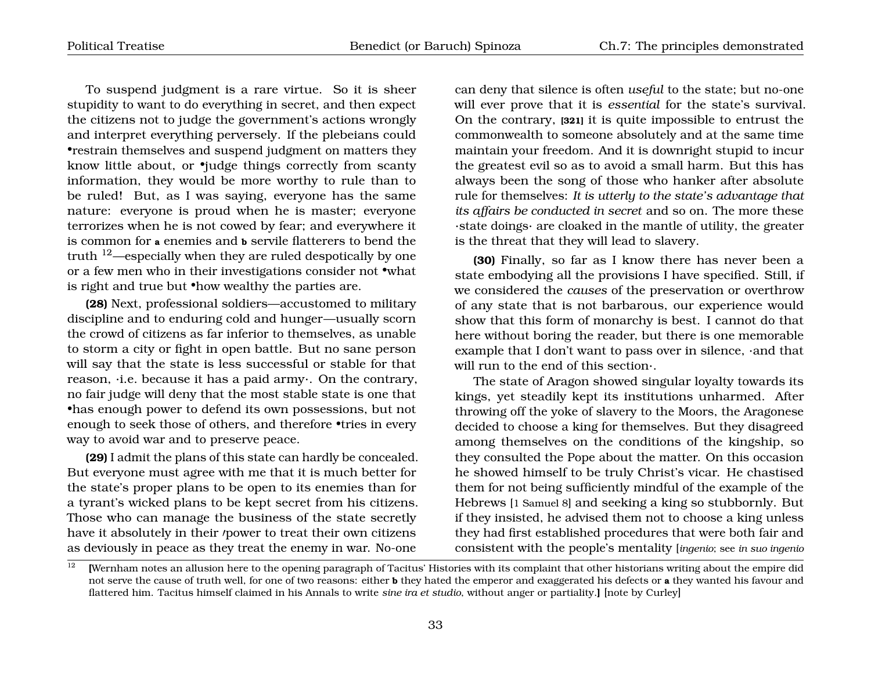To suspend judgment is a rare virtue. So it is sheer stupidity to want to do everything in secret, and then expect the citizens not to judge the government's actions wrongly and interpret everything perversely. If the plebeians could •restrain themselves and suspend judgment on matters they know little about, or •judge things correctly from scanty information, they would be more worthy to rule than to be ruled! But, as I was saying, everyone has the same nature: everyone is proud when he is master; everyone terrorizes when he is not cowed by fear; and everywhere it is common for **a** enemies and **b** servile flatterers to bend the truth [12](#page-34-0)—especially when they are ruled despotically by one or a few men who in their investigations consider not •what is right and true but •how wealthy the parties are.

**(28)** Next, professional soldiers—accustomed to military discipline and to enduring cold and hunger—usually scorn the crowd of citizens as far inferior to themselves, as unable to storm a city or fight in open battle. But no sane person will say that the state is less successful or stable for that reason, ·i.e. because it has a paid army·. On the contrary, no fair judge will deny that the most stable state is one that •has enough power to defend its own possessions, but not enough to seek those of others, and therefore •tries in every way to avoid war and to preserve peace.

**(29)** I admit the plans of this state can hardly be concealed. But everyone must agree with me that it is much better for the state's proper plans to be open to its enemies than for a tyrant's wicked plans to be kept secret from his citizens. Those who can manage the business of the state secretly have it absolutely in their /power to treat their own citizens as deviously in peace as they treat the enemy in war. No-one

can deny that silence is often *useful* to the state; but no-one will ever prove that it is *essential* for the state's survival. On the contrary, **[321]** it is quite impossible to entrust the commonwealth to someone absolutely and at the same time maintain your freedom. And it is downright stupid to incur the greatest evil so as to avoid a small harm. But this has always been the song of those who hanker after absolute rule for themselves: *It is utterly to the state's advantage that its affairs be conducted in secret* and so on. The more these ·state doings· are cloaked in the mantle of utility, the greater is the threat that they will lead to slavery.

**(30)** Finally, so far as I know there has never been a state embodying all the provisions I have specified. Still, if we considered the *causes* of the preservation or overthrow of any state that is not barbarous, our experience would show that this form of monarchy is best. I cannot do that here without boring the reader, but there is one memorable example that I don't want to pass over in silence, ·and that will run to the end of this section·.

The state of Aragon showed singular loyalty towards its kings, yet steadily kept its institutions unharmed. After throwing off the yoke of slavery to the Moors, the Aragonese decided to choose a king for themselves. But they disagreed among themselves on the conditions of the kingship, so they consulted the Pope about the matter. On this occasion he showed himself to be truly Christ's vicar. He chastised them for not being sufficiently mindful of the example of the Hebrews [1 Samuel 8] and seeking a king so stubbornly. But if they insisted, he advised them not to choose a king unless they had first established procedures that were both fair and consistent with the people's mentality [*ingenio*; see *in suo ingenio*

<span id="page-34-0"></span><sup>&</sup>lt;sup>12</sup> [Wernham notes an allusion here to the opening paragraph of Tacitus' Histories with its complaint that other historians writing about the empire did not serve the cause of truth well, for one of two reasons: either **b** they hated the emperor and exaggerated his defects or **a** they wanted his favour and flattered him. Tacitus himself claimed in his Annals to write *sine ira et studio*, without anger or partiality.**]** [note by Curley]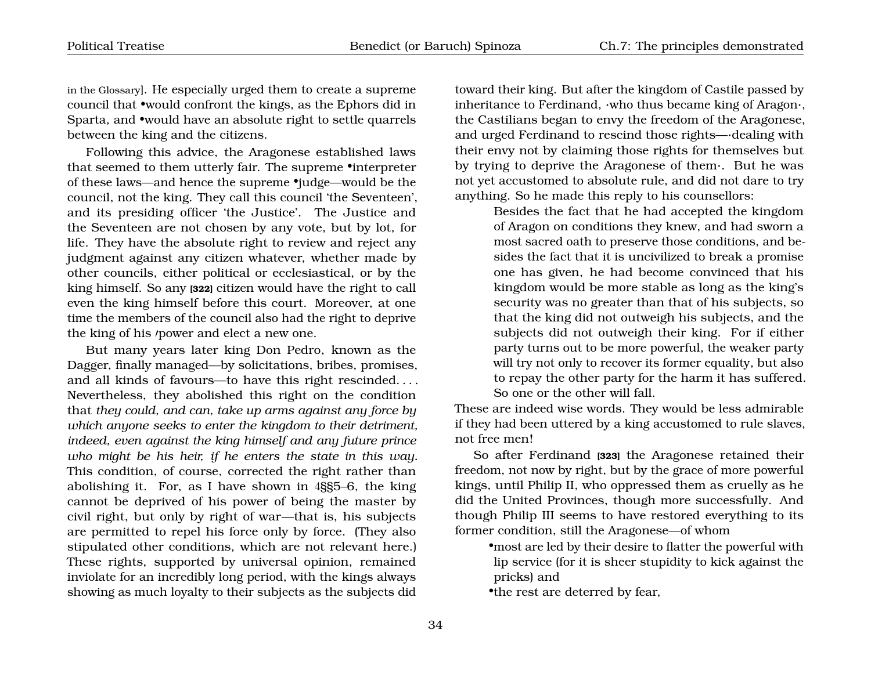in the Glossary]. He especially urged them to create a supreme council that •would confront the kings, as the Ephors did in Sparta, and •would have an absolute right to settle quarrels between the king and the citizens.

Following this advice, the Aragonese established laws that seemed to them utterly fair. The supreme •interpreter of these laws—and hence the supreme •judge—would be the council, not the king. They call this council 'the Seventeen', and its presiding officer 'the Justice'. The Justice and the Seventeen are not chosen by any vote, but by lot, for life. They have the absolute right to review and reject any judgment against any citizen whatever, whether made by other councils, either political or ecclesiastical, or by the king himself. So any **[322]** citizen would have the right to call even the king himself before this court. Moreover, at one time the members of the council also had the right to deprive the king of his *power* and elect a new one.

But many years later king Don Pedro, known as the Dagger, finally managed—by solicitations, bribes, promises, and all kinds of favours—to have this right rescinded. . . . Nevertheless, they abolished this right on the condition that *they could, and can, take up arms against any force by which anyone seeks to enter the kingdom to their detriment, indeed, even against the king himself and any future prince who might be his heir, if he enters the state in this way.* This condition, of course, corrected the right rather than abolishing it. For, as I have shown in 4§§5–6, the king cannot be deprived of his power of being the master by civil right, but only by right of war—that is, his subjects are permitted to repel his force only by force. (They also stipulated other conditions, which are not relevant here.) These rights, supported by universal opinion, remained inviolate for an incredibly long period, with the kings always showing as much loyalty to their subjects as the subjects did

toward their king. But after the kingdom of Castile passed by inheritance to Ferdinand, ·who thus became king of Aragon·, the Castilians began to envy the freedom of the Aragonese, and urged Ferdinand to rescind those rights—·dealing with their envy not by claiming those rights for themselves but by trying to deprive the Aragonese of them·. But he was not yet accustomed to absolute rule, and did not dare to try anything. So he made this reply to his counsellors:

> Besides the fact that he had accepted the kingdom of Aragon on conditions they knew, and had sworn a most sacred oath to preserve those conditions, and besides the fact that it is uncivilized to break a promise one has given, he had become convinced that his kingdom would be more stable as long as the king's security was no greater than that of his subjects, so that the king did not outweigh his subjects, and the subjects did not outweigh their king. For if either party turns out to be more powerful, the weaker party will try not only to recover its former equality, but also to repay the other party for the harm it has suffered. So one or the other will fall.

These are indeed wise words. They would be less admirable if they had been uttered by a king accustomed to rule slaves, not free men!

So after Ferdinand **[323]** the Aragonese retained their freedom, not now by right, but by the grace of more powerful kings, until Philip II, who oppressed them as cruelly as he did the United Provinces, though more successfully. And though Philip III seems to have restored everything to its former condition, still the Aragonese—of whom

•most are led by their desire to flatter the powerful with lip service (for it is sheer stupidity to kick against the pricks) and

•the rest are deterred by fear,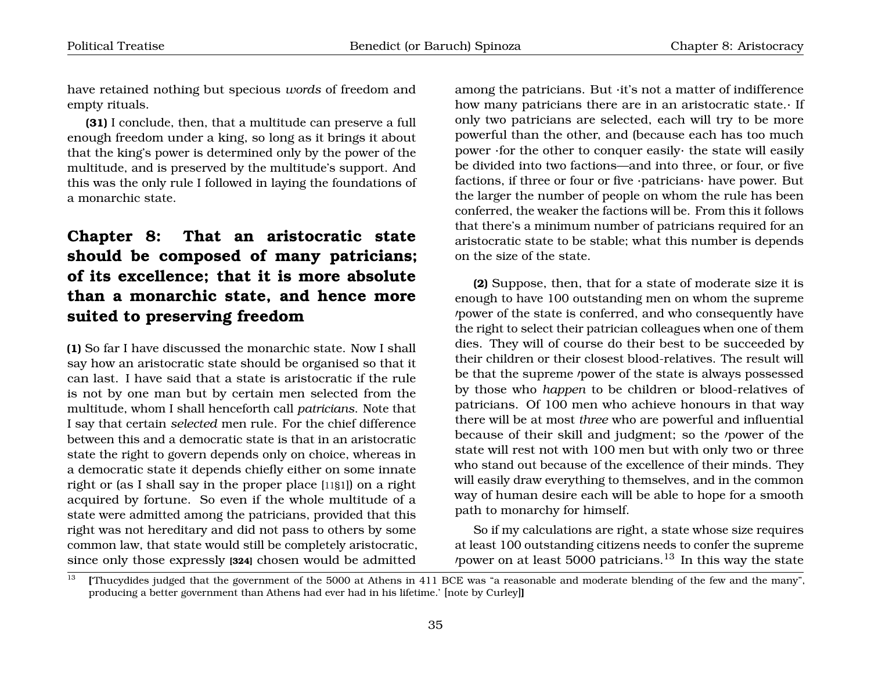have retained nothing but specious *words* of freedom and empty rituals.

**(31)** I conclude, then, that a multitude can preserve a full enough freedom under a king, so long as it brings it about that the king's power is determined only by the power of the multitude, and is preserved by the multitude's support. And this was the only rule I followed in laying the foundations of a monarchic state.

# <span id="page-36-0"></span>**Chapter 8: That an aristocratic state should be composed of many patricians; of its excellence; that it is more absolute than a monarchic state, and hence more suited to preserving freedom**

**(1)** So far I have discussed the monarchic state. Now I shall say how an aristocratic state should be organised so that it can last. I have said that a state is aristocratic if the rule is not by one man but by certain men selected from the multitude, whom I shall henceforth call *patricians*. Note that I say that certain *selected* men rule. For the chief difference between this and a democratic state is that in an aristocratic state the right to govern depends only on choice, whereas in a democratic state it depends chiefly either on some innate right or (as I shall say in the proper place [11§1]) on a right acquired by fortune. So even if the whole multitude of a state were admitted among the patricians, provided that this right was not hereditary and did not pass to others by some common law, that state would still be completely aristocratic, since only those expressly **[324]** chosen would be admitted

among the patricians. But ·it's not a matter of indifference how many patricians there are in an aristocratic state.· If only two patricians are selected, each will try to be more powerful than the other, and (because each has too much power ·for the other to conquer easily· the state will easily be divided into two factions—and into three, or four, or five factions, if three or four or five ·patricians· have power. But the larger the number of people on whom the rule has been conferred, the weaker the factions will be. From this it follows that there's a minimum number of patricians required for an aristocratic state to be stable; what this number is depends on the size of the state.

**(2)** Suppose, then, that for a state of moderate size it is enough to have 100 outstanding men on whom the supreme power of the state is conferred, and who consequently have the right to select their patrician colleagues when one of them dies. They will of course do their best to be succeeded by their children or their closest blood-relatives. The result will be that the supreme *power* of the state is always possessed by those who *happen* to be children or blood-relatives of patricians. Of 100 men who achieve honours in that way there will be at most *three* who are powerful and influential because of their skill and judgment; so the /power of the state will rest not with 100 men but with only two or three who stand out because of the excellence of their minds. They will easily draw everything to themselves, and in the common way of human desire each will be able to hope for a smooth path to monarchy for himself.

So if my calculations are right, a state whose size requires at least 100 outstanding citizens needs to confer the supreme /power on at least 5000 patricians.<sup>[13](#page-36-1)</sup> In this way the state

<span id="page-36-1"></span><sup>&</sup>lt;sup>13</sup> [Thucydides judged that the government of the 5000 at Athens in 411 BCE was "a reasonable and moderate blending of the few and the many". producing a better government than Athens had ever had in his lifetime.' [note by Curley]**]**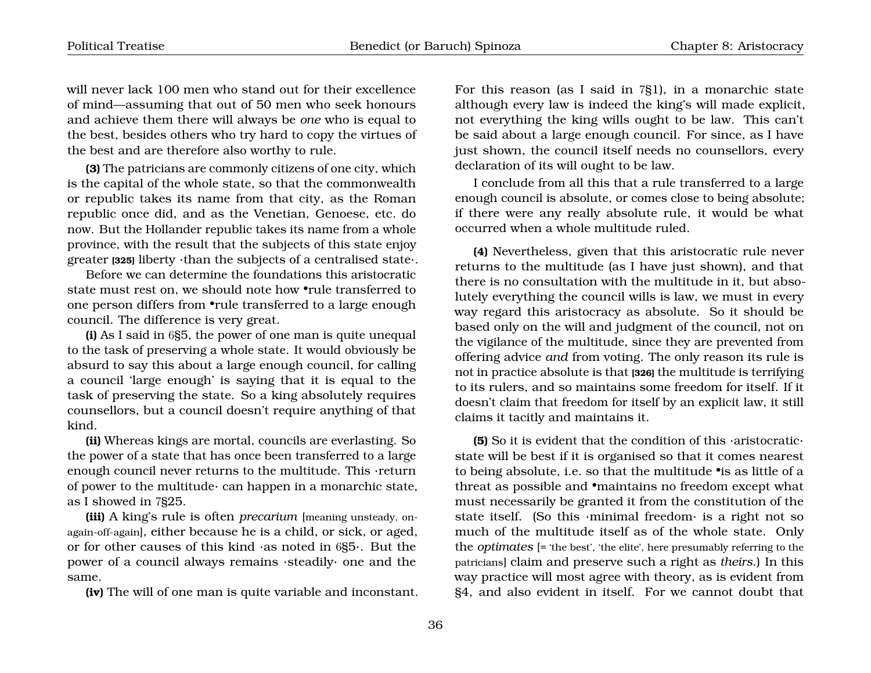will never lack 100 men who stand out for their excellence of mind—assuming that out of 50 men who seek honours and achieve them there will always be *one* who is equal to the best, besides others who try hard to copy the virtues of the best and are therefore also worthy to rule.

**(3)** The patricians are commonly citizens of one city, which is the capital of the whole state, so that the commonwealth or republic takes its name from that city, as the Roman republic once did, and as the Venetian, Genoese, etc. do now. But the Hollander republic takes its name from a whole province, with the result that the subjects of this state enjoy greater **[325]** liberty ·than the subjects of a centralised state·.

Before we can determine the foundations this aristocratic state must rest on, we should note how •rule transferred to one person differs from •rule transferred to a large enough council. The difference is very great.

**(i)** As I said in 6§5, the power of one man is quite unequal to the task of preserving a whole state. It would obviously be absurd to say this about a large enough council, for calling a council 'large enough' is saying that it is equal to the task of preserving the state. So a king absolutely requires counsellors, but a council doesn't require anything of that kind.

**(ii)** Whereas kings are mortal, councils are everlasting. So the power of a state that has once been transferred to a large enough council never returns to the multitude. This ·return of power to the multitude· can happen in a monarchic state, as I showed in 7§25.

**(iii)** A king's rule is often *precarium* [meaning unsteady, onagain-off-again], either because he is a child, or sick, or aged, or for other causes of this kind ·as noted in 6§5·. But the power of a council always remains ·steadily· one and the same.

**(iv)** The will of one man is quite variable and inconstant.

For this reason (as I said in 7§1), in a monarchic state although every law is indeed the king's will made explicit, not everything the king wills ought to be law. This can't be said about a large enough council. For since, as I have just shown, the council itself needs no counsellors, every declaration of its will ought to be law.

I conclude from all this that a rule transferred to a large enough council is absolute, or comes close to being absolute; if there were any really absolute rule, it would be what occurred when a whole multitude ruled.

**(4)** Nevertheless, given that this aristocratic rule never returns to the multitude (as I have just shown), and that there is no consultation with the multitude in it, but absolutely everything the council wills is law, we must in every way regard this aristocracy as absolute. So it should be based only on the will and judgment of the council, not on the vigilance of the multitude, since they are prevented from offering advice *and* from voting. The only reason its rule is not in practice absolute is that **[326]** the multitude is terrifying to its rulers, and so maintains some freedom for itself. If it doesn't claim that freedom for itself by an explicit law, it still claims it tacitly and maintains it.

**(5)** So it is evident that the condition of this ·aristocratic· state will be best if it is organised so that it comes nearest to being absolute, i.e. so that the multitude •is as little of a threat as possible and •maintains no freedom except what must necessarily be granted it from the constitution of the state itself. (So this ·minimal freedom· is a right not so much of the multitude itself as of the whole state. Only the *optimates* [= 'the best', 'the elite', here presumably referring to the patricians] claim and preserve such a right as *theirs*.) In this way practice will most agree with theory, as is evident from §4, and also evident in itself. For we cannot doubt that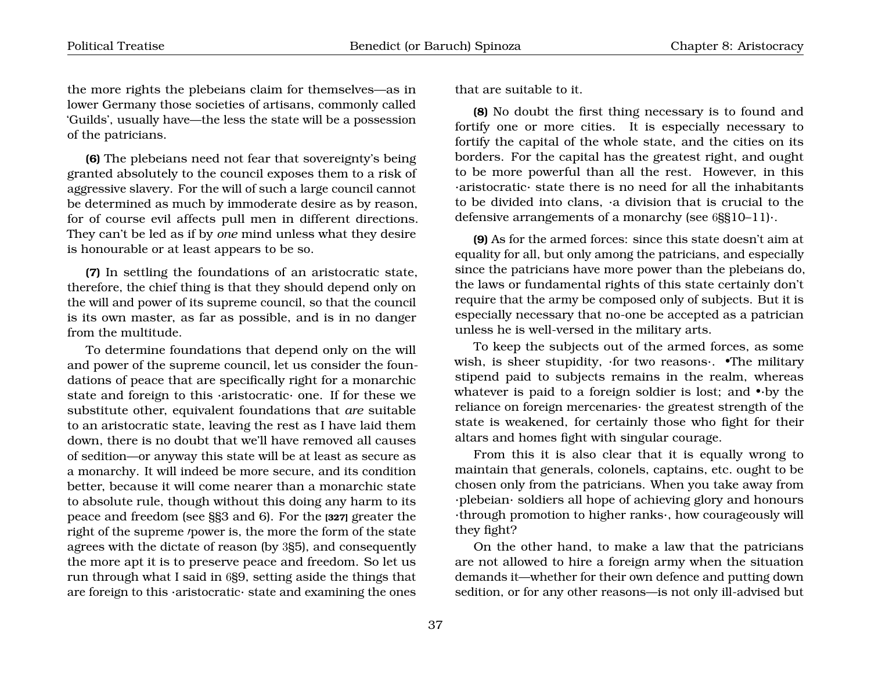the more rights the plebeians claim for themselves—as in lower Germany those societies of artisans, commonly called 'Guilds', usually have—the less the state will be a possession of the patricians.

**(6)** The plebeians need not fear that sovereignty's being granted absolutely to the council exposes them to a risk of aggressive slavery. For the will of such a large council cannot be determined as much by immoderate desire as by reason, for of course evil affects pull men in different directions. They can't be led as if by *one* mind unless what they desire is honourable or at least appears to be so.

**(7)** In settling the foundations of an aristocratic state, therefore, the chief thing is that they should depend only on the will and power of its supreme council, so that the council is its own master, as far as possible, and is in no danger from the multitude.

To determine foundations that depend only on the will and power of the supreme council, let us consider the foundations of peace that are specifically right for a monarchic state and foreign to this ·aristocratic· one. If for these we substitute other, equivalent foundations that *are* suitable to an aristocratic state, leaving the rest as I have laid them down, there is no doubt that we'll have removed all causes of sedition—or anyway this state will be at least as secure as a monarchy. It will indeed be more secure, and its condition better, because it will come nearer than a monarchic state to absolute rule, though without this doing any harm to its peace and freedom (see §§3 and 6). For the **[327]** greater the right of the supreme *'power* is, the more the form of the state agrees with the dictate of reason (by 3§5), and consequently the more apt it is to preserve peace and freedom. So let us run through what I said in 6§9, setting aside the things that are foreign to this ·aristocratic· state and examining the ones

that are suitable to it.

**(8)** No doubt the first thing necessary is to found and fortify one or more cities. It is especially necessary to fortify the capital of the whole state, and the cities on its borders. For the capital has the greatest right, and ought to be more powerful than all the rest. However, in this ·aristocratic· state there is no need for all the inhabitants to be divided into clans, ·a division that is crucial to the defensive arrangements of a monarchy (see 6§§10–11)·.

**(9)** As for the armed forces: since this state doesn't aim at equality for all, but only among the patricians, and especially since the patricians have more power than the plebeians do, the laws or fundamental rights of this state certainly don't require that the army be composed only of subjects. But it is especially necessary that no-one be accepted as a patrician unless he is well-versed in the military arts.

To keep the subjects out of the armed forces, as some wish, is sheer stupidity, ·for two reasons·. •The military stipend paid to subjects remains in the realm, whereas whatever is paid to a foreign soldier is lost; and •·by the reliance on foreign mercenaries· the greatest strength of the state is weakened, for certainly those who fight for their altars and homes fight with singular courage.

From this it is also clear that it is equally wrong to maintain that generals, colonels, captains, etc. ought to be chosen only from the patricians. When you take away from ·plebeian· soldiers all hope of achieving glory and honours ·through promotion to higher ranks·, how courageously will they fight?

On the other hand, to make a law that the patricians are not allowed to hire a foreign army when the situation demands it—whether for their own defence and putting down sedition, or for any other reasons—is not only ill-advised but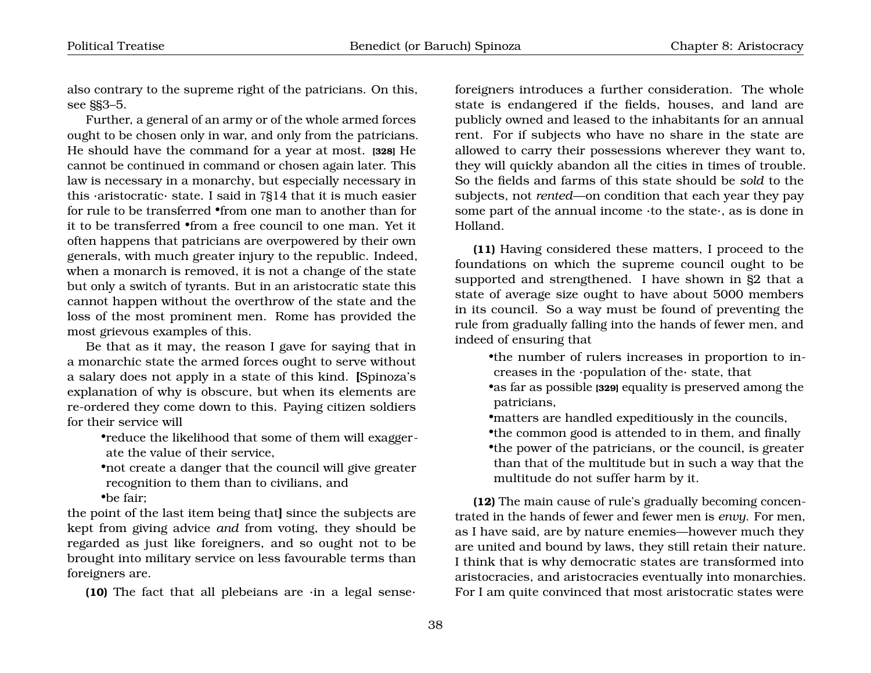also contrary to the supreme right of the patricians. On this, see §§3–5.

Further, a general of an army or of the whole armed forces ought to be chosen only in war, and only from the patricians. He should have the command for a year at most. **[328]** He cannot be continued in command or chosen again later. This law is necessary in a monarchy, but especially necessary in this ·aristocratic· state. I said in 7§14 that it is much easier for rule to be transferred •from one man to another than for it to be transferred •from a free council to one man. Yet it often happens that patricians are overpowered by their own generals, with much greater injury to the republic. Indeed, when a monarch is removed, it is not a change of the state but only a switch of tyrants. But in an aristocratic state this cannot happen without the overthrow of the state and the loss of the most prominent men. Rome has provided the most grievous examples of this.

Be that as it may, the reason I gave for saying that in a monarchic state the armed forces ought to serve without a salary does not apply in a state of this kind. **[**Spinoza's explanation of why is obscure, but when its elements are re-ordered they come down to this. Paying citizen soldiers for their service will

•reduce the likelihood that some of them will exaggerate the value of their service,

•not create a danger that the council will give greater recognition to them than to civilians, and •be fair;

the point of the last item being that**]** since the subjects are kept from giving advice *and* from voting, they should be regarded as just like foreigners, and so ought not to be brought into military service on less favourable terms than foreigners are.

**(10)** The fact that all plebeians are ·in a legal sense·

foreigners introduces a further consideration. The whole state is endangered if the fields, houses, and land are publicly owned and leased to the inhabitants for an annual rent. For if subjects who have no share in the state are allowed to carry their possessions wherever they want to, they will quickly abandon all the cities in times of trouble. So the fields and farms of this state should be *sold* to the subjects, not *rented*—on condition that each year they pay some part of the annual income ·to the state·, as is done in Holland.

**(11)** Having considered these matters, I proceed to the foundations on which the supreme council ought to be supported and strengthened. I have shown in §2 that a state of average size ought to have about 5000 members in its council. So a way must be found of preventing the rule from gradually falling into the hands of fewer men, and indeed of ensuring that

•the number of rulers increases in proportion to increases in the ·population of the· state, that

•as far as possible **[329]** equality is preserved among the patricians,

•matters are handled expeditiously in the councils, •the common good is attended to in them, and finally •the power of the patricians, or the council, is greater than that of the multitude but in such a way that the multitude do not suffer harm by it.

**(12)** The main cause of rule's gradually becoming concentrated in the hands of fewer and fewer men is *envy*. For men, as I have said, are by nature enemies—however much they are united and bound by laws, they still retain their nature. I think that is why democratic states are transformed into aristocracies, and aristocracies eventually into monarchies. For I am quite convinced that most aristocratic states were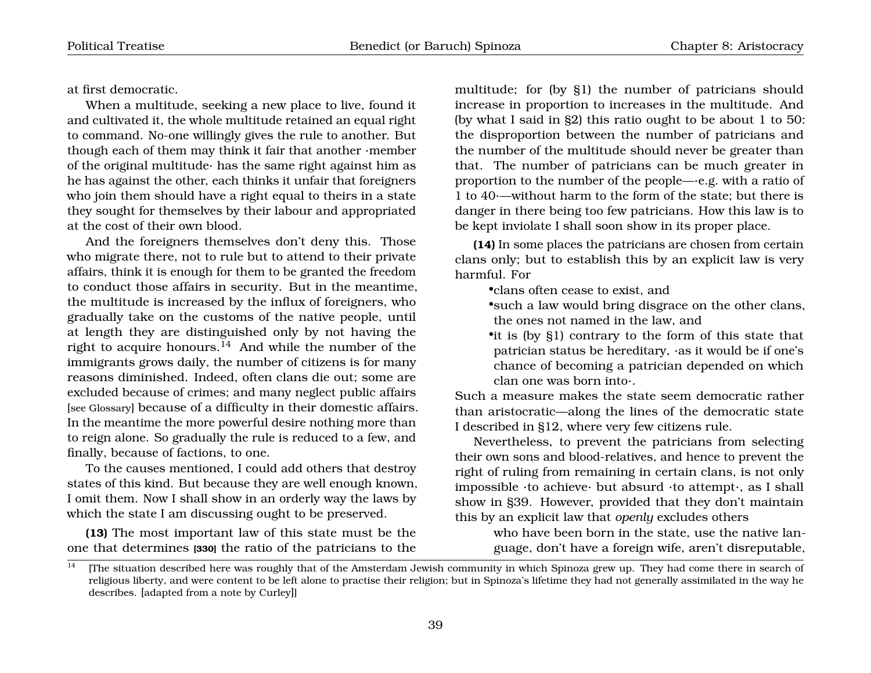at first democratic.

When a multitude, seeking a new place to live, found it and cultivated it, the whole multitude retained an equal right to command. No-one willingly gives the rule to another. But though each of them may think it fair that another ·member of the original multitude· has the same right against him as he has against the other, each thinks it unfair that foreigners who join them should have a right equal to theirs in a state they sought for themselves by their labour and appropriated at the cost of their own blood.

And the foreigners themselves don't deny this. Those who migrate there, not to rule but to attend to their private affairs, think it is enough for them to be granted the freedom to conduct those affairs in security. But in the meantime, the multitude is increased by the influx of foreigners, who gradually take on the customs of the native people, until at length they are distinguished only by not having the right to acquire honours.<sup>[14](#page-40-0)</sup> And while the number of the immigrants grows daily, the number of citizens is for many reasons diminished. Indeed, often clans die out; some are excluded because of crimes; and many neglect public affairs [see Glossary] because of a difficulty in their domestic affairs. In the meantime the more powerful desire nothing more than to reign alone. So gradually the rule is reduced to a few, and finally, because of factions, to one.

To the causes mentioned, I could add others that destroy states of this kind. But because they are well enough known, I omit them. Now I shall show in an orderly way the laws by which the state I am discussing ought to be preserved.

**(13)** The most important law of this state must be the one that determines **[330]** the ratio of the patricians to the multitude; for (by §1) the number of patricians should increase in proportion to increases in the multitude. And (by what I said in §2) this ratio ought to be about 1 to 50: the disproportion between the number of patricians and the number of the multitude should never be greater than that. The number of patricians can be much greater in proportion to the number of the people—·e.g. with a ratio of 1 to 40·—without harm to the form of the state; but there is danger in there being too few patricians. How this law is to be kept inviolate I shall soon show in its proper place.

**(14)** In some places the patricians are chosen from certain clans only; but to establish this by an explicit law is very harmful. For

•clans often cease to exist, and

•such a law would bring disgrace on the other clans, the ones not named in the law, and

•it is (by §1) contrary to the form of this state that patrician status be hereditary, ·as it would be if one's chance of becoming a patrician depended on which clan one was born into·.

Such a measure makes the state seem democratic rather than aristocratic—along the lines of the democratic state I described in §12, where very few citizens rule.

Nevertheless, to prevent the patricians from selecting their own sons and blood-relatives, and hence to prevent the right of ruling from remaining in certain clans, is not only impossible ·to achieve· but absurd ·to attempt·, as I shall show in §39. However, provided that they don't maintain this by an explicit law that *openly* excludes others

> who have been born in the state, use the native language, don't have a foreign wife, aren't disreputable,

<span id="page-40-0"></span><sup>&</sup>lt;sup>14</sup> [The situation described here was roughly that of the Amsterdam Jewish community in which Spinoza grew up. They had come there in search of religious liberty, and were content to be left alone to practise their religion; but in Spinoza's lifetime they had not generally assimilated in the way he describes. [adapted from a note by Curley]]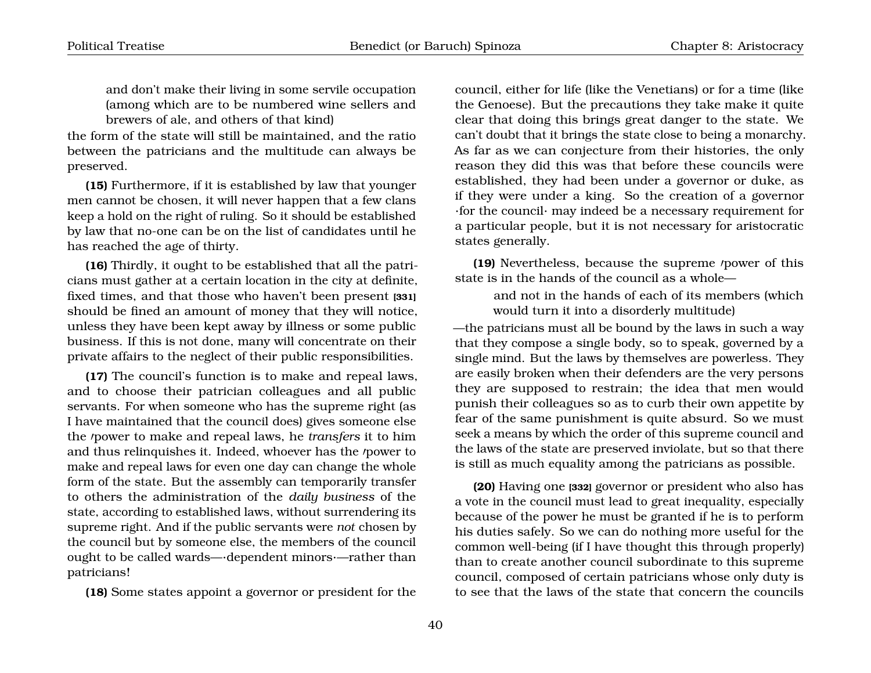and don't make their living in some servile occupation (among which are to be numbered wine sellers and brewers of ale, and others of that kind)

the form of the state will still be maintained, and the ratio between the patricians and the multitude can always be preserved.

**(15)** Furthermore, if it is established by law that younger men cannot be chosen, it will never happen that a few clans keep a hold on the right of ruling. So it should be established by law that no-one can be on the list of candidates until he has reached the age of thirty.

**(16)** Thirdly, it ought to be established that all the patricians must gather at a certain location in the city at definite, fixed times, and that those who haven't been present **[331]** should be fined an amount of money that they will notice, unless they have been kept away by illness or some public business. If this is not done, many will concentrate on their private affairs to the neglect of their public responsibilities.

**(17)** The council's function is to make and repeal laws, and to choose their patrician colleagues and all public servants. For when someone who has the supreme right (as I have maintained that the council does) gives someone else the *'power* to make and repeal laws, he *transfers* it to him and thus relinquishes it. Indeed, whoever has the *power* to make and repeal laws for even one day can change the whole form of the state. But the assembly can temporarily transfer to others the administration of the *daily business* of the state, according to established laws, without surrendering its supreme right. And if the public servants were *not* chosen by the council but by someone else, the members of the council ought to be called wards—·dependent minors·—rather than patricians!

**(18)** Some states appoint a governor or president for the

council, either for life (like the Venetians) or for a time (like the Genoese). But the precautions they take make it quite clear that doing this brings great danger to the state. We can't doubt that it brings the state close to being a monarchy. As far as we can conjecture from their histories, the only reason they did this was that before these councils were established, they had been under a governor or duke, as if they were under a king. So the creation of a governor ·for the council· may indeed be a necessary requirement for a particular people, but it is not necessary for aristocratic states generally.

**(19)** Nevertheless, because the supreme *power* of this state is in the hands of the council as a whole—

and not in the hands of each of its members (which would turn it into a disorderly multitude)

—the patricians must all be bound by the laws in such a way that they compose a single body, so to speak, governed by a single mind. But the laws by themselves are powerless. They are easily broken when their defenders are the very persons they are supposed to restrain; the idea that men would punish their colleagues so as to curb their own appetite by fear of the same punishment is quite absurd. So we must seek a means by which the order of this supreme council and the laws of the state are preserved inviolate, but so that there is still as much equality among the patricians as possible.

**(20)** Having one **[332]** governor or president who also has a vote in the council must lead to great inequality, especially because of the power he must be granted if he is to perform his duties safely. So we can do nothing more useful for the common well-being (if I have thought this through properly) than to create another council subordinate to this supreme council, composed of certain patricians whose only duty is to see that the laws of the state that concern the councils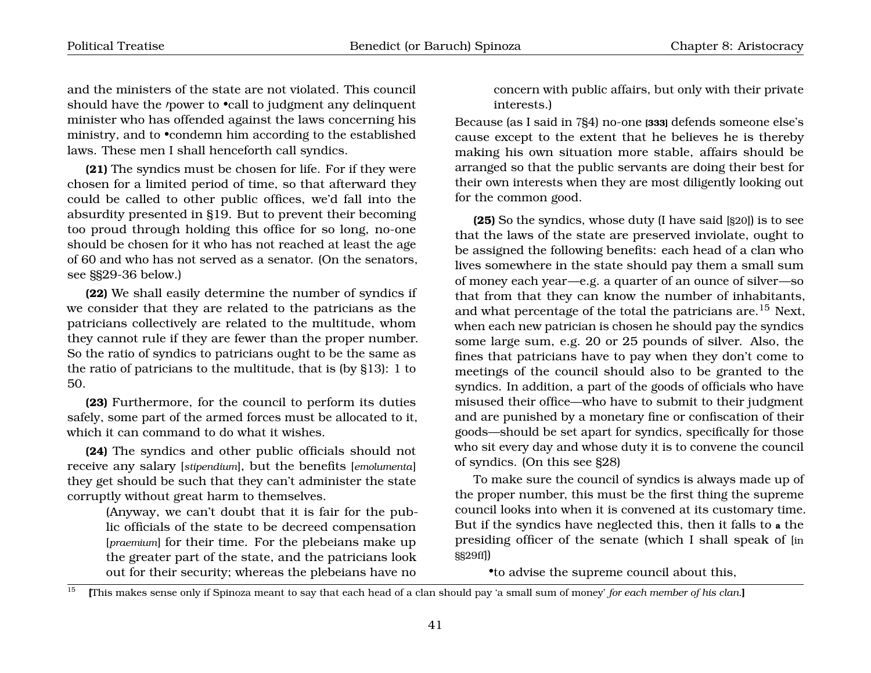and the ministers of the state are not violated. This council should have the *power* to **•call to judgment any delinquent** minister who has offended against the laws concerning his ministry, and to •condemn him according to the established laws. These men I shall henceforth call syndics.

**(21)** The syndics must be chosen for life. For if they were chosen for a limited period of time, so that afterward they could be called to other public offices, we'd fall into the absurdity presented in §19. But to prevent their becoming too proud through holding this office for so long, no-one should be chosen for it who has not reached at least the age of 60 and who has not served as a senator. (On the senators, see §§29-36 below.)

**(22)** We shall easily determine the number of syndics if we consider that they are related to the patricians as the patricians collectively are related to the multitude, whom they cannot rule if they are fewer than the proper number. So the ratio of syndics to patricians ought to be the same as the ratio of patricians to the multitude, that is (by §13): 1 to 50.

**(23)** Furthermore, for the council to perform its duties safely, some part of the armed forces must be allocated to it, which it can command to do what it wishes.

**(24)** The syndics and other public officials should not receive any salary [*stipendium*], but the benefits [*emolumenta*] they get should be such that they can't administer the state corruptly without great harm to themselves.

> (Anyway, we can't doubt that it is fair for the public officials of the state to be decreed compensation [*praemium*] for their time. For the plebeians make up the greater part of the state, and the patricians look out for their security; whereas the plebeians have no

concern with public affairs, but only with their private interests.)

Because (as I said in 7§4) no-one **[333]** defends someone else's cause except to the extent that he believes he is thereby making his own situation more stable, affairs should be arranged so that the public servants are doing their best for their own interests when they are most diligently looking out for the common good.

**(25)** So the syndics, whose duty (I have said [§20]) is to see that the laws of the state are preserved inviolate, ought to be assigned the following benefits: each head of a clan who lives somewhere in the state should pay them a small sum of money each year—e.g. a quarter of an ounce of silver—so that from that they can know the number of inhabitants, and what percentage of the total the patricians are.<sup>[15](#page-42-0)</sup> Next, when each new patrician is chosen he should pay the syndics some large sum, e.g. 20 or 25 pounds of silver. Also, the fines that patricians have to pay when they don't come to meetings of the council should also to be granted to the syndics. In addition, a part of the goods of officials who have misused their office—who have to submit to their judgment and are punished by a monetary fine or confiscation of their goods—should be set apart for syndics, specifically for those who sit every day and whose duty it is to convene the council of syndics. (On this see §28)

To make sure the council of syndics is always made up of the proper number, this must be the first thing the supreme council looks into when it is convened at its customary time. But if the syndics have neglected this, then it falls to **a** the presiding officer of the senate (which I shall speak of [in §§29ff])

•to advise the supreme council about this,

<span id="page-42-0"></span><sup>15</sup> **[**This makes sense only if Spinoza meant to say that each head of a clan should pay 'a small sum of money' *for each member of his clan*.**]**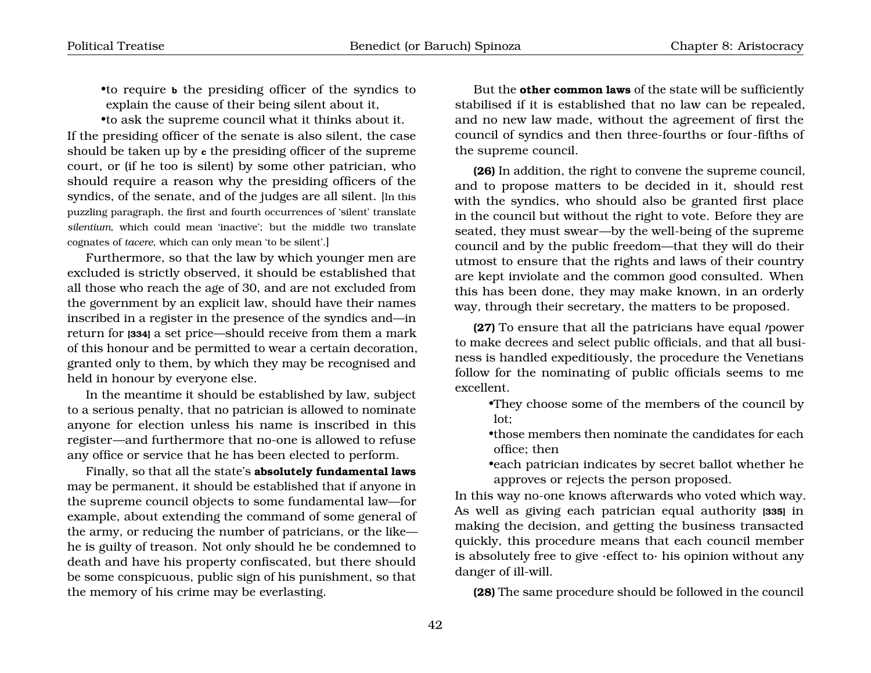•to require **b** the presiding officer of the syndics to explain the cause of their being silent about it,

•to ask the supreme council what it thinks about it. If the presiding officer of the senate is also silent, the case should be taken up by **c** the presiding officer of the supreme court, or (if he too is silent) by some other patrician, who should require a reason why the presiding officers of the syndics, of the senate, and of the judges are all silent. [In this puzzling paragraph, the first and fourth occurrences of 'silent' translate *silentium*, which could mean 'inactive'; but the middle two translate cognates of *tacere*, which can only mean 'to be silent'.]

Furthermore, so that the law by which younger men are excluded is strictly observed, it should be established that all those who reach the age of 30, and are not excluded from the government by an explicit law, should have their names inscribed in a register in the presence of the syndics and—in return for **[334]** a set price—should receive from them a mark of this honour and be permitted to wear a certain decoration, granted only to them, by which they may be recognised and held in honour by everyone else.

In the meantime it should be established by law, subject to a serious penalty, that no patrician is allowed to nominate anyone for election unless his name is inscribed in this register—and furthermore that no-one is allowed to refuse any office or service that he has been elected to perform.

Finally, so that all the state's **absolutely fundamental laws** may be permanent, it should be established that if anyone in the supreme council objects to some fundamental law—for example, about extending the command of some general of the army, or reducing the number of patricians, or the like he is guilty of treason. Not only should he be condemned to death and have his property confiscated, but there should be some conspicuous, public sign of his punishment, so that the memory of his crime may be everlasting.

But the **other common laws** of the state will be sufficiently stabilised if it is established that no law can be repealed, and no new law made, without the agreement of first the council of syndics and then three-fourths or four-fifths of the supreme council.

**(26)** In addition, the right to convene the supreme council, and to propose matters to be decided in it, should rest with the syndics, who should also be granted first place in the council but without the right to vote. Before they are seated, they must swear—by the well-being of the supreme council and by the public freedom—that they will do their utmost to ensure that the rights and laws of their country are kept inviolate and the common good consulted. When this has been done, they may make known, in an orderly way, through their secretary, the matters to be proposed.

**(27)** To ensure that all the patricians have equal *power* to make decrees and select public officials, and that all business is handled expeditiously, the procedure the Venetians follow for the nominating of public officials seems to me excellent.

- •They choose some of the members of the council by lot;
- •those members then nominate the candidates for each office; then
- •each patrician indicates by secret ballot whether he approves or rejects the person proposed.

In this way no-one knows afterwards who voted which way. As well as giving each patrician equal authority **[335]** in making the decision, and getting the business transacted quickly, this procedure means that each council member is absolutely free to give ·effect to· his opinion without any danger of ill-will.

**(28)** The same procedure should be followed in the council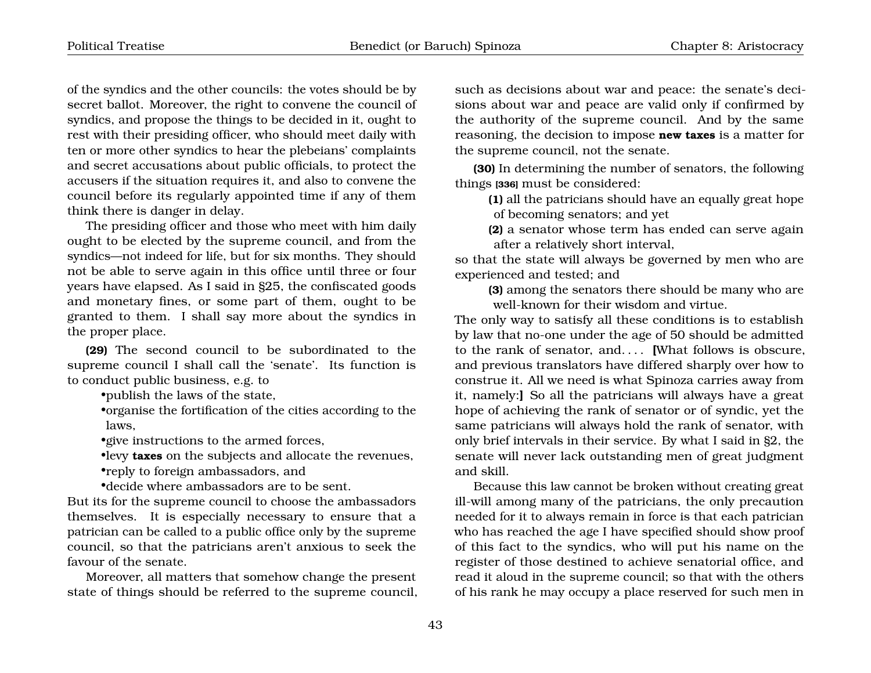of the syndics and the other councils: the votes should be by secret ballot. Moreover, the right to convene the council of syndics, and propose the things to be decided in it, ought to rest with their presiding officer, who should meet daily with ten or more other syndics to hear the plebeians' complaints and secret accusations about public officials, to protect the accusers if the situation requires it, and also to convene the council before its regularly appointed time if any of them think there is danger in delay.

The presiding officer and those who meet with him daily ought to be elected by the supreme council, and from the syndics—not indeed for life, but for six months. They should not be able to serve again in this office until three or four years have elapsed. As I said in §25, the confiscated goods and monetary fines, or some part of them, ought to be granted to them. I shall say more about the syndics in the proper place.

**(29)** The second council to be subordinated to the supreme council I shall call the 'senate'. Its function is to conduct public business, e.g. to

•publish the laws of the state,

•organise the fortification of the cities according to the laws,

•give instructions to the armed forces,

•levy **taxes** on the subjects and allocate the revenues,

•reply to foreign ambassadors, and

•decide where ambassadors are to be sent.

But its for the supreme council to choose the ambassadors themselves. It is especially necessary to ensure that a patrician can be called to a public office only by the supreme council, so that the patricians aren't anxious to seek the favour of the senate.

Moreover, all matters that somehow change the present state of things should be referred to the supreme council,

such as decisions about war and peace: the senate's decisions about war and peace are valid only if confirmed by the authority of the supreme council. And by the same reasoning, the decision to impose **new taxes** is a matter for the supreme council, not the senate.

**(30)** In determining the number of senators, the following things **[336]** must be considered:

**(1)** all the patricians should have an equally great hope of becoming senators; and yet

**(2)** a senator whose term has ended can serve again after a relatively short interval,

so that the state will always be governed by men who are experienced and tested; and

**(3)** among the senators there should be many who are well-known for their wisdom and virtue.

The only way to satisfy all these conditions is to establish by law that no-one under the age of 50 should be admitted to the rank of senator, and. . . . **[**What follows is obscure, and previous translators have differed sharply over how to construe it. All we need is what Spinoza carries away from it, namely:**]** So all the patricians will always have a great hope of achieving the rank of senator or of syndic, yet the same patricians will always hold the rank of senator, with only brief intervals in their service. By what I said in §2, the senate will never lack outstanding men of great judgment and skill.

Because this law cannot be broken without creating great ill-will among many of the patricians, the only precaution needed for it to always remain in force is that each patrician who has reached the age I have specified should show proof of this fact to the syndics, who will put his name on the register of those destined to achieve senatorial office, and read it aloud in the supreme council; so that with the others of his rank he may occupy a place reserved for such men in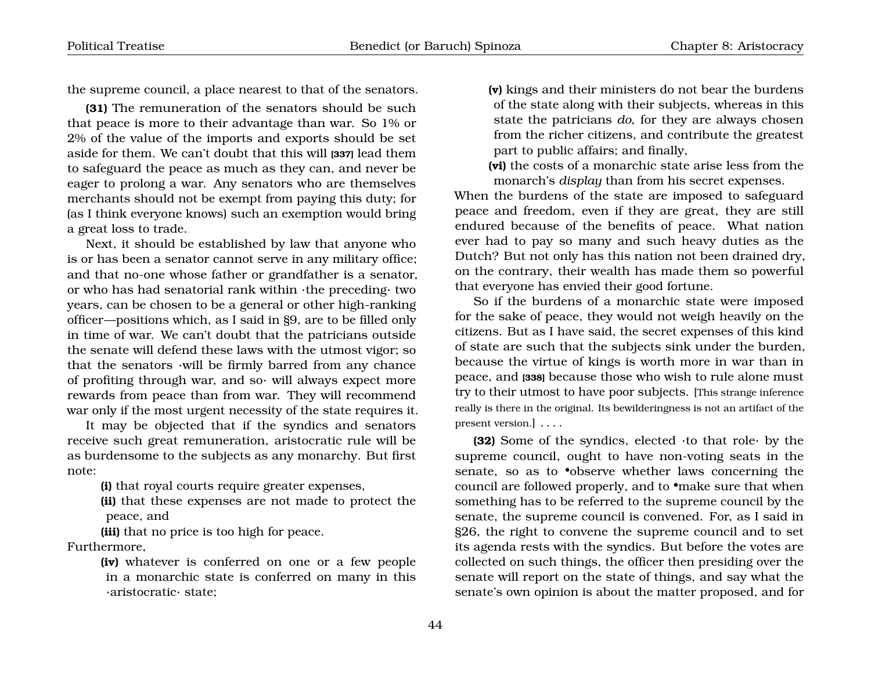the supreme council, a place nearest to that of the senators.

**(31)** The remuneration of the senators should be such that peace is more to their advantage than war. So 1% or 2% of the value of the imports and exports should be set aside for them. We can't doubt that this will **[337]** lead them to safeguard the peace as much as they can, and never be eager to prolong a war. Any senators who are themselves merchants should not be exempt from paying this duty; for (as I think everyone knows) such an exemption would bring a great loss to trade.

Next, it should be established by law that anyone who is or has been a senator cannot serve in any military office; and that no-one whose father or grandfather is a senator, or who has had senatorial rank within ·the preceding· two years, can be chosen to be a general or other high-ranking officer—positions which, as I said in §9, are to be filled only in time of war. We can't doubt that the patricians outside the senate will defend these laws with the utmost vigor; so that the senators ·will be firmly barred from any chance of profiting through war, and so· will always expect more rewards from peace than from war. They will recommend war only if the most urgent necessity of the state requires it.

It may be objected that if the syndics and senators receive such great remuneration, aristocratic rule will be as burdensome to the subjects as any monarchy. But first note:

**(i)** that royal courts require greater expenses,

**(ii)** that these expenses are not made to protect the peace, and

**(iii)** that no price is too high for peace.

Furthermore,

**(iv)** whatever is conferred on one or a few people in a monarchic state is conferred on many in this ·aristocratic· state;

**(v)** kings and their ministers do not bear the burdens of the state along with their subjects, whereas in this state the patricians *do*, for they are always chosen from the richer citizens, and contribute the greatest part to public affairs; and finally,

**(vi)** the costs of a monarchic state arise less from the monarch's *display* than from his secret expenses.

When the burdens of the state are imposed to safeguard peace and freedom, even if they are great, they are still endured because of the benefits of peace. What nation ever had to pay so many and such heavy duties as the Dutch? But not only has this nation not been drained dry, on the contrary, their wealth has made them so powerful that everyone has envied their good fortune.

So if the burdens of a monarchic state were imposed for the sake of peace, they would not weigh heavily on the citizens. But as I have said, the secret expenses of this kind of state are such that the subjects sink under the burden, because the virtue of kings is worth more in war than in peace, and **[338]** because those who wish to rule alone must try to their utmost to have poor subjects. [This strange inference really is there in the original. Its bewilderingness is not an artifact of the present version.] . . . .

**(32)** Some of the syndics, elected ·to that role· by the supreme council, ought to have non-voting seats in the senate, so as to •observe whether laws concerning the council are followed properly, and to •make sure that when something has to be referred to the supreme council by the senate, the supreme council is convened. For, as I said in §26, the right to convene the supreme council and to set its agenda rests with the syndics. But before the votes are collected on such things, the officer then presiding over the senate will report on the state of things, and say what the senate's own opinion is about the matter proposed, and for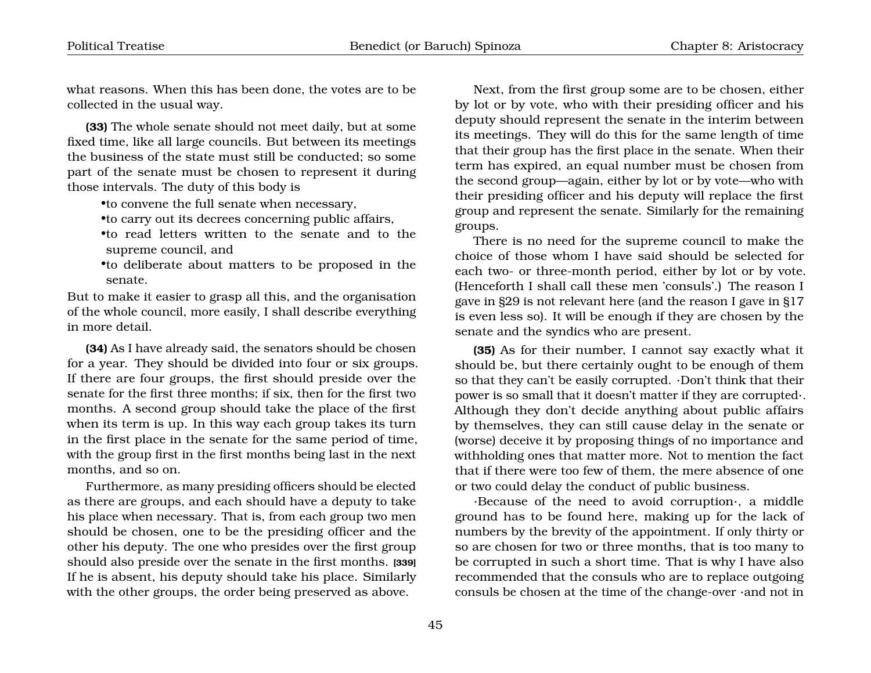what reasons. When this has been done, the votes are to be collected in the usual way.

**(33)** The whole senate should not meet daily, but at some fixed time, like all large councils. But between its meetings the business of the state must still be conducted; so some part of the senate must be chosen to represent it during those intervals. The duty of this body is

•to convene the full senate when necessary,

•to carry out its decrees concerning public affairs,

•to read letters written to the senate and to the supreme council, and

•to deliberate about matters to be proposed in the senate.

But to make it easier to grasp all this, and the organisation of the whole council, more easily, I shall describe everything in more detail.

**(34)** As I have already said, the senators should be chosen for a year. They should be divided into four or six groups. If there are four groups, the first should preside over the senate for the first three months; if six, then for the first two months. A second group should take the place of the first when its term is up. In this way each group takes its turn in the first place in the senate for the same period of time, with the group first in the first months being last in the next months, and so on.

Furthermore, as many presiding officers should be elected as there are groups, and each should have a deputy to take his place when necessary. That is, from each group two men should be chosen, one to be the presiding officer and the other his deputy. The one who presides over the first group should also preside over the senate in the first months. **[339]** If he is absent, his deputy should take his place. Similarly with the other groups, the order being preserved as above.

Next, from the first group some are to be chosen, either by lot or by vote, who with their presiding officer and his deputy should represent the senate in the interim between its meetings. They will do this for the same length of time that their group has the first place in the senate. When their term has expired, an equal number must be chosen from the second group—again, either by lot or by vote—who with their presiding officer and his deputy will replace the first group and represent the senate. Similarly for the remaining groups.

There is no need for the supreme council to make the choice of those whom I have said should be selected for each two- or three-month period, either by lot or by vote. (Henceforth I shall call these men 'consuls'.) The reason I gave in §29 is not relevant here (and the reason I gave in §17 is even less so). It will be enough if they are chosen by the senate and the syndics who are present.

**(35)** As for their number, I cannot say exactly what it should be, but there certainly ought to be enough of them so that they can't be easily corrupted. ·Don't think that their power is so small that it doesn't matter if they are corrupted·. Although they don't decide anything about public affairs by themselves, they can still cause delay in the senate or (worse) deceive it by proposing things of no importance and withholding ones that matter more. Not to mention the fact that if there were too few of them, the mere absence of one or two could delay the conduct of public business.

·Because of the need to avoid corruption·, a middle ground has to be found here, making up for the lack of numbers by the brevity of the appointment. If only thirty or so are chosen for two or three months, that is too many to be corrupted in such a short time. That is why I have also recommended that the consuls who are to replace outgoing consuls be chosen at the time of the change-over ·and not in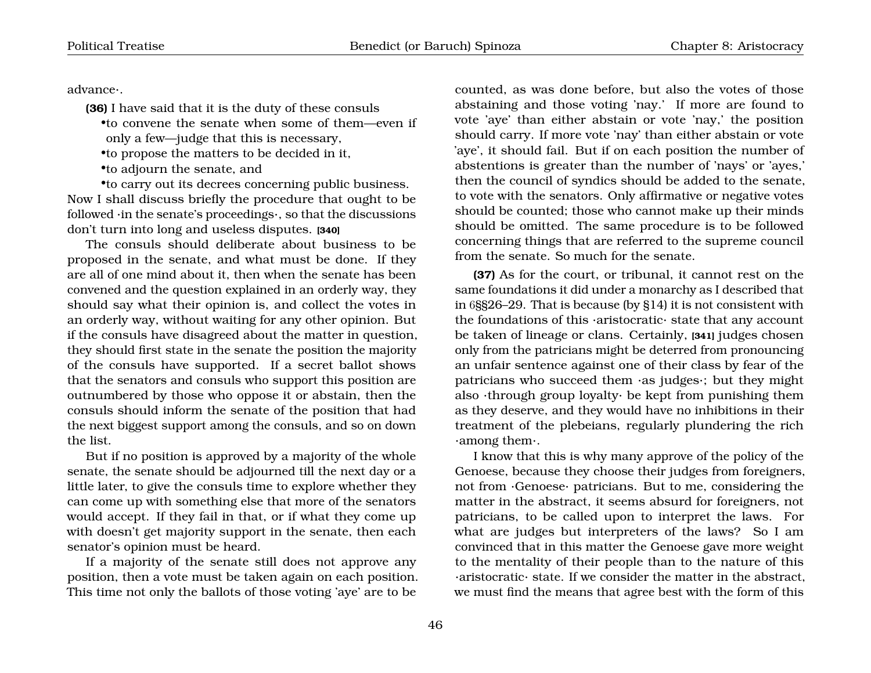advance·.

**(36)** I have said that it is the duty of these consuls

•to convene the senate when some of them—even if only a few—judge that this is necessary,

•to propose the matters to be decided in it,

•to adjourn the senate, and

•to carry out its decrees concerning public business. Now I shall discuss briefly the procedure that ought to be followed ·in the senate's proceedings·, so that the discussions don't turn into long and useless disputes. **[340]**

The consuls should deliberate about business to be proposed in the senate, and what must be done. If they are all of one mind about it, then when the senate has been convened and the question explained in an orderly way, they should say what their opinion is, and collect the votes in an orderly way, without waiting for any other opinion. But if the consuls have disagreed about the matter in question, they should first state in the senate the position the majority of the consuls have supported. If a secret ballot shows that the senators and consuls who support this position are outnumbered by those who oppose it or abstain, then the consuls should inform the senate of the position that had the next biggest support among the consuls, and so on down the list.

But if no position is approved by a majority of the whole senate, the senate should be adjourned till the next day or a little later, to give the consuls time to explore whether they can come up with something else that more of the senators would accept. If they fail in that, or if what they come up with doesn't get majority support in the senate, then each senator's opinion must be heard.

If a majority of the senate still does not approve any position, then a vote must be taken again on each position. This time not only the ballots of those voting 'aye' are to be

counted, as was done before, but also the votes of those abstaining and those voting 'nay.' If more are found to vote 'aye' than either abstain or vote 'nay,' the position should carry. If more vote 'nay' than either abstain or vote 'aye', it should fail. But if on each position the number of abstentions is greater than the number of 'nays' or 'ayes,' then the council of syndics should be added to the senate, to vote with the senators. Only affirmative or negative votes should be counted; those who cannot make up their minds should be omitted. The same procedure is to be followed concerning things that are referred to the supreme council from the senate. So much for the senate.

**(37)** As for the court, or tribunal, it cannot rest on the same foundations it did under a monarchy as I described that in 6§§26–29. That is because (by §14) it is not consistent with the foundations of this ·aristocratic· state that any account be taken of lineage or clans. Certainly, **[341]** judges chosen only from the patricians might be deterred from pronouncing an unfair sentence against one of their class by fear of the patricians who succeed them ·as judges·; but they might also ·through group loyalty· be kept from punishing them as they deserve, and they would have no inhibitions in their treatment of the plebeians, regularly plundering the rich ·among them·.

I know that this is why many approve of the policy of the Genoese, because they choose their judges from foreigners, not from ·Genoese· patricians. But to me, considering the matter in the abstract, it seems absurd for foreigners, not patricians, to be called upon to interpret the laws. For what are judges but interpreters of the laws? So I am convinced that in this matter the Genoese gave more weight to the mentality of their people than to the nature of this ·aristocratic· state. If we consider the matter in the abstract, we must find the means that agree best with the form of this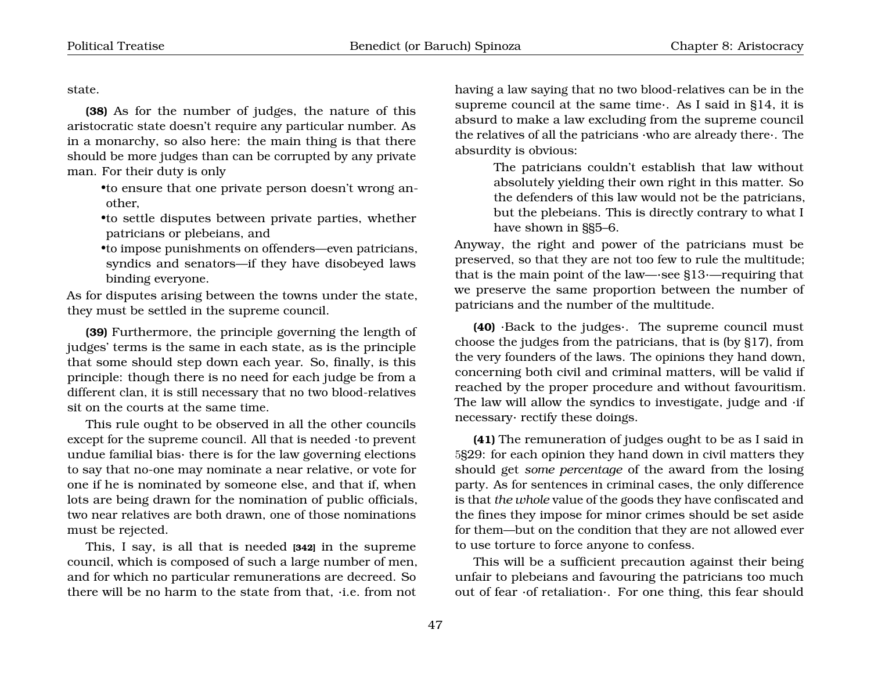state.

**(38)** As for the number of judges, the nature of this aristocratic state doesn't require any particular number. As in a monarchy, so also here: the main thing is that there should be more judges than can be corrupted by any private man. For their duty is only

•to ensure that one private person doesn't wrong another,

•to settle disputes between private parties, whether patricians or plebeians, and

•to impose punishments on offenders—even patricians, syndics and senators—if they have disobeyed laws binding everyone.

As for disputes arising between the towns under the state, they must be settled in the supreme council.

**(39)** Furthermore, the principle governing the length of judges' terms is the same in each state, as is the principle that some should step down each year. So, finally, is this principle: though there is no need for each judge be from a different clan, it is still necessary that no two blood-relatives sit on the courts at the same time.

This rule ought to be observed in all the other councils except for the supreme council. All that is needed ·to prevent undue familial bias· there is for the law governing elections to say that no-one may nominate a near relative, or vote for one if he is nominated by someone else, and that if, when lots are being drawn for the nomination of public officials, two near relatives are both drawn, one of those nominations must be rejected.

This, I say, is all that is needed **[342]** in the supreme council, which is composed of such a large number of men, and for which no particular remunerations are decreed. So there will be no harm to the state from that, ·i.e. from not having a law saying that no two blood-relatives can be in the supreme council at the same time·. As I said in §14, it is absurd to make a law excluding from the supreme council the relatives of all the patricians ·who are already there·. The absurdity is obvious:

> The patricians couldn't establish that law without absolutely yielding their own right in this matter. So the defenders of this law would not be the patricians, but the plebeians. This is directly contrary to what I have shown in §§5–6.

Anyway, the right and power of the patricians must be preserved, so that they are not too few to rule the multitude; that is the main point of the law—·see §13·—requiring that we preserve the same proportion between the number of patricians and the number of the multitude.

**(40)** ·Back to the judges·. The supreme council must choose the judges from the patricians, that is (by §17), from the very founders of the laws. The opinions they hand down, concerning both civil and criminal matters, will be valid if reached by the proper procedure and without favouritism. The law will allow the syndics to investigate, judge and ·if necessary· rectify these doings.

**(41)** The remuneration of judges ought to be as I said in 5§29: for each opinion they hand down in civil matters they should get *some percentage* of the award from the losing party. As for sentences in criminal cases, the only difference is that *the whole* value of the goods they have confiscated and the fines they impose for minor crimes should be set aside for them—but on the condition that they are not allowed ever to use torture to force anyone to confess.

This will be a sufficient precaution against their being unfair to plebeians and favouring the patricians too much out of fear ·of retaliation·. For one thing, this fear should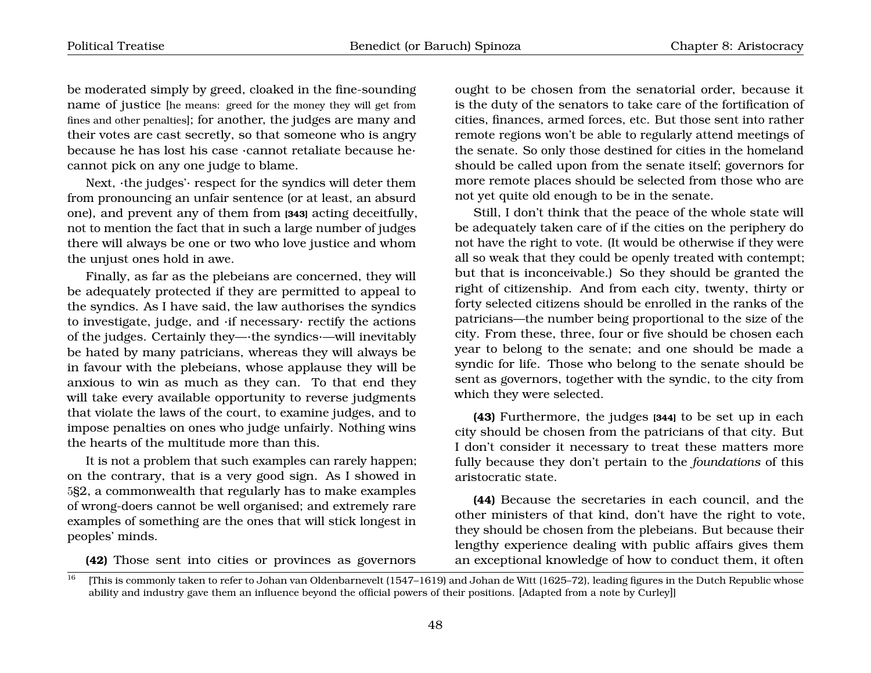be moderated simply by greed, cloaked in the fine-sounding name of justice [he means: greed for the money they will get from fines and other penalties]; for another, the judges are many and their votes are cast secretly, so that someone who is angry because he has lost his case ·cannot retaliate because he· cannot pick on any one judge to blame.

Next, ·the judges'· respect for the syndics will deter them from pronouncing an unfair sentence (or at least, an absurd one), and prevent any of them from **[343]** acting deceitfully, not to mention the fact that in such a large number of judges there will always be one or two who love justice and whom the unjust ones hold in awe.

Finally, as far as the plebeians are concerned, they will be adequately protected if they are permitted to appeal to the syndics. As I have said, the law authorises the syndics to investigate, judge, and ·if necessary· rectify the actions of the judges. Certainly they—·the syndics·—will inevitably be hated by many patricians, whereas they will always be in favour with the plebeians, whose applause they will be anxious to win as much as they can. To that end they will take every available opportunity to reverse judgments that violate the laws of the court, to examine judges, and to impose penalties on ones who judge unfairly. Nothing wins the hearts of the multitude more than this.

It is not a problem that such examples can rarely happen; on the contrary, that is a very good sign. As I showed in 5§2, a commonwealth that regularly has to make examples of wrong-doers cannot be well organised; and extremely rare examples of something are the ones that will stick longest in peoples' minds.

<span id="page-49-0"></span>**(42)** Those sent into cities or provinces as governors

ought to be chosen from the senatorial order, because it is the duty of the senators to take care of the fortification of cities, finances, armed forces, etc. But those sent into rather remote regions won't be able to regularly attend meetings of the senate. So only those destined for cities in the homeland should be called upon from the senate itself; governors for more remote places should be selected from those who are not yet quite old enough to be in the senate.

Still, I don't think that the peace of the whole state will be adequately taken care of if the cities on the periphery do not have the right to vote. (It would be otherwise if they were all so weak that they could be openly treated with contempt; but that is inconceivable.) So they should be granted the right of citizenship. And from each city, twenty, thirty or forty selected citizens should be enrolled in the ranks of the patricians—the number being proportional to the size of the city. From these, three, four or five should be chosen each year to belong to the senate; and one should be made a syndic for life. Those who belong to the senate should be sent as governors, together with the syndic, to the city from which they were selected.

**(43)** Furthermore, the judges **[344]** to be set up in each city should be chosen from the patricians of that city. But I don't consider it necessary to treat these matters more fully because they don't pertain to the *foundations* of this aristocratic state.

**(44)** Because the secretaries in each council, and the other ministers of that kind, don't have the right to vote, they should be chosen from the plebeians. But because their lengthy experience dealing with public affairs gives them an exceptional knowledge of how to conduct them, it often

<sup>16</sup> [This is commonly taken to refer to Johan van Oldenbarnevelt (1547–1619) and Johan de Witt (1625–72), leading figures in the Dutch Republic whose ability and industry gave them an influence beyond the official powers of their positions. [Adapted from a note by Curley]]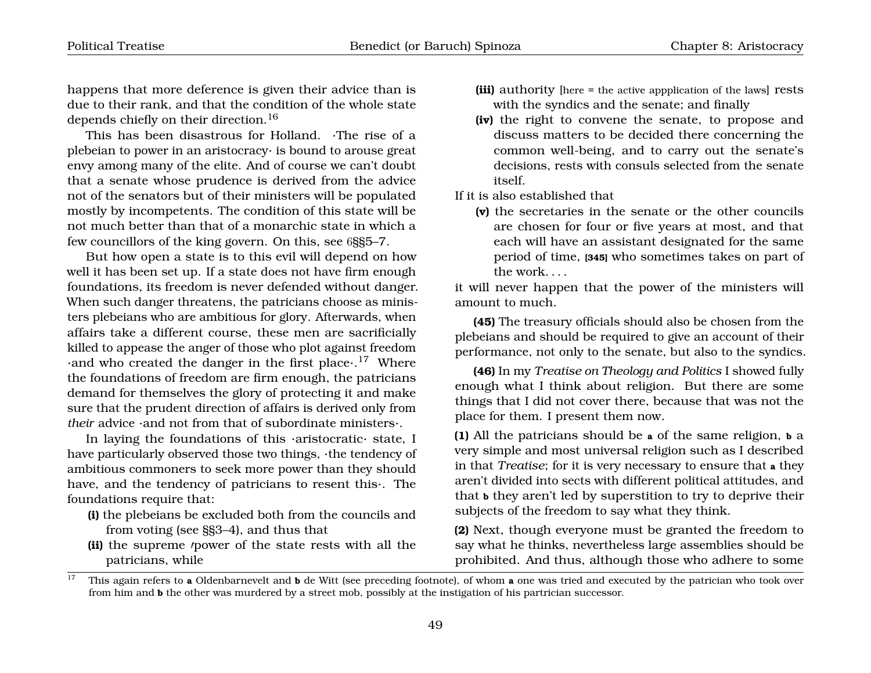happens that more deference is given their advice than is due to their rank, and that the condition of the whole state depends chiefly on their direction.[16](#page-49-0)

This has been disastrous for Holland. ·The rise of a plebeian to power in an aristocracy· is bound to arouse great envy among many of the elite. And of course we can't doubt that a senate whose prudence is derived from the advice not of the senators but of their ministers will be populated mostly by incompetents. The condition of this state will be not much better than that of a monarchic state in which a few councillors of the king govern. On this, see 6§§5–7.

But how open a state is to this evil will depend on how well it has been set up. If a state does not have firm enough foundations, its freedom is never defended without danger. When such danger threatens, the patricians choose as ministers plebeians who are ambitious for glory. Afterwards, when affairs take a different course, these men are sacrificially killed to appease the anger of those who plot against freedom  $\cdot$  and who created the danger in the first place $\cdot$ .<sup>[17](#page-50-0)</sup> Where the foundations of freedom are firm enough, the patricians demand for themselves the glory of protecting it and make sure that the prudent direction of affairs is derived only from *their* advice ·and not from that of subordinate ministers·.

In laying the foundations of this ·aristocratic· state, I have particularly observed those two things, ·the tendency of ambitious commoners to seek more power than they should have, and the tendency of patricians to resent this·. The foundations require that:

- **(i)** the plebeians be excluded both from the councils and from voting (see §§3–4), and thus that
- (ii) the supreme *power* of the state rests with all the patricians, while
- **(iii)** authority [here = the active appplication of the laws] rests with the syndics and the senate; and finally
- **(iv)** the right to convene the senate, to propose and discuss matters to be decided there concerning the common well-being, and to carry out the senate's decisions, rests with consuls selected from the senate itself.

If it is also established that

**(v)** the secretaries in the senate or the other councils are chosen for four or five years at most, and that each will have an assistant designated for the same period of time, **[345]** who sometimes takes on part of the work. . . .

it will never happen that the power of the ministers will amount to much.

**(45)** The treasury officials should also be chosen from the plebeians and should be required to give an account of their performance, not only to the senate, but also to the syndics.

**(46)** In my *Treatise on Theology and Politics* I showed fully enough what I think about religion. But there are some things that I did not cover there, because that was not the place for them. I present them now.

**(1)** All the patricians should be **a** of the same religion, **b** a very simple and most universal religion such as I described in that *Treatise*; for it is very necessary to ensure that **a** they aren't divided into sects with different political attitudes, and that **b** they aren't led by superstition to try to deprive their subjects of the freedom to say what they think.

**(2)** Next, though everyone must be granted the freedom to say what he thinks, nevertheless large assemblies should be prohibited. And thus, although those who adhere to some

<span id="page-50-0"></span><sup>&</sup>lt;sup>17</sup> This again refers to **a** Oldenbarnevelt and **b** de Witt (see preceding footnote), of whom **a** one was tried and executed by the patrician who took over from him and **b** the other was murdered by a street mob, possibly at the instigation of his partrician successor.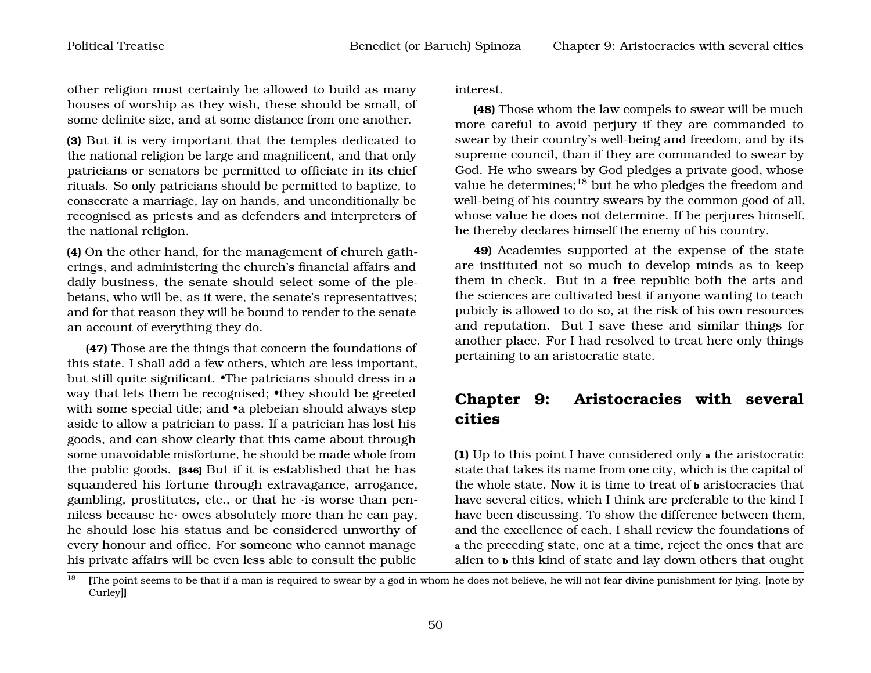other religion must certainly be allowed to build as many houses of worship as they wish, these should be small, of some definite size, and at some distance from one another.

**(3)** But it is very important that the temples dedicated to the national religion be large and magnificent, and that only patricians or senators be permitted to officiate in its chief rituals. So only patricians should be permitted to baptize, to consecrate a marriage, lay on hands, and unconditionally be recognised as priests and as defenders and interpreters of the national religion.

**(4)** On the other hand, for the management of church gatherings, and administering the church's financial affairs and daily business, the senate should select some of the plebeians, who will be, as it were, the senate's representatives; and for that reason they will be bound to render to the senate an account of everything they do.

**(47)** Those are the things that concern the foundations of this state. I shall add a few others, which are less important, but still quite significant. •The patricians should dress in a way that lets them be recognised; •they should be greeted with some special title; and •a plebeian should always step aside to allow a patrician to pass. If a patrician has lost his goods, and can show clearly that this came about through some unavoidable misfortune, he should be made whole from the public goods. **[346]** But if it is established that he has squandered his fortune through extravagance, arrogance, gambling, prostitutes, etc., or that he ·is worse than penniless because he· owes absolutely more than he can pay, he should lose his status and be considered unworthy of every honour and office. For someone who cannot manage his private affairs will be even less able to consult the public interest.

**(48)** Those whom the law compels to swear will be much more careful to avoid perjury if they are commanded to swear by their country's well-being and freedom, and by its supreme council, than if they are commanded to swear by God. He who swears by God pledges a private good, whose value he determines;[18](#page-51-1) but he who pledges the freedom and well-being of his country swears by the common good of all, whose value he does not determine. If he perjures himself, he thereby declares himself the enemy of his country.

**49)** Academies supported at the expense of the state are instituted not so much to develop minds as to keep them in check. But in a free republic both the arts and the sciences are cultivated best if anyone wanting to teach pubicly is allowed to do so, at the risk of his own resources and reputation. But I save these and similar things for another place. For I had resolved to treat here only things pertaining to an aristocratic state.

### <span id="page-51-0"></span>**Chapter 9: Aristocracies with several cities**

**(1)** Up to this point I have considered only **a** the aristocratic state that takes its name from one city, which is the capital of the whole state. Now it is time to treat of **b** aristocracies that have several cities, which I think are preferable to the kind I have been discussing. To show the difference between them, and the excellence of each, I shall review the foundations of **a** the preceding state, one at a time, reject the ones that are alien to **b** this kind of state and lay down others that ought

<span id="page-51-1"></span> $\frac{18}{18}$  [The point seems to be that if a man is required to swear by a god in whom he does not believe, he will not fear divine punishment for lying. [note by Curley]**]**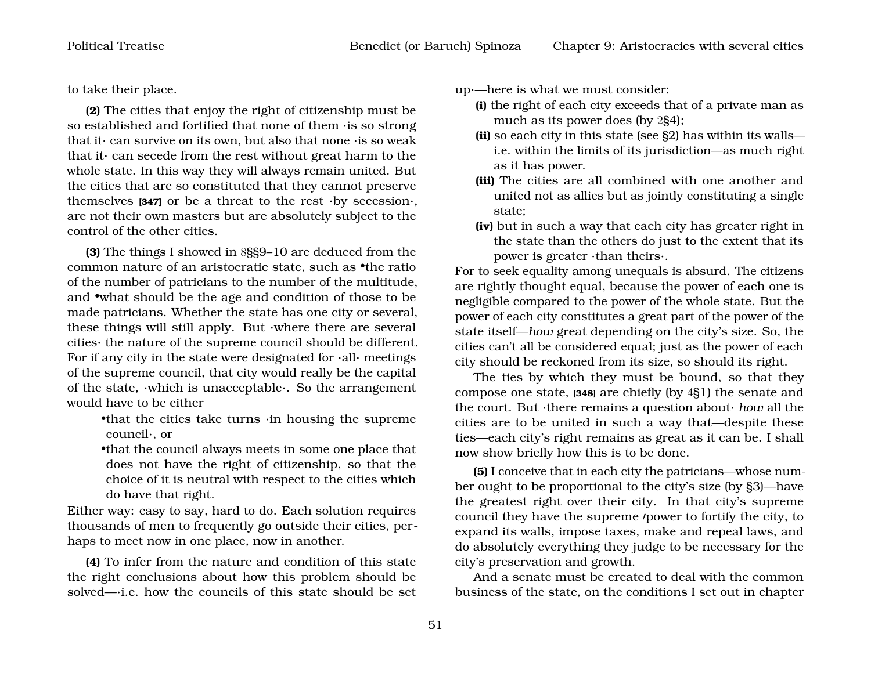to take their place.

**(2)** The cities that enjoy the right of citizenship must be so established and fortified that none of them ·is so strong that it can survive on its own, but also that none  $\cdot$  is so weak that it· can secede from the rest without great harm to the whole state. In this way they will always remain united. But the cities that are so constituted that they cannot preserve themselves **[347]** or be a threat to the rest ·by secession·, are not their own masters but are absolutely subject to the control of the other cities.

**(3)** The things I showed in 8§§9–10 are deduced from the common nature of an aristocratic state, such as •the ratio of the number of patricians to the number of the multitude, and •what should be the age and condition of those to be made patricians. Whether the state has one city or several, these things will still apply. But ·where there are several cities· the nature of the supreme council should be different. For if any city in the state were designated for  $\cdot$ all $\cdot$  meetings of the supreme council, that city would really be the capital of the state, ·which is unacceptable·. So the arrangement would have to be either

•that the cities take turns ·in housing the supreme council·, or

•that the council always meets in some one place that does not have the right of citizenship, so that the choice of it is neutral with respect to the cities which do have that right.

Either way: easy to say, hard to do. Each solution requires thousands of men to frequently go outside their cities, perhaps to meet now in one place, now in another.

**(4)** To infer from the nature and condition of this state the right conclusions about how this problem should be solved—·i.e. how the councils of this state should be set up·—here is what we must consider:

- **(i)** the right of each city exceeds that of a private man as much as its power does (by 2§4);
- **(ii)** so each city in this state (see §2) has within its walls i.e. within the limits of its jurisdiction—as much right as it has power.
- **(iii)** The cities are all combined with one another and united not as allies but as jointly constituting a single state;
- **(iv)** but in such a way that each city has greater right in the state than the others do just to the extent that its power is greater ·than theirs·.

For to seek equality among unequals is absurd. The citizens are rightly thought equal, because the power of each one is negligible compared to the power of the whole state. But the power of each city constitutes a great part of the power of the state itself—*how* great depending on the city's size. So, the cities can't all be considered equal; just as the power of each city should be reckoned from its size, so should its right.

The ties by which they must be bound, so that they compose one state, **[348]** are chiefly (by 4§1) the senate and the court. But ·there remains a question about· *how* all the cities are to be united in such a way that—despite these ties—each city's right remains as great as it can be. I shall now show briefly how this is to be done.

**(5)** I conceive that in each city the patricians—whose number ought to be proportional to the city's size (by §3)—have the greatest right over their city. In that city's supreme council they have the supreme *power* to fortify the city, to expand its walls, impose taxes, make and repeal laws, and do absolutely everything they judge to be necessary for the city's preservation and growth.

And a senate must be created to deal with the common business of the state, on the conditions I set out in chapter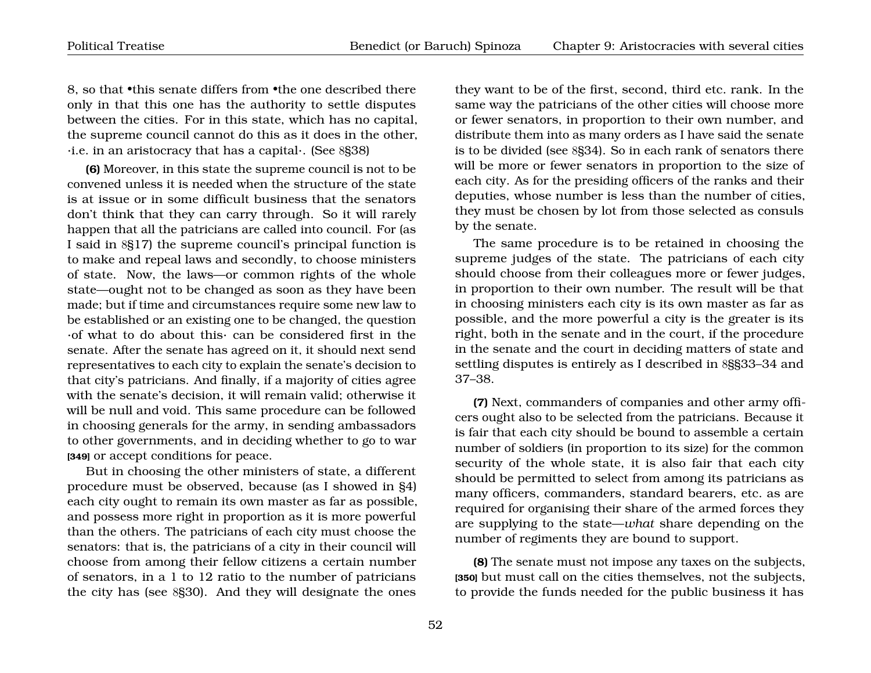8, so that •this senate differs from •the one described there only in that this one has the authority to settle disputes between the cities. For in this state, which has no capital, the supreme council cannot do this as it does in the other, ·i.e. in an aristocracy that has a capital·. (See 8§38)

**(6)** Moreover, in this state the supreme council is not to be convened unless it is needed when the structure of the state is at issue or in some difficult business that the senators don't think that they can carry through. So it will rarely happen that all the patricians are called into council. For (as I said in 8§17) the supreme council's principal function is to make and repeal laws and secondly, to choose ministers of state. Now, the laws—or common rights of the whole state—ought not to be changed as soon as they have been made; but if time and circumstances require some new law to be established or an existing one to be changed, the question ·of what to do about this· can be considered first in the senate. After the senate has agreed on it, it should next send representatives to each city to explain the senate's decision to that city's patricians. And finally, if a majority of cities agree with the senate's decision, it will remain valid; otherwise it will be null and void. This same procedure can be followed in choosing generals for the army, in sending ambassadors to other governments, and in deciding whether to go to war **[349]** or accept conditions for peace.

But in choosing the other ministers of state, a different procedure must be observed, because (as I showed in §4) each city ought to remain its own master as far as possible, and possess more right in proportion as it is more powerful than the others. The patricians of each city must choose the senators: that is, the patricians of a city in their council will choose from among their fellow citizens a certain number of senators, in a 1 to 12 ratio to the number of patricians the city has (see 8§30). And they will designate the ones

they want to be of the first, second, third etc. rank. In the same way the patricians of the other cities will choose more or fewer senators, in proportion to their own number, and distribute them into as many orders as I have said the senate is to be divided (see 8§34). So in each rank of senators there will be more or fewer senators in proportion to the size of each city. As for the presiding officers of the ranks and their deputies, whose number is less than the number of cities, they must be chosen by lot from those selected as consuls by the senate.

The same procedure is to be retained in choosing the supreme judges of the state. The patricians of each city should choose from their colleagues more or fewer judges, in proportion to their own number. The result will be that in choosing ministers each city is its own master as far as possible, and the more powerful a city is the greater is its right, both in the senate and in the court, if the procedure in the senate and the court in deciding matters of state and settling disputes is entirely as I described in 8§§33–34 and 37–38.

**(7)** Next, commanders of companies and other army officers ought also to be selected from the patricians. Because it is fair that each city should be bound to assemble a certain number of soldiers (in proportion to its size) for the common security of the whole state, it is also fair that each city should be permitted to select from among its patricians as many officers, commanders, standard bearers, etc. as are required for organising their share of the armed forces they are supplying to the state—*what* share depending on the number of regiments they are bound to support.

**(8)** The senate must not impose any taxes on the subjects, **[350]** but must call on the cities themselves, not the subjects, to provide the funds needed for the public business it has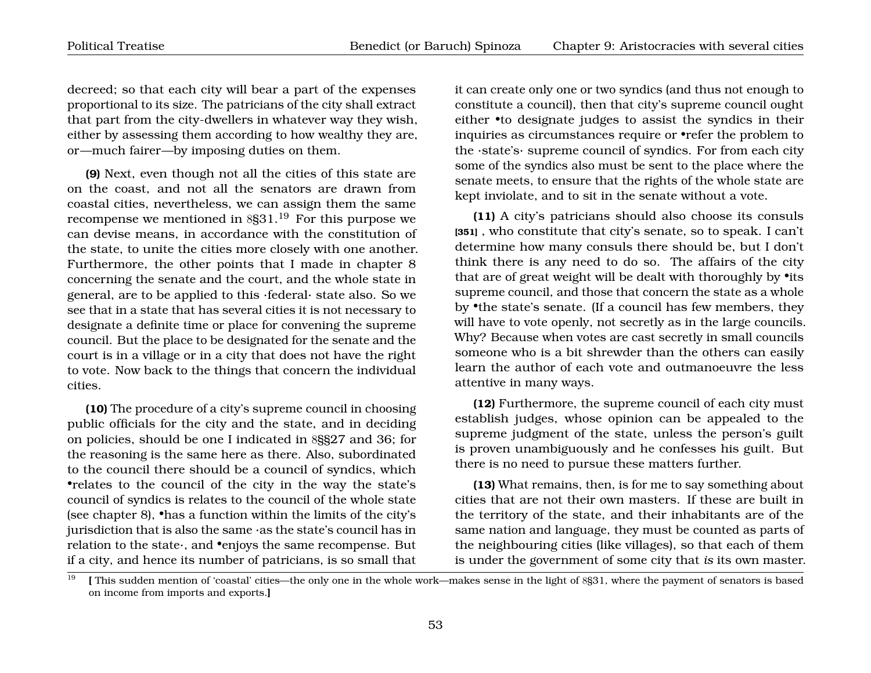decreed; so that each city will bear a part of the expenses proportional to its size. The patricians of the city shall extract that part from the city-dwellers in whatever way they wish, either by assessing them according to how wealthy they are, or—much fairer—by imposing duties on them.

**(9)** Next, even though not all the cities of this state are on the coast, and not all the senators are drawn from coastal cities, nevertheless, we can assign them the same recompense we mentioned in  $8\frac{19}{19}$  $8\frac{19}{19}$  $8\frac{19}{19}$  For this purpose we can devise means, in accordance with the constitution of the state, to unite the cities more closely with one another. Furthermore, the other points that I made in chapter 8 concerning the senate and the court, and the whole state in general, are to be applied to this ·federal· state also. So we see that in a state that has several cities it is not necessary to designate a definite time or place for convening the supreme council. But the place to be designated for the senate and the court is in a village or in a city that does not have the right to vote. Now back to the things that concern the individual cities.

**(10)** The procedure of a city's supreme council in choosing public officials for the city and the state, and in deciding on policies, should be one I indicated in 8§§27 and 36; for the reasoning is the same here as there. Also, subordinated to the council there should be a council of syndics, which •relates to the council of the city in the way the state's council of syndics is relates to the council of the whole state (see chapter 8), •has a function within the limits of the city's jurisdiction that is also the same ·as the state's council has in relation to the state·, and •enjoys the same recompense. But if a city, and hence its number of patricians, is so small that it can create only one or two syndics (and thus not enough to constitute a council), then that city's supreme council ought either •to designate judges to assist the syndics in their inquiries as circumstances require or •refer the problem to the ·state's· supreme council of syndics. For from each city some of the syndics also must be sent to the place where the senate meets, to ensure that the rights of the whole state are kept inviolate, and to sit in the senate without a vote.

**(11)** A city's patricians should also choose its consuls **[351]** , who constitute that city's senate, so to speak. I can't determine how many consuls there should be, but I don't think there is any need to do so. The affairs of the city that are of great weight will be dealt with thoroughly by •its supreme council, and those that concern the state as a whole by •the state's senate. (If a council has few members, they will have to vote openly, not secretly as in the large councils. Why? Because when votes are cast secretly in small councils someone who is a bit shrewder than the others can easily learn the author of each vote and outmanoeuvre the less attentive in many ways.

**(12)** Furthermore, the supreme council of each city must establish judges, whose opinion can be appealed to the supreme judgment of the state, unless the person's guilt is proven unambiguously and he confesses his guilt. But there is no need to pursue these matters further.

**(13)** What remains, then, is for me to say something about cities that are not their own masters. If these are built in the territory of the state, and their inhabitants are of the same nation and language, they must be counted as parts of the neighbouring cities (like villages), so that each of them is under the government of some city that *is* its own master.

<span id="page-54-0"></span> $\frac{19}{19}$  **[** This sudden mention of 'coastal' cities—the only one in the whole work—makes sense in the light of 8§31, where the payment of senators is based on income from imports and exports.**]**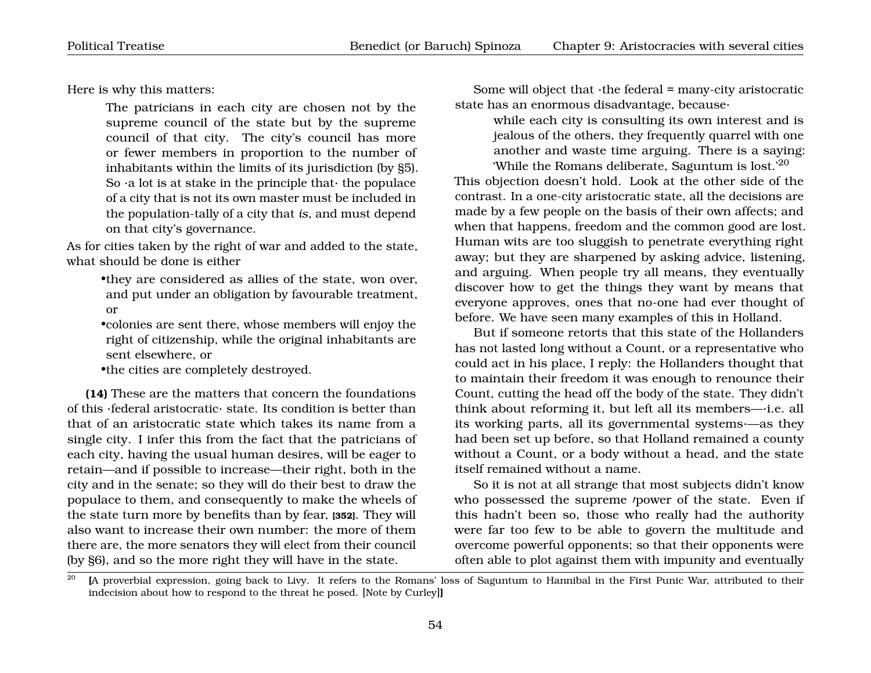Here is why this matters:

The patricians in each city are chosen not by the supreme council of the state but by the supreme council of that city. The city's council has more or fewer members in proportion to the number of inhabitants within the limits of its jurisdiction (by §5). So  $\cdot$ a lot is at stake in the principle that $\cdot$  the populace of a city that is not its own master must be included in the population-tally of a city that *is*, and must depend on that city's governance.

As for cities taken by the right of war and added to the state, what should be done is either

> •they are considered as allies of the state, won over, and put under an obligation by favourable treatment, or

> •colonies are sent there, whose members will enjoy the right of citizenship, while the original inhabitants are sent elsewhere, or

•the cities are completely destroyed.

**(14)** These are the matters that concern the foundations of this ·federal aristocratic· state. Its condition is better than that of an aristocratic state which takes its name from a single city. I infer this from the fact that the patricians of each city, having the usual human desires, will be eager to retain—and if possible to increase—their right, both in the city and in the senate; so they will do their best to draw the populace to them, and consequently to make the wheels of the state turn more by benefits than by fear, **[352]**. They will also want to increase their own number: the more of them there are, the more senators they will elect from their council (by §6), and so the more right they will have in the state.

Some will object that  $\cdot$ the federal = many-city aristocratic state has an enormous disadvantage, because·

> while each city is consulting its own interest and is jealous of the others, they frequently quarrel with one another and waste time arguing. There is a saying: 'While the Romans deliberate, Saguntum is lost.'[20](#page-55-0)

This objection doesn't hold. Look at the other side of the contrast. In a one-city aristocratic state, all the decisions are made by a few people on the basis of their own affects; and when that happens, freedom and the common good are lost. Human wits are too sluggish to penetrate everything right away; but they are sharpened by asking advice, listening, and arguing. When people try all means, they eventually discover how to get the things they want by means that everyone approves, ones that no-one had ever thought of before. We have seen many examples of this in Holland.

But if someone retorts that this state of the Hollanders has not lasted long without a Count, or a representative who could act in his place, I reply: the Hollanders thought that to maintain their freedom it was enough to renounce their Count, cutting the head off the body of the state. They didn't think about reforming it, but left all its members—·i.e. all its working parts, all its governmental systems·—as they had been set up before, so that Holland remained a county without a Count, or a body without a head, and the state itself remained without a name.

So it is not at all strange that most subjects didn't know who possessed the supreme /power of the state. Even if this hadn't been so, those who really had the authority were far too few to be able to govern the multitude and overcome powerful opponents; so that their opponents were often able to plot against them with impunity and eventually

<span id="page-55-0"></span><sup>&</sup>lt;sup>20</sup> **IA** proverbial expression, going back to Livy. It refers to the Romans' loss of Saguntum to Hannibal in the First Punic War, attributed to their indecision about how to respond to the threat he posed. [Note by Curley]**]**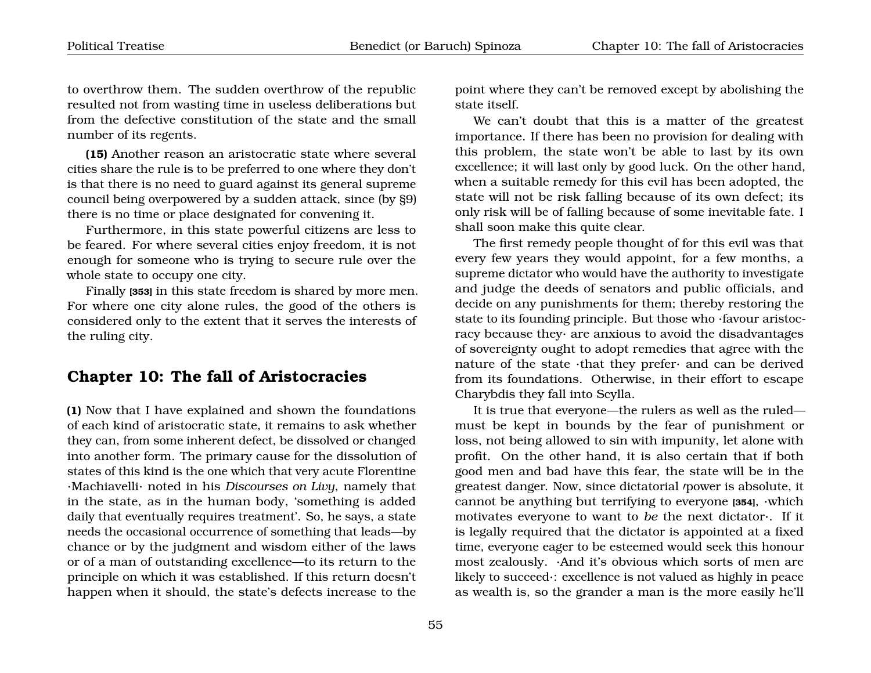to overthrow them. The sudden overthrow of the republic resulted not from wasting time in useless deliberations but from the defective constitution of the state and the small number of its regents.

**(15)** Another reason an aristocratic state where several cities share the rule is to be preferred to one where they don't is that there is no need to guard against its general supreme council being overpowered by a sudden attack, since (by §9) there is no time or place designated for convening it.

Furthermore, in this state powerful citizens are less to be feared. For where several cities enjoy freedom, it is not enough for someone who is trying to secure rule over the whole state to occupy one city.

Finally **[353]** in this state freedom is shared by more men. For where one city alone rules, the good of the others is considered only to the extent that it serves the interests of the ruling city.

#### <span id="page-56-0"></span>**Chapter 10: The fall of Aristocracies**

**(1)** Now that I have explained and shown the foundations of each kind of aristocratic state, it remains to ask whether they can, from some inherent defect, be dissolved or changed into another form. The primary cause for the dissolution of states of this kind is the one which that very acute Florentine ·Machiavelli· noted in his *Discourses on Livy*, namely that in the state, as in the human body, 'something is added daily that eventually requires treatment'. So, he says, a state needs the occasional occurrence of something that leads—by chance or by the judgment and wisdom either of the laws or of a man of outstanding excellence—to its return to the principle on which it was established. If this return doesn't happen when it should, the state's defects increase to the

point where they can't be removed except by abolishing the state itself.

We can't doubt that this is a matter of the greatest importance. If there has been no provision for dealing with this problem, the state won't be able to last by its own excellence; it will last only by good luck. On the other hand, when a suitable remedy for this evil has been adopted, the state will not be risk falling because of its own defect; its only risk will be of falling because of some inevitable fate. I shall soon make this quite clear.

The first remedy people thought of for this evil was that every few years they would appoint, for a few months, a supreme dictator who would have the authority to investigate and judge the deeds of senators and public officials, and decide on any punishments for them; thereby restoring the state to its founding principle. But those who ·favour aristocracy because they· are anxious to avoid the disadvantages of sovereignty ought to adopt remedies that agree with the nature of the state ·that they prefer· and can be derived from its foundations. Otherwise, in their effort to escape Charybdis they fall into Scylla.

It is true that everyone—the rulers as well as the ruled must be kept in bounds by the fear of punishment or loss, not being allowed to sin with impunity, let alone with profit. On the other hand, it is also certain that if both good men and bad have this fear, the state will be in the greatest danger. Now, since dictatorial *'power* is absolute, it cannot be anything but terrifying to everyone **[354]**, ·which motivates everyone to want to *be* the next dictator·. If it is legally required that the dictator is appointed at a fixed time, everyone eager to be esteemed would seek this honour most zealously. ·And it's obvious which sorts of men are likely to succeed·: excellence is not valued as highly in peace as wealth is, so the grander a man is the more easily he'll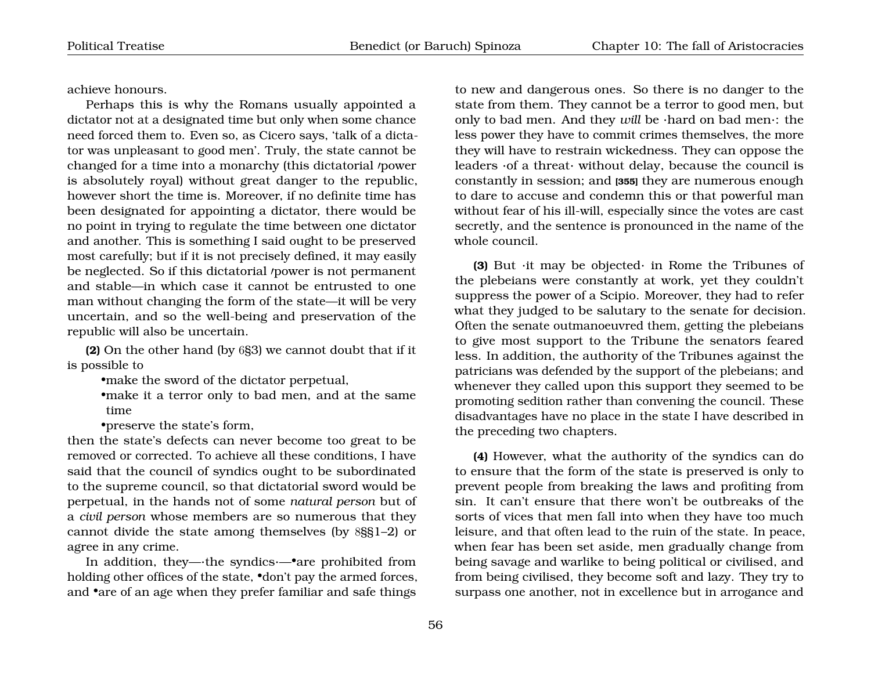achieve honours.

Perhaps this is why the Romans usually appointed a dictator not at a designated time but only when some chance need forced them to. Even so, as Cicero says, 'talk of a dictator was unpleasant to good men'. Truly, the state cannot be changed for a time into a monarchy (this dictatorial /power is absolutely royal) without great danger to the republic, however short the time is. Moreover, if no definite time has been designated for appointing a dictator, there would be no point in trying to regulate the time between one dictator and another. This is something I said ought to be preserved most carefully; but if it is not precisely defined, it may easily be neglected. So if this dictatorial *power* is not permanent and stable—in which case it cannot be entrusted to one man without changing the form of the state—it will be very uncertain, and so the well-being and preservation of the republic will also be uncertain.

**(2)** On the other hand (by 6§3) we cannot doubt that if it is possible to

•make the sword of the dictator perpetual,

•make it a terror only to bad men, and at the same time

•preserve the state's form,

then the state's defects can never become too great to be removed or corrected. To achieve all these conditions, I have said that the council of syndics ought to be subordinated to the supreme council, so that dictatorial sword would be perpetual, in the hands not of some *natural person* but of a *civil person* whose members are so numerous that they cannot divide the state among themselves (by 8§§1–2) or agree in any crime.

In addition, they—·the syndics·—•are prohibited from holding other offices of the state, •don't pay the armed forces, and •are of an age when they prefer familiar and safe things

to new and dangerous ones. So there is no danger to the state from them. They cannot be a terror to good men, but only to bad men. And they *will* be ·hard on bad men·: the less power they have to commit crimes themselves, the more they will have to restrain wickedness. They can oppose the leaders ·of a threat· without delay, because the council is constantly in session; and **[355]** they are numerous enough to dare to accuse and condemn this or that powerful man without fear of his ill-will, especially since the votes are cast secretly, and the sentence is pronounced in the name of the whole council.

**(3)** But ·it may be objected· in Rome the Tribunes of the plebeians were constantly at work, yet they couldn't suppress the power of a Scipio. Moreover, they had to refer what they judged to be salutary to the senate for decision. Often the senate outmanoeuvred them, getting the plebeians to give most support to the Tribune the senators feared less. In addition, the authority of the Tribunes against the patricians was defended by the support of the plebeians; and whenever they called upon this support they seemed to be promoting sedition rather than convening the council. These disadvantages have no place in the state I have described in the preceding two chapters.

**(4)** However, what the authority of the syndics can do to ensure that the form of the state is preserved is only to prevent people from breaking the laws and profiting from sin. It can't ensure that there won't be outbreaks of the sorts of vices that men fall into when they have too much leisure, and that often lead to the ruin of the state. In peace, when fear has been set aside, men gradually change from being savage and warlike to being political or civilised, and from being civilised, they become soft and lazy. They try to surpass one another, not in excellence but in arrogance and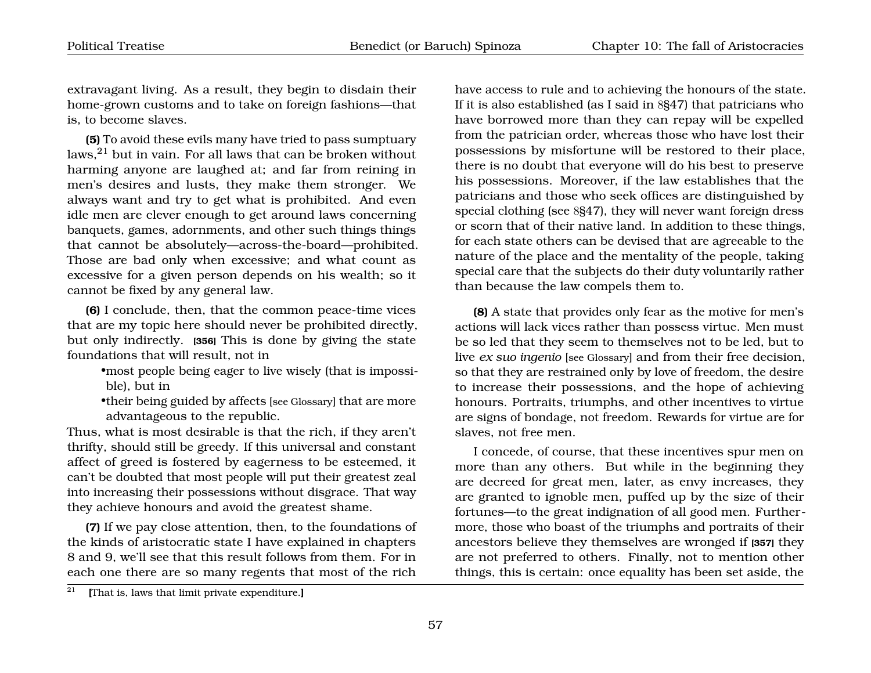extravagant living. As a result, they begin to disdain their home-grown customs and to take on foreign fashions—that is, to become slaves.

**(5)** To avoid these evils many have tried to pass sumptuary laws,[21](#page-58-0) but in vain. For all laws that can be broken without harming anyone are laughed at; and far from reining in men's desires and lusts, they make them stronger. We always want and try to get what is prohibited. And even idle men are clever enough to get around laws concerning banquets, games, adornments, and other such things things that cannot be absolutely—across-the-board—prohibited. Those are bad only when excessive; and what count as excessive for a given person depends on his wealth; so it cannot be fixed by any general law.

**(6)** I conclude, then, that the common peace-time vices that are my topic here should never be prohibited directly, but only indirectly. **[356]** This is done by giving the state foundations that will result, not in

•most people being eager to live wisely (that is impossible), but in

•their being guided by affects [see Glossary] that are more advantageous to the republic.

Thus, what is most desirable is that the rich, if they aren't thrifty, should still be greedy. If this universal and constant affect of greed is fostered by eagerness to be esteemed, it can't be doubted that most people will put their greatest zeal into increasing their possessions without disgrace. That way they achieve honours and avoid the greatest shame.

**(7)** If we pay close attention, then, to the foundations of the kinds of aristocratic state I have explained in chapters 8 and 9, we'll see that this result follows from them. For in each one there are so many regents that most of the rich

have access to rule and to achieving the honours of the state. If it is also established (as I said in 8§47) that patricians who have borrowed more than they can repay will be expelled from the patrician order, whereas those who have lost their possessions by misfortune will be restored to their place, there is no doubt that everyone will do his best to preserve his possessions. Moreover, if the law establishes that the patricians and those who seek offices are distinguished by special clothing (see 8§47), they will never want foreign dress or scorn that of their native land. In addition to these things, for each state others can be devised that are agreeable to the nature of the place and the mentality of the people, taking special care that the subjects do their duty voluntarily rather than because the law compels them to.

**(8)** A state that provides only fear as the motive for men's actions will lack vices rather than possess virtue. Men must be so led that they seem to themselves not to be led, but to live *ex suo ingenio* [see Glossary] and from their free decision, so that they are restrained only by love of freedom, the desire to increase their possessions, and the hope of achieving honours. Portraits, triumphs, and other incentives to virtue are signs of bondage, not freedom. Rewards for virtue are for slaves, not free men.

I concede, of course, that these incentives spur men on more than any others. But while in the beginning they are decreed for great men, later, as envy increases, they are granted to ignoble men, puffed up by the size of their fortunes—to the great indignation of all good men. Furthermore, those who boast of the triumphs and portraits of their ancestors believe they themselves are wronged if **[357]** they are not preferred to others. Finally, not to mention other things, this is certain: once equality has been set aside, the

<span id="page-58-0"></span><sup>21</sup> **[**That is, laws that limit private expenditure.**]**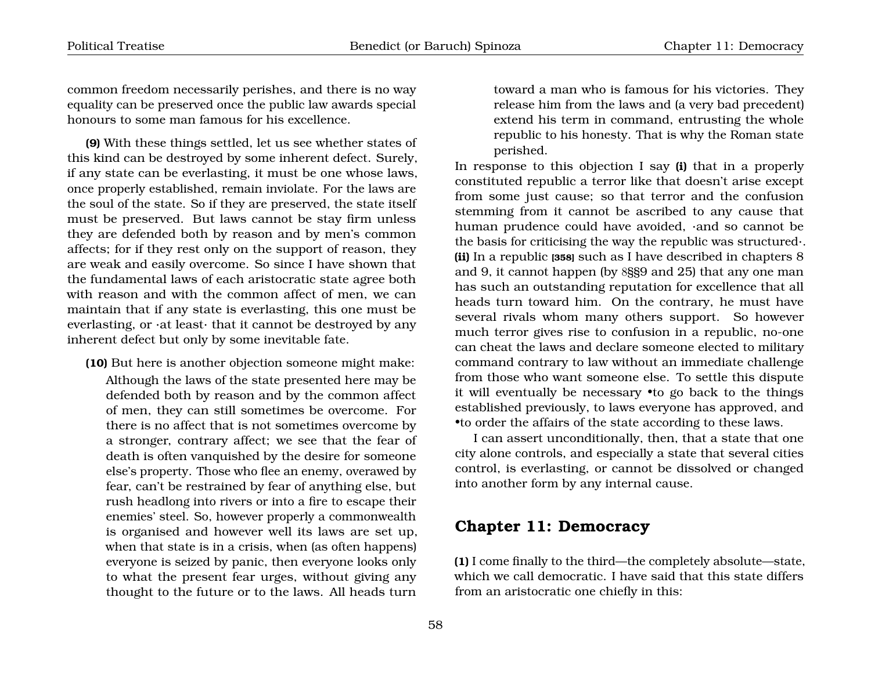common freedom necessarily perishes, and there is no way equality can be preserved once the public law awards special honours to some man famous for his excellence.

**(9)** With these things settled, let us see whether states of this kind can be destroyed by some inherent defect. Surely, if any state can be everlasting, it must be one whose laws, once properly established, remain inviolate. For the laws are the soul of the state. So if they are preserved, the state itself must be preserved. But laws cannot be stay firm unless they are defended both by reason and by men's common affects; for if they rest only on the support of reason, they are weak and easily overcome. So since I have shown that the fundamental laws of each aristocratic state agree both with reason and with the common affect of men, we can maintain that if any state is everlasting, this one must be everlasting, or ·at least· that it cannot be destroyed by any inherent defect but only by some inevitable fate.

**(10)** But here is another objection someone might make:

Although the laws of the state presented here may be defended both by reason and by the common affect of men, they can still sometimes be overcome. For there is no affect that is not sometimes overcome by a stronger, contrary affect; we see that the fear of death is often vanquished by the desire for someone else's property. Those who flee an enemy, overawed by fear, can't be restrained by fear of anything else, but rush headlong into rivers or into a fire to escape their enemies' steel. So, however properly a commonwealth is organised and however well its laws are set up, when that state is in a crisis, when (as often happens) everyone is seized by panic, then everyone looks only to what the present fear urges, without giving any thought to the future or to the laws. All heads turn

toward a man who is famous for his victories. They release him from the laws and (a very bad precedent) extend his term in command, entrusting the whole republic to his honesty. That is why the Roman state perished.

In response to this objection I say **(i)** that in a properly constituted republic a terror like that doesn't arise except from some just cause; so that terror and the confusion stemming from it cannot be ascribed to any cause that human prudence could have avoided, ·and so cannot be the basis for criticising the way the republic was structured·. **(ii)** In a republic **[358]** such as I have described in chapters 8 and 9, it cannot happen (by 8§§9 and 25) that any one man has such an outstanding reputation for excellence that all heads turn toward him. On the contrary, he must have several rivals whom many others support. So however much terror gives rise to confusion in a republic, no-one can cheat the laws and declare someone elected to military command contrary to law without an immediate challenge from those who want someone else. To settle this dispute it will eventually be necessary •to go back to the things established previously, to laws everyone has approved, and •to order the affairs of the state according to these laws.

I can assert unconditionally, then, that a state that one city alone controls, and especially a state that several cities control, is everlasting, or cannot be dissolved or changed into another form by any internal cause.

#### <span id="page-59-0"></span>**Chapter 11: Democracy**

**(1)** I come finally to the third—the completely absolute—state, which we call democratic. I have said that this state differs from an aristocratic one chiefly in this: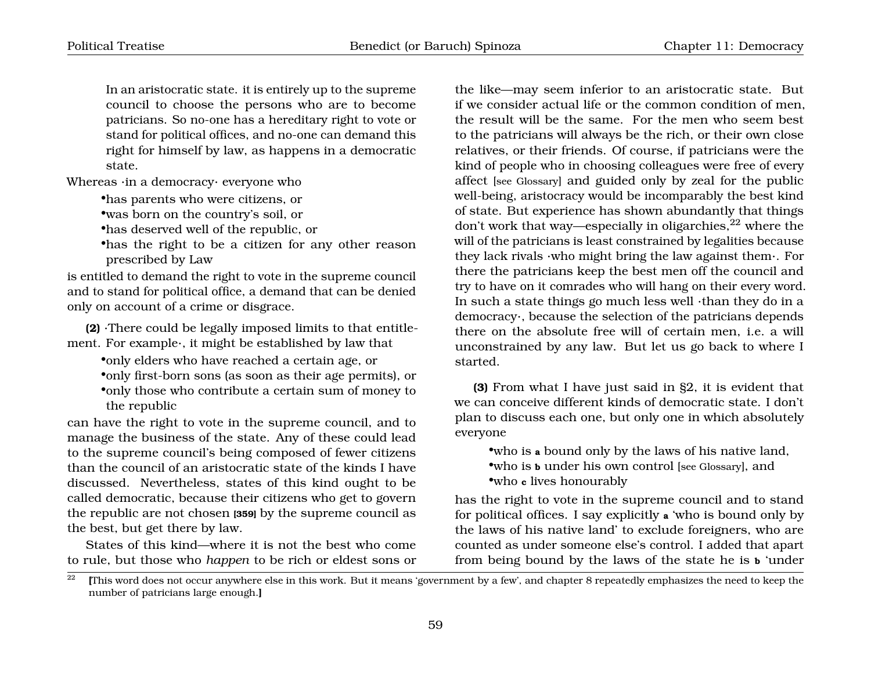In an aristocratic state. it is entirely up to the supreme council to choose the persons who are to become patricians. So no-one has a hereditary right to vote or stand for political offices, and no-one can demand this right for himself by law, as happens in a democratic state.

Whereas ·in a democracy· everyone who

•has parents who were citizens, or

•was born on the country's soil, or

•has deserved well of the republic, or

•has the right to be a citizen for any other reason prescribed by Law

is entitled to demand the right to vote in the supreme council and to stand for political office, a demand that can be denied only on account of a crime or disgrace.

**(2)** ·There could be legally imposed limits to that entitlement. For example·, it might be established by law that

•only elders who have reached a certain age, or

- •only first-born sons (as soon as their age permits), or
- •only those who contribute a certain sum of money to the republic

can have the right to vote in the supreme council, and to manage the business of the state. Any of these could lead to the supreme council's being composed of fewer citizens than the council of an aristocratic state of the kinds I have discussed. Nevertheless, states of this kind ought to be called democratic, because their citizens who get to govern the republic are not chosen **[359]** by the supreme council as the best, but get there by law.

States of this kind—where it is not the best who come to rule, but those who *happen* to be rich or eldest sons or

the like—may seem inferior to an aristocratic state. But if we consider actual life or the common condition of men, the result will be the same. For the men who seem best to the patricians will always be the rich, or their own close relatives, or their friends. Of course, if patricians were the kind of people who in choosing colleagues were free of every affect [see Glossary] and guided only by zeal for the public well-being, aristocracy would be incomparably the best kind of state. But experience has shown abundantly that things don't work that way—especially in oligarchies,  $2^2$  where the will of the patricians is least constrained by legalities because they lack rivals ·who might bring the law against them·. For there the patricians keep the best men off the council and try to have on it comrades who will hang on their every word. In such a state things go much less well ·than they do in a democracy·, because the selection of the patricians depends there on the absolute free will of certain men, i.e. a will unconstrained by any law. But let us go back to where I started.

**(3)** From what I have just said in §2, it is evident that we can conceive different kinds of democratic state. I don't plan to discuss each one, but only one in which absolutely everyone

•who is **a** bound only by the laws of his native land, •who is **b** under his own control [see Glossary], and •who **c** lives honourably

has the right to vote in the supreme council and to stand for political offices. I say explicitly **a** 'who is bound only by the laws of his native land' to exclude foreigners, who are counted as under someone else's control. I added that apart from being bound by the laws of the state he is **b** 'under

<span id="page-60-0"></span> $\frac{22}{2}$  [This word does not occur anywhere else in this work. But it means 'government by a few', and chapter 8 repeatedly emphasizes the need to keep the number of patricians large enough.**]**